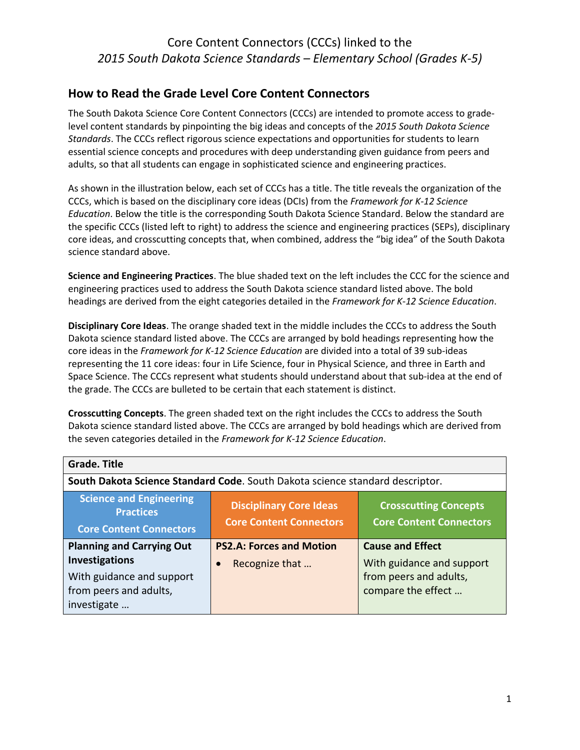### Core Content Connectors (CCCs) linked to the *2015 South Dakota Science Standards – Elementary School (Grades K-5)*

### **How to Read the Grade Level Core Content Connectors**

The South Dakota Science Core Content Connectors (CCCs) are intended to promote access to gradelevel content standards by pinpointing the big ideas and concepts of the *2015 South Dakota Science Standards*. The CCCs reflect rigorous science expectations and opportunities for students to learn essential science concepts and procedures with deep understanding given guidance from peers and adults, so that all students can engage in sophisticated science and engineering practices.

As shown in the illustration below, each set of CCCs has a title. The title reveals the organization of the CCCs, which is based on the disciplinary core ideas (DCIs) from the *Framework for K-12 Science Education*. Below the title is the corresponding South Dakota Science Standard. Below the standard are the specific CCCs (listed left to right) to address the science and engineering practices (SEPs), disciplinary core ideas, and crosscutting concepts that, when combined, address the "big idea" of the South Dakota science standard above.

**Science and Engineering Practices**. The blue shaded text on the left includes the CCC for the science and engineering practices used to address the South Dakota science standard listed above. The bold headings are derived from the eight categories detailed in the *Framework for K-12 Science Education*.

**Disciplinary Core Ideas**. The orange shaded text in the middle includes the CCCs to address the South Dakota science standard listed above. The CCCs are arranged by bold headings representing how the core ideas in the *Framework for K-12 Science Education* are divided into a total of 39 sub-ideas representing the 11 core ideas: four in Life Science, four in Physical Science, and three in Earth and Space Science. The CCCs represent what students should understand about that sub-idea at the end of the grade. The CCCs are bulleted to be certain that each statement is distinct.

**Crosscutting Concepts**. The green shaded text on the right includes the CCCs to address the South Dakota science standard listed above. The CCCs are arranged by bold headings which are derived from the seven categories detailed in the *Framework for K-12 Science Education*.

| <b>Grade. Title</b>                                                                                                             |                                                                                                                                    |                                                                                                      |
|---------------------------------------------------------------------------------------------------------------------------------|------------------------------------------------------------------------------------------------------------------------------------|------------------------------------------------------------------------------------------------------|
|                                                                                                                                 | South Dakota Science Standard Code. South Dakota science standard descriptor.                                                      |                                                                                                      |
| <b>Science and Engineering</b><br><b>Practices</b><br><b>Core Content Connectors</b>                                            | <b>Disciplinary Core Ideas</b><br><b>Crosscutting Concepts</b><br><b>Core Content Connectors</b><br><b>Core Content Connectors</b> |                                                                                                      |
| <b>Planning and Carrying Out</b><br><b>Investigations</b><br>With guidance and support<br>from peers and adults,<br>investigate | <b>PS2.A: Forces and Motion</b><br>Recognize that                                                                                  | <b>Cause and Effect</b><br>With guidance and support<br>from peers and adults,<br>compare the effect |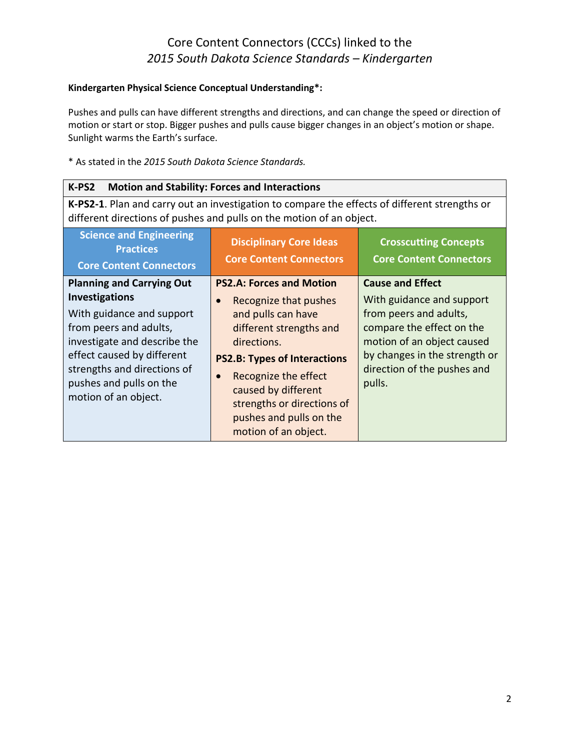#### **Kindergarten Physical Science Conceptual Understanding\*:**

Pushes and pulls can have different strengths and directions, and can change the speed or direction of motion or start or stop. Bigger pushes and pulls cause bigger changes in an object's motion or shape. Sunlight warms the Earth's surface.

#### \* As stated in the *2015 South Dakota Science Standards.*

| <b>Motion and Stability: Forces and Interactions</b><br>K-PS2                                                                                                                                                                                                    |                                                                                                                                                                                                                                                                                                              |                                                                                                                                                                                                                     |
|------------------------------------------------------------------------------------------------------------------------------------------------------------------------------------------------------------------------------------------------------------------|--------------------------------------------------------------------------------------------------------------------------------------------------------------------------------------------------------------------------------------------------------------------------------------------------------------|---------------------------------------------------------------------------------------------------------------------------------------------------------------------------------------------------------------------|
| K-PS2-1. Plan and carry out an investigation to compare the effects of different strengths or<br>different directions of pushes and pulls on the motion of an object.                                                                                            |                                                                                                                                                                                                                                                                                                              |                                                                                                                                                                                                                     |
| <b>Science and Engineering</b><br><b>Practices</b><br><b>Core Content Connectors</b>                                                                                                                                                                             | <b>Disciplinary Core Ideas</b><br><b>Core Content Connectors</b>                                                                                                                                                                                                                                             | <b>Crosscutting Concepts</b><br><b>Core Content Connectors</b>                                                                                                                                                      |
| <b>Planning and Carrying Out</b><br><b>Investigations</b><br>With guidance and support<br>from peers and adults,<br>investigate and describe the<br>effect caused by different<br>strengths and directions of<br>pushes and pulls on the<br>motion of an object. | <b>PS2.A: Forces and Motion</b><br>Recognize that pushes<br>and pulls can have<br>different strengths and<br>directions.<br><b>PS2.B: Types of Interactions</b><br>Recognize the effect<br>$\bullet$<br>caused by different<br>strengths or directions of<br>pushes and pulls on the<br>motion of an object. | <b>Cause and Effect</b><br>With guidance and support<br>from peers and adults,<br>compare the effect on the<br>motion of an object caused<br>by changes in the strength or<br>direction of the pushes and<br>pulls. |

2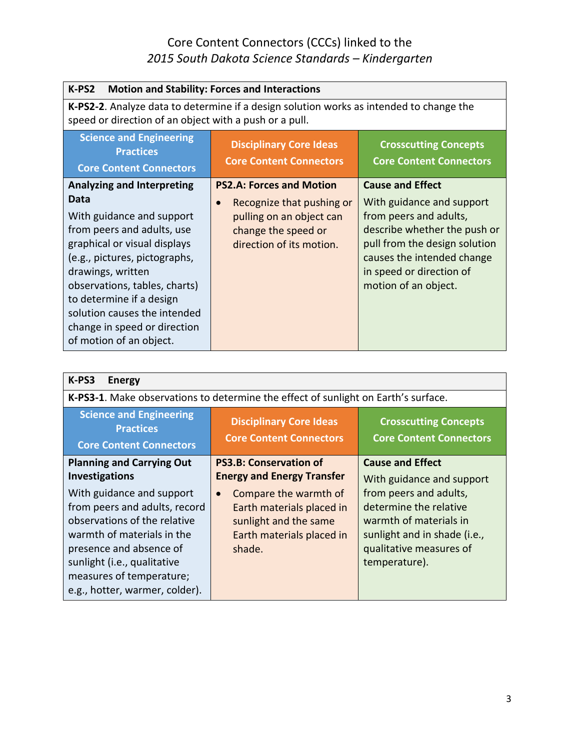| K-PS2<br><b>Motion and Stability: Forces and Interactions</b>                                                                                                                                                                                                                                                                                      |                                                                                                                                                          |                                                                                                                                                                                                                                   |
|----------------------------------------------------------------------------------------------------------------------------------------------------------------------------------------------------------------------------------------------------------------------------------------------------------------------------------------------------|----------------------------------------------------------------------------------------------------------------------------------------------------------|-----------------------------------------------------------------------------------------------------------------------------------------------------------------------------------------------------------------------------------|
| K-PS2-2. Analyze data to determine if a design solution works as intended to change the<br>speed or direction of an object with a push or a pull.                                                                                                                                                                                                  |                                                                                                                                                          |                                                                                                                                                                                                                                   |
| <b>Science and Engineering</b><br><b>Practices</b><br><b>Core Content Connectors</b>                                                                                                                                                                                                                                                               | <b>Disciplinary Core Ideas</b><br><b>Core Content Connectors</b>                                                                                         | <b>Crosscutting Concepts</b><br><b>Core Content Connectors</b>                                                                                                                                                                    |
| <b>Analyzing and Interpreting</b><br>Data<br>With guidance and support<br>from peers and adults, use<br>graphical or visual displays<br>(e.g., pictures, pictographs,<br>drawings, written<br>observations, tables, charts)<br>to determine if a design<br>solution causes the intended<br>change in speed or direction<br>of motion of an object. | <b>PS2.A: Forces and Motion</b><br>Recognize that pushing or<br>$\bullet$<br>pulling on an object can<br>change the speed or<br>direction of its motion. | <b>Cause and Effect</b><br>With guidance and support<br>from peers and adults,<br>describe whether the push or<br>pull from the design solution<br>causes the intended change<br>in speed or direction of<br>motion of an object. |

| K-PS3<br><b>Energy</b>                                                                                                                             |                                                                                                                                       |                                                                                                          |
|----------------------------------------------------------------------------------------------------------------------------------------------------|---------------------------------------------------------------------------------------------------------------------------------------|----------------------------------------------------------------------------------------------------------|
|                                                                                                                                                    | K-PS3-1. Make observations to determine the effect of sunlight on Earth's surface.                                                    |                                                                                                          |
| <b>Science and Engineering</b><br><b>Practices</b><br><b>Core Content Connectors</b>                                                               | <b>Disciplinary Core Ideas</b><br><b>Core Content Connectors</b>                                                                      | <b>Crosscutting Concepts</b><br><b>Core Content Connectors</b>                                           |
| <b>Planning and Carrying Out</b><br>Investigations<br>With guidance and support<br>from peers and adults, record<br>observations of the relative   | <b>PS3.B: Conservation of</b><br><b>Energy and Energy Transfer</b><br>Compare the warmth of<br>$\bullet$<br>Earth materials placed in | <b>Cause and Effect</b><br>With guidance and support<br>from peers and adults,<br>determine the relative |
| warmth of materials in the<br>presence and absence of<br>sunlight (i.e., qualitative<br>measures of temperature;<br>e.g., hotter, warmer, colder). | sunlight and the same<br>Earth materials placed in<br>shade.                                                                          | warmth of materials in<br>sunlight and in shade (i.e.,<br>qualitative measures of<br>temperature).       |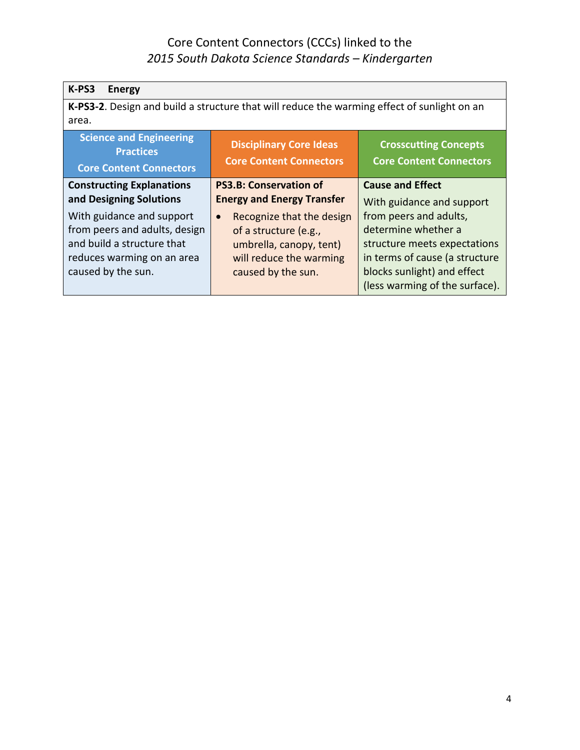| K-PS3<br><b>Energy</b>                                                                                                                                                  |                                                                                                                                                                                  |                                                                                                                                                                                                               |
|-------------------------------------------------------------------------------------------------------------------------------------------------------------------------|----------------------------------------------------------------------------------------------------------------------------------------------------------------------------------|---------------------------------------------------------------------------------------------------------------------------------------------------------------------------------------------------------------|
|                                                                                                                                                                         | K-PS3-2. Design and build a structure that will reduce the warming effect of sunlight on an                                                                                      |                                                                                                                                                                                                               |
| area.                                                                                                                                                                   |                                                                                                                                                                                  |                                                                                                                                                                                                               |
| <b>Science and Engineering</b><br><b>Practices</b><br><b>Core Content Connectors</b>                                                                                    | <b>Disciplinary Core Ideas</b><br><b>Core Content Connectors</b>                                                                                                                 | <b>Crosscutting Concepts</b><br><b>Core Content Connectors</b>                                                                                                                                                |
| <b>Constructing Explanations</b>                                                                                                                                        | <b>PS3.B: Conservation of</b>                                                                                                                                                    | <b>Cause and Effect</b>                                                                                                                                                                                       |
| and Designing Solutions<br>With guidance and support<br>from peers and adults, design<br>and build a structure that<br>reduces warming on an area<br>caused by the sun. | <b>Energy and Energy Transfer</b><br>Recognize that the design<br>$\bullet$<br>of a structure (e.g.,<br>umbrella, canopy, tent)<br>will reduce the warming<br>caused by the sun. | With guidance and support<br>from peers and adults,<br>determine whether a<br>structure meets expectations<br>in terms of cause (a structure<br>blocks sunlight) and effect<br>(less warming of the surface). |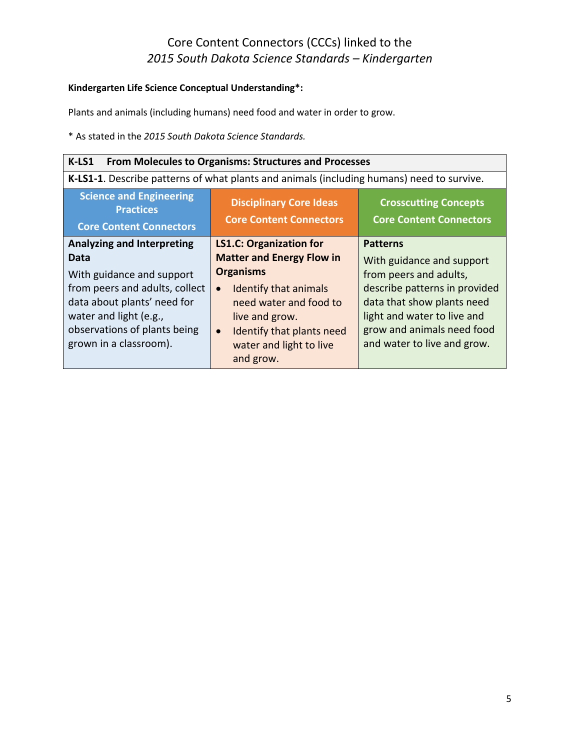#### **Kindergarten Life Science Conceptual Understanding\*:**

Plants and animals (including humans) need food and water in order to grow.

| K-LS1<br><b>From Molecules to Organisms: Structures and Processes</b>                                                                                                                                                       |                                                                                                                                                                                                                                                            |                                                                                                                                                                                                                                   |
|-----------------------------------------------------------------------------------------------------------------------------------------------------------------------------------------------------------------------------|------------------------------------------------------------------------------------------------------------------------------------------------------------------------------------------------------------------------------------------------------------|-----------------------------------------------------------------------------------------------------------------------------------------------------------------------------------------------------------------------------------|
|                                                                                                                                                                                                                             | K-LS1-1. Describe patterns of what plants and animals (including humans) need to survive.                                                                                                                                                                  |                                                                                                                                                                                                                                   |
| <b>Science and Engineering</b><br><b>Practices</b><br><b>Core Content Connectors</b>                                                                                                                                        | <b>Disciplinary Core Ideas</b><br><b>Core Content Connectors</b>                                                                                                                                                                                           | <b>Crosscutting Concepts</b><br><b>Core Content Connectors</b>                                                                                                                                                                    |
| <b>Analyzing and Interpreting</b><br>Data<br>With guidance and support<br>from peers and adults, collect<br>data about plants' need for<br>water and light (e.g.,<br>observations of plants being<br>grown in a classroom). | <b>LS1.C: Organization for</b><br><b>Matter and Energy Flow in</b><br><b>Organisms</b><br>Identify that animals<br>$\bullet$<br>need water and food to<br>live and grow.<br>Identify that plants need<br>$\bullet$<br>water and light to live<br>and grow. | <b>Patterns</b><br>With guidance and support<br>from peers and adults,<br>describe patterns in provided<br>data that show plants need<br>light and water to live and<br>grow and animals need food<br>and water to live and grow. |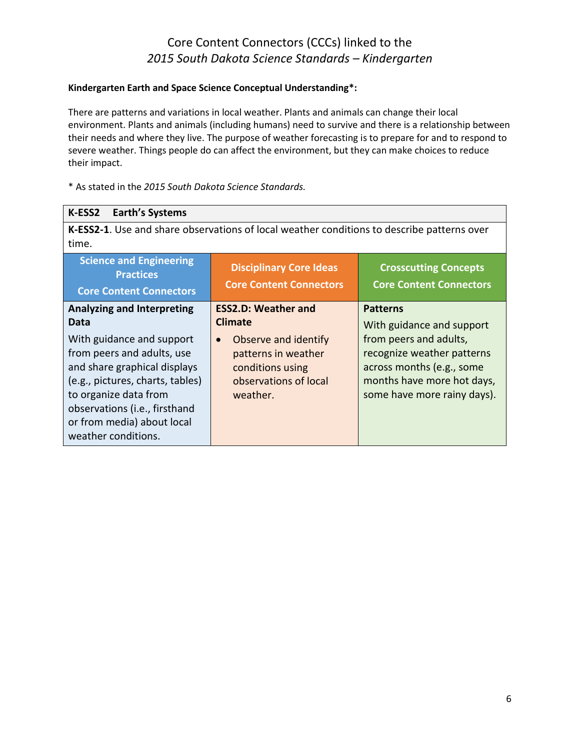#### **Kindergarten Earth and Space Science Conceptual Understanding\*:**

There are patterns and variations in local weather. Plants and animals can change their local environment. Plants and animals (including humans) need to survive and there is a relationship between their needs and where they live. The purpose of weather forecasting is to prepare for and to respond to severe weather. Things people do can affect the environment, but they can make choices to reduce their impact.

| <b>Earth's Systems</b><br>K-ESS2                                                                                                                                                                                                                                                        |                                                                                                                                                                   |                                                                                                                                                                                                |
|-----------------------------------------------------------------------------------------------------------------------------------------------------------------------------------------------------------------------------------------------------------------------------------------|-------------------------------------------------------------------------------------------------------------------------------------------------------------------|------------------------------------------------------------------------------------------------------------------------------------------------------------------------------------------------|
| time.                                                                                                                                                                                                                                                                                   | K-ESS2-1. Use and share observations of local weather conditions to describe patterns over                                                                        |                                                                                                                                                                                                |
| <b>Science and Engineering</b><br><b>Practices</b><br><b>Core Content Connectors</b>                                                                                                                                                                                                    | <b>Disciplinary Core Ideas</b><br><b>Core Content Connectors</b>                                                                                                  | <b>Crosscutting Concepts</b><br><b>Core Content Connectors</b>                                                                                                                                 |
| <b>Analyzing and Interpreting</b><br>Data<br>With guidance and support<br>from peers and adults, use<br>and share graphical displays<br>(e.g., pictures, charts, tables)<br>to organize data from<br>observations (i.e., firsthand<br>or from media) about local<br>weather conditions. | <b>ESS2.D: Weather and</b><br><b>Climate</b><br>Observe and identify<br>$\bullet$<br>patterns in weather<br>conditions using<br>observations of local<br>weather. | <b>Patterns</b><br>With guidance and support<br>from peers and adults,<br>recognize weather patterns<br>across months (e.g., some<br>months have more hot days,<br>some have more rainy days). |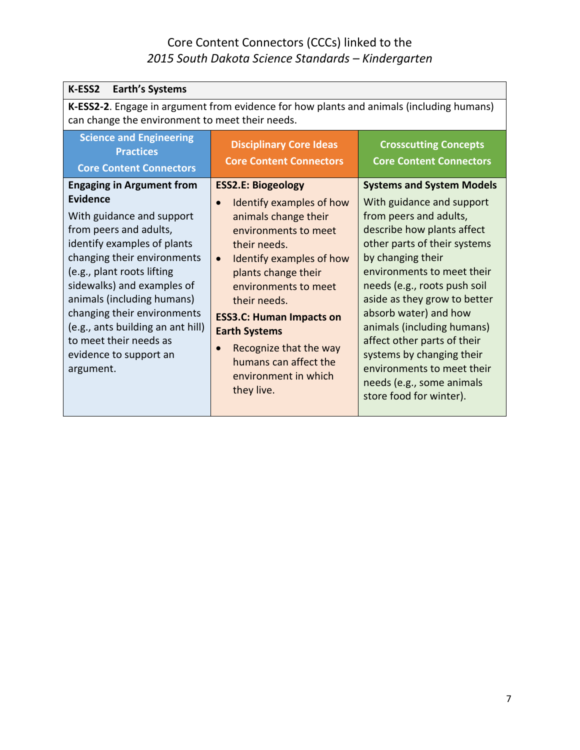| K-ESS2<br><b>Earth's Systems</b>                                                                                                                                                                                                                                                                                                                                                                        |                                                                                                                                                                                                                                                                                                                                                                                                |                                                                                                                                                                                                                                                                                                                                                                                                                                                                                   |
|---------------------------------------------------------------------------------------------------------------------------------------------------------------------------------------------------------------------------------------------------------------------------------------------------------------------------------------------------------------------------------------------------------|------------------------------------------------------------------------------------------------------------------------------------------------------------------------------------------------------------------------------------------------------------------------------------------------------------------------------------------------------------------------------------------------|-----------------------------------------------------------------------------------------------------------------------------------------------------------------------------------------------------------------------------------------------------------------------------------------------------------------------------------------------------------------------------------------------------------------------------------------------------------------------------------|
| K-ESS2-2. Engage in argument from evidence for how plants and animals (including humans)<br>can change the environment to meet their needs.                                                                                                                                                                                                                                                             |                                                                                                                                                                                                                                                                                                                                                                                                |                                                                                                                                                                                                                                                                                                                                                                                                                                                                                   |
| <b>Science and Engineering</b><br><b>Practices</b><br><b>Core Content Connectors</b>                                                                                                                                                                                                                                                                                                                    | <b>Disciplinary Core Ideas</b><br><b>Core Content Connectors</b>                                                                                                                                                                                                                                                                                                                               | <b>Crosscutting Concepts</b><br><b>Core Content Connectors</b>                                                                                                                                                                                                                                                                                                                                                                                                                    |
| <b>Engaging in Argument from</b><br><b>Evidence</b><br>With guidance and support<br>from peers and adults,<br>identify examples of plants<br>changing their environments<br>(e.g., plant roots lifting<br>sidewalks) and examples of<br>animals (including humans)<br>changing their environments<br>(e.g., ants building an ant hill)<br>to meet their needs as<br>evidence to support an<br>argument. | <b>ESS2.E: Biogeology</b><br>Identify examples of how<br>$\bullet$<br>animals change their<br>environments to meet<br>their needs.<br>Identify examples of how<br>$\bullet$<br>plants change their<br>environments to meet<br>their needs.<br><b>ESS3.C: Human Impacts on</b><br><b>Earth Systems</b><br>Recognize that the way<br>humans can affect the<br>environment in which<br>they live. | <b>Systems and System Models</b><br>With guidance and support<br>from peers and adults,<br>describe how plants affect<br>other parts of their systems<br>by changing their<br>environments to meet their<br>needs (e.g., roots push soil<br>aside as they grow to better<br>absorb water) and how<br>animals (including humans)<br>affect other parts of their<br>systems by changing their<br>environments to meet their<br>needs (e.g., some animals<br>store food for winter). |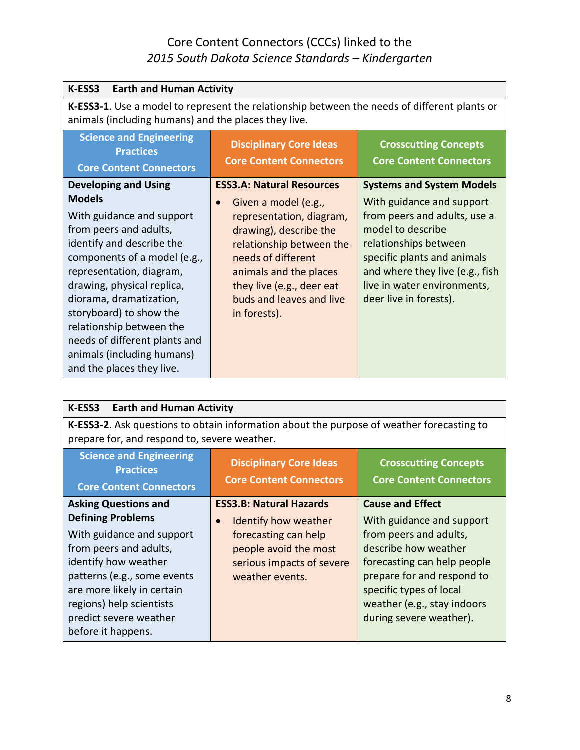| K-ESS3<br><b>Earth and Human Activity</b>                                                                                                                                  |                                                                                                                             |                                                                                                                        |
|----------------------------------------------------------------------------------------------------------------------------------------------------------------------------|-----------------------------------------------------------------------------------------------------------------------------|------------------------------------------------------------------------------------------------------------------------|
| K-ESS3-1. Use a model to represent the relationship between the needs of different plants or<br>animals (including humans) and the places they live.                       |                                                                                                                             |                                                                                                                        |
| <b>Science and Engineering</b><br><b>Practices</b><br><b>Core Content Connectors</b>                                                                                       | <b>Disciplinary Core Ideas</b><br><b>Core Content Connectors</b>                                                            | <b>Crosscutting Concepts</b><br><b>Core Content Connectors</b>                                                         |
| <b>Developing and Using</b><br><b>Models</b><br>With guidance and support<br>from peers and adults,                                                                        | <b>ESS3.A: Natural Resources</b><br>Given a model (e.g.,<br>$\bullet$<br>representation, diagram,<br>drawing), describe the | <b>Systems and System Models</b><br>With guidance and support<br>from peers and adults, use a<br>model to describe     |
| identify and describe the<br>components of a model (e.g.,<br>representation, diagram,<br>drawing, physical replica,                                                        | relationship between the<br>needs of different<br>animals and the places<br>they live (e.g., deer eat                       | relationships between<br>specific plants and animals<br>and where they live (e.g., fish<br>live in water environments, |
| diorama, dramatization,<br>storyboard) to show the<br>relationship between the<br>needs of different plants and<br>animals (including humans)<br>and the places they live. | buds and leaves and live<br>in forests).                                                                                    | deer live in forests).                                                                                                 |

| K-ESS3<br><b>Earth and Human Activity</b>                                                                                                                                                                                                                                       |                                                                                                                                                                      |                                                                                                                                                                                                                                                          |
|---------------------------------------------------------------------------------------------------------------------------------------------------------------------------------------------------------------------------------------------------------------------------------|----------------------------------------------------------------------------------------------------------------------------------------------------------------------|----------------------------------------------------------------------------------------------------------------------------------------------------------------------------------------------------------------------------------------------------------|
| K-ESS3-2. Ask questions to obtain information about the purpose of weather forecasting to<br>prepare for, and respond to, severe weather.                                                                                                                                       |                                                                                                                                                                      |                                                                                                                                                                                                                                                          |
| <b>Science and Engineering</b><br><b>Practices</b><br><b>Core Content Connectors</b>                                                                                                                                                                                            | <b>Disciplinary Core Ideas</b><br><b>Core Content Connectors</b>                                                                                                     | <b>Crosscutting Concepts</b><br><b>Core Content Connectors</b>                                                                                                                                                                                           |
| <b>Asking Questions and</b><br><b>Defining Problems</b><br>With guidance and support<br>from peers and adults,<br>identify how weather<br>patterns (e.g., some events<br>are more likely in certain<br>regions) help scientists<br>predict severe weather<br>before it happens. | <b>ESS3.B: Natural Hazards</b><br>Identify how weather<br>$\bullet$<br>forecasting can help<br>people avoid the most<br>serious impacts of severe<br>weather events. | <b>Cause and Effect</b><br>With guidance and support<br>from peers and adults,<br>describe how weather<br>forecasting can help people<br>prepare for and respond to<br>specific types of local<br>weather (e.g., stay indoors<br>during severe weather). |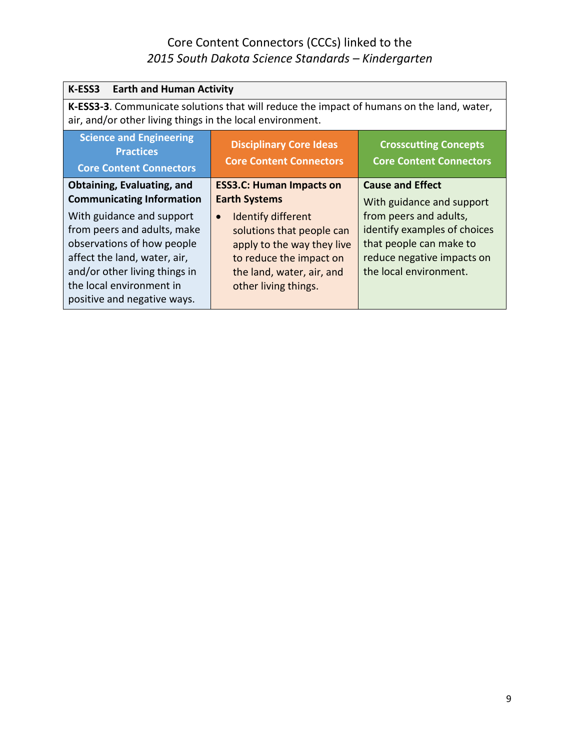| <b>K-ESS3</b> Earth and Human Activity                                                                                                                                                                             |                                                                                                                                                                            |                                                                                                                                           |
|--------------------------------------------------------------------------------------------------------------------------------------------------------------------------------------------------------------------|----------------------------------------------------------------------------------------------------------------------------------------------------------------------------|-------------------------------------------------------------------------------------------------------------------------------------------|
| K-ESS3-3. Communicate solutions that will reduce the impact of humans on the land, water,<br>air, and/or other living things in the local environment.                                                             |                                                                                                                                                                            |                                                                                                                                           |
| <b>Science and Engineering</b><br><b>Practices</b><br><b>Core Content Connectors</b>                                                                                                                               | <b>Disciplinary Core Ideas</b><br><b>Core Content Connectors</b>                                                                                                           | <b>Crosscutting Concepts</b><br><b>Core Content Connectors</b>                                                                            |
| Obtaining, Evaluating, and<br><b>Communicating Information</b>                                                                                                                                                     | <b>ESS3.C: Human Impacts on</b><br><b>Earth Systems</b>                                                                                                                    | <b>Cause and Effect</b><br>With guidance and support                                                                                      |
| With guidance and support<br>from peers and adults, make<br>observations of how people<br>affect the land, water, air,<br>and/or other living things in<br>the local environment in<br>positive and negative ways. | Identify different<br>$\bullet$<br>solutions that people can<br>apply to the way they live<br>to reduce the impact on<br>the land, water, air, and<br>other living things. | from peers and adults,<br>identify examples of choices<br>that people can make to<br>reduce negative impacts on<br>the local environment. |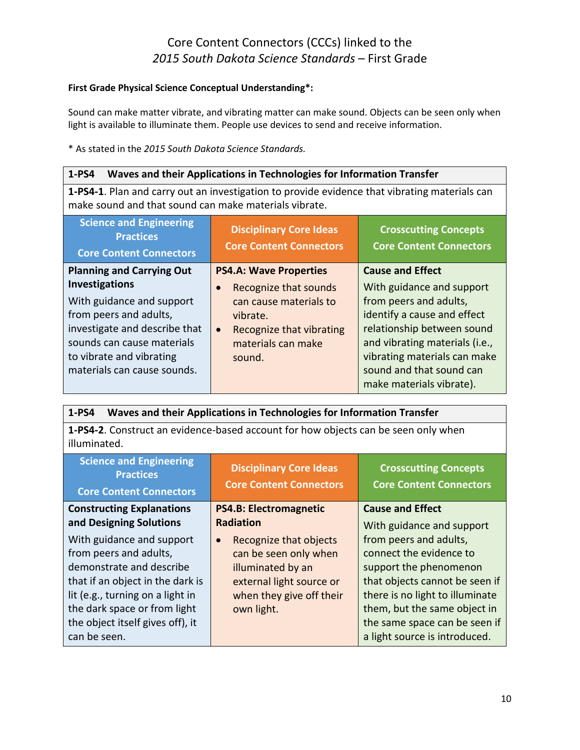#### **First Grade Physical Science Conceptual Understanding\*:**

Sound can make matter vibrate, and vibrating matter can make sound. Objects can be seen only when light is available to illuminate them. People use devices to send and receive information.

\* As stated in the *2015 South Dakota Science Standards.*

#### **1-PS4 Waves and their Applications in Technologies for Information Transfer**

**1-PS4-1**. Plan and carry out an investigation to provide evidence that vibrating materials can make sound and that sound can make materials vibrate.

| <b>Science and Engineering</b><br><b>Practices</b><br><b>Core Content Connectors</b>                                                                                                                   | <b>Disciplinary Core Ideas</b><br><b>Core Content Connectors</b>                                                                                  | <b>Crosscutting Concepts</b><br><b>Core Content Connectors</b>                                                                                                                                                                             |
|--------------------------------------------------------------------------------------------------------------------------------------------------------------------------------------------------------|---------------------------------------------------------------------------------------------------------------------------------------------------|--------------------------------------------------------------------------------------------------------------------------------------------------------------------------------------------------------------------------------------------|
| <b>Planning and Carrying Out</b>                                                                                                                                                                       | <b>PS4.A: Wave Properties</b>                                                                                                                     | <b>Cause and Effect</b>                                                                                                                                                                                                                    |
| <b>Investigations</b><br>With guidance and support<br>from peers and adults,<br>investigate and describe that<br>sounds can cause materials<br>to vibrate and vibrating<br>materials can cause sounds. | Recognize that sounds<br>$\bullet$<br>can cause materials to<br>vibrate.<br>Recognize that vibrating<br>$\bullet$<br>materials can make<br>sound. | With guidance and support<br>from peers and adults,<br>identify a cause and effect<br>relationship between sound<br>and vibrating materials (i.e.,<br>vibrating materials can make<br>sound and that sound can<br>make materials vibrate). |

| 1-PS4<br>Waves and their Applications in Technologies for Information Transfer                                                                                                                                                              |                                                                                                                                                         |                                                                                                                                                                                                                                                    |
|---------------------------------------------------------------------------------------------------------------------------------------------------------------------------------------------------------------------------------------------|---------------------------------------------------------------------------------------------------------------------------------------------------------|----------------------------------------------------------------------------------------------------------------------------------------------------------------------------------------------------------------------------------------------------|
| 1-PS4-2. Construct an evidence-based account for how objects can be seen only when<br>illuminated.                                                                                                                                          |                                                                                                                                                         |                                                                                                                                                                                                                                                    |
| <b>Science and Engineering</b><br><b>Practices</b><br><b>Core Content Connectors</b>                                                                                                                                                        | <b>Disciplinary Core Ideas</b><br><b>Core Content Connectors</b>                                                                                        | <b>Crosscutting Concepts</b><br><b>Core Content Connectors</b>                                                                                                                                                                                     |
| <b>Constructing Explanations</b><br>and Designing Solutions                                                                                                                                                                                 | <b>PS4.B: Electromagnetic</b><br><b>Radiation</b>                                                                                                       | <b>Cause and Effect</b><br>With guidance and support                                                                                                                                                                                               |
| With guidance and support<br>from peers and adults,<br>demonstrate and describe<br>that if an object in the dark is<br>lit (e.g., turning on a light in<br>the dark space or from light<br>the object itself gives off), it<br>can be seen. | Recognize that objects<br>$\bullet$<br>can be seen only when<br>illuminated by an<br>external light source or<br>when they give off their<br>own light. | from peers and adults,<br>connect the evidence to<br>support the phenomenon<br>that objects cannot be seen if<br>there is no light to illuminate<br>them, but the same object in<br>the same space can be seen if<br>a light source is introduced. |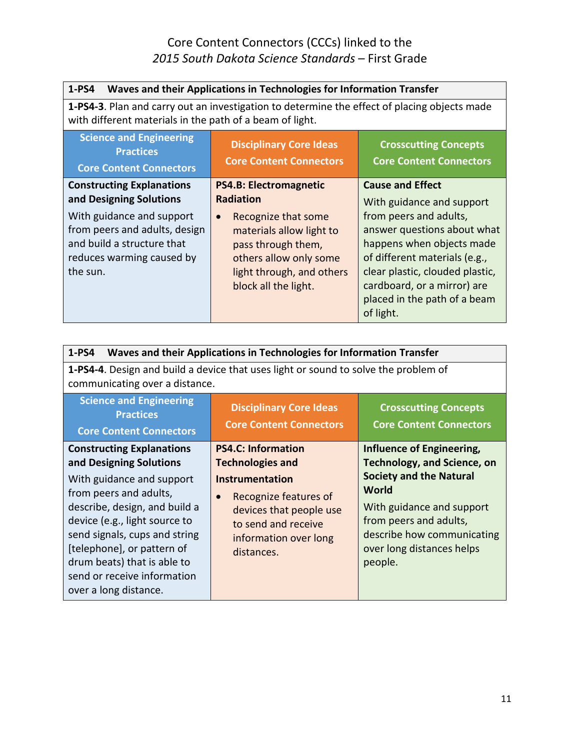| 1-PS4<br>Waves and their Applications in Technologies for Information Transfer                                                                                                                   |                                                                                                                                                                                                                        |                                                                                                                                                                                                                                                                                            |
|--------------------------------------------------------------------------------------------------------------------------------------------------------------------------------------------------|------------------------------------------------------------------------------------------------------------------------------------------------------------------------------------------------------------------------|--------------------------------------------------------------------------------------------------------------------------------------------------------------------------------------------------------------------------------------------------------------------------------------------|
| <b>1-PS4-3.</b> Plan and carry out an investigation to determine the effect of placing objects made<br>with different materials in the path of a beam of light.                                  |                                                                                                                                                                                                                        |                                                                                                                                                                                                                                                                                            |
| <b>Science and Engineering</b><br><b>Practices</b><br><b>Core Content Connectors</b>                                                                                                             | <b>Disciplinary Core Ideas</b><br><b>Core Content Connectors</b>                                                                                                                                                       | <b>Crosscutting Concepts</b><br><b>Core Content Connectors</b>                                                                                                                                                                                                                             |
| <b>Constructing Explanations</b><br>and Designing Solutions<br>With guidance and support<br>from peers and adults, design<br>and build a structure that<br>reduces warming caused by<br>the sun. | <b>PS4.B: Electromagnetic</b><br><b>Radiation</b><br>Recognize that some<br>$\bullet$<br>materials allow light to<br>pass through them,<br>others allow only some<br>light through, and others<br>block all the light. | <b>Cause and Effect</b><br>With guidance and support<br>from peers and adults,<br>answer questions about what<br>happens when objects made<br>of different materials (e.g.,<br>clear plastic, clouded plastic,<br>cardboard, or a mirror) are<br>placed in the path of a beam<br>of light. |

| $1-PS4$<br>Waves and their Applications in Technologies for Information Transfer                                                                                                                                                                                                                                                           |                                                                                                                                                                                                               |                                                                                                                                                                                                                                         |
|--------------------------------------------------------------------------------------------------------------------------------------------------------------------------------------------------------------------------------------------------------------------------------------------------------------------------------------------|---------------------------------------------------------------------------------------------------------------------------------------------------------------------------------------------------------------|-----------------------------------------------------------------------------------------------------------------------------------------------------------------------------------------------------------------------------------------|
| <b>1-PS4-4.</b> Design and build a device that uses light or sound to solve the problem of<br>communicating over a distance.                                                                                                                                                                                                               |                                                                                                                                                                                                               |                                                                                                                                                                                                                                         |
| <b>Science and Engineering</b><br><b>Practices</b><br><b>Core Content Connectors</b>                                                                                                                                                                                                                                                       | <b>Disciplinary Core Ideas</b><br><b>Core Content Connectors</b>                                                                                                                                              | <b>Crosscutting Concepts</b><br><b>Core Content Connectors</b>                                                                                                                                                                          |
| <b>Constructing Explanations</b><br>and Designing Solutions<br>With guidance and support<br>from peers and adults,<br>describe, design, and build a<br>device (e.g., light source to<br>send signals, cups and string<br>[telephone], or pattern of<br>drum beats) that is able to<br>send or receive information<br>over a long distance. | <b>PS4.C: Information</b><br><b>Technologies and</b><br><b>Instrumentation</b><br>Recognize features of<br>$\bullet$<br>devices that people use<br>to send and receive<br>information over long<br>distances. | Influence of Engineering,<br><b>Technology, and Science, on</b><br><b>Society and the Natural</b><br>World<br>With guidance and support<br>from peers and adults,<br>describe how communicating<br>over long distances helps<br>people. |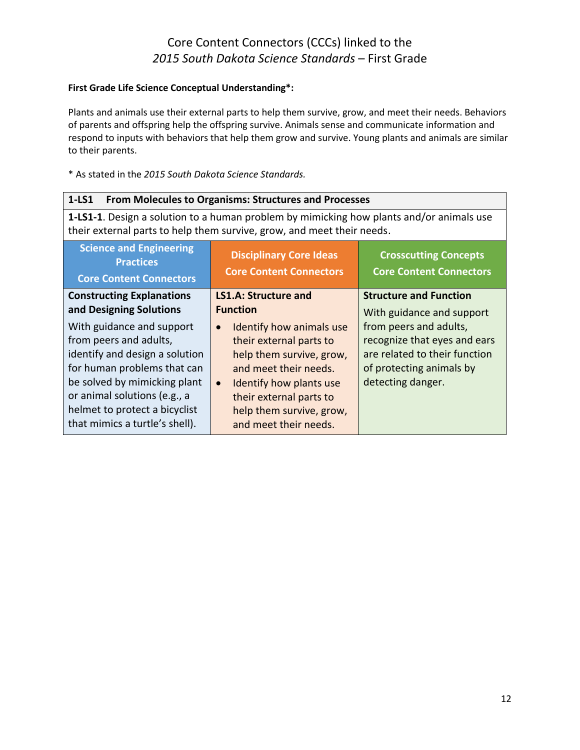#### **First Grade Life Science Conceptual Understanding\*:**

Plants and animals use their external parts to help them survive, grow, and meet their needs. Behaviors of parents and offspring help the offspring survive. Animals sense and communicate information and respond to inputs with behaviors that help them grow and survive. Young plants and animals are similar to their parents.

| $1-LS1$<br><b>From Molecules to Organisms: Structures and Processes</b>                                                                                                                                                                                 |                                                                                                                                                                                                                                               |                                                                                                                                          |
|---------------------------------------------------------------------------------------------------------------------------------------------------------------------------------------------------------------------------------------------------------|-----------------------------------------------------------------------------------------------------------------------------------------------------------------------------------------------------------------------------------------------|------------------------------------------------------------------------------------------------------------------------------------------|
| 1-LS1-1. Design a solution to a human problem by mimicking how plants and/or animals use<br>their external parts to help them survive, grow, and meet their needs.                                                                                      |                                                                                                                                                                                                                                               |                                                                                                                                          |
| <b>Science and Engineering</b><br><b>Practices</b><br><b>Core Content Connectors</b>                                                                                                                                                                    | <b>Disciplinary Core Ideas</b><br><b>Core Content Connectors</b>                                                                                                                                                                              | <b>Crosscutting Concepts</b><br><b>Core Content Connectors</b>                                                                           |
| <b>Constructing Explanations</b><br>and Designing Solutions                                                                                                                                                                                             | <b>LS1.A: Structure and</b><br><b>Function</b>                                                                                                                                                                                                | <b>Structure and Function</b><br>With guidance and support                                                                               |
| With guidance and support<br>from peers and adults,<br>identify and design a solution<br>for human problems that can<br>be solved by mimicking plant<br>or animal solutions (e.g., a<br>helmet to protect a bicyclist<br>that mimics a turtle's shell). | Identify how animals use<br>$\bullet$<br>their external parts to<br>help them survive, grow,<br>and meet their needs.<br>Identify how plants use<br>$\bullet$<br>their external parts to<br>help them survive, grow,<br>and meet their needs. | from peers and adults,<br>recognize that eyes and ears<br>are related to their function<br>of protecting animals by<br>detecting danger. |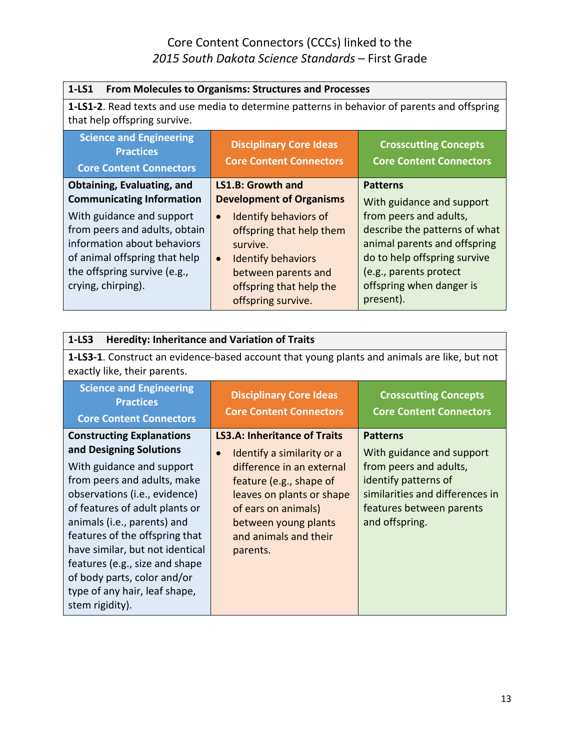| $1-LS1$<br><b>From Molecules to Organisms: Structures and Processes</b>                                                      |                                                                  |                                                                |
|------------------------------------------------------------------------------------------------------------------------------|------------------------------------------------------------------|----------------------------------------------------------------|
| 1-LS1-2. Read texts and use media to determine patterns in behavior of parents and offspring<br>that help offspring survive. |                                                                  |                                                                |
| <b>Science and Engineering</b><br><b>Practices</b><br><b>Core Content Connectors</b>                                         | <b>Disciplinary Core Ideas</b><br><b>Core Content Connectors</b> | <b>Crosscutting Concepts</b><br><b>Core Content Connectors</b> |
| Obtaining, Evaluating, and                                                                                                   | <b>LS1.B: Growth and</b>                                         | <b>Patterns</b>                                                |
| <b>Communicating Information</b>                                                                                             | <b>Development of Organisms</b>                                  | With guidance and support                                      |
| With guidance and support                                                                                                    | <b>Identify behaviors of</b><br>$\bullet$                        | from peers and adults,                                         |
| from peers and adults, obtain                                                                                                | offspring that help them                                         | describe the patterns of what                                  |
| information about behaviors                                                                                                  | survive.                                                         | animal parents and offspring                                   |
| of animal offspring that help                                                                                                | <b>Identify behaviors</b><br>$\bullet$                           | do to help offspring survive                                   |
| the offspring survive (e.g.,                                                                                                 | between parents and                                              | (e.g., parents protect                                         |
| crying, chirping).                                                                                                           | offspring that help the                                          | offspring when danger is                                       |
|                                                                                                                              | offspring survive.                                               | present).                                                      |

| <b>Heredity: Inheritance and Variation of Traits</b><br>$1-LS3$                                                                                                                                                                                                                                                                                      |                                                                                                                                                                       |                                                                                                                                 |
|------------------------------------------------------------------------------------------------------------------------------------------------------------------------------------------------------------------------------------------------------------------------------------------------------------------------------------------------------|-----------------------------------------------------------------------------------------------------------------------------------------------------------------------|---------------------------------------------------------------------------------------------------------------------------------|
| 1-LS3-1. Construct an evidence-based account that young plants and animals are like, but not<br>exactly like, their parents.                                                                                                                                                                                                                         |                                                                                                                                                                       |                                                                                                                                 |
| <b>Science and Engineering</b><br><b>Practices</b><br><b>Core Content Connectors</b>                                                                                                                                                                                                                                                                 | <b>Disciplinary Core Ideas</b><br><b>Core Content Connectors</b>                                                                                                      | <b>Crosscutting Concepts</b><br><b>Core Content Connectors</b>                                                                  |
| <b>Constructing Explanations</b><br>and Designing Solutions                                                                                                                                                                                                                                                                                          | <b>LS3.A: Inheritance of Traits</b><br>Identify a similarity or a<br>$\bullet$                                                                                        | <b>Patterns</b><br>With guidance and support                                                                                    |
| With guidance and support<br>from peers and adults, make<br>observations (i.e., evidence)<br>of features of adult plants or<br>animals (i.e., parents) and<br>features of the offspring that<br>have similar, but not identical<br>features (e.g., size and shape<br>of body parts, color and/or<br>type of any hair, leaf shape,<br>stem rigidity). | difference in an external<br>feature (e.g., shape of<br>leaves on plants or shape<br>of ears on animals)<br>between young plants<br>and animals and their<br>parents. | from peers and adults,<br>identify patterns of<br>similarities and differences in<br>features between parents<br>and offspring. |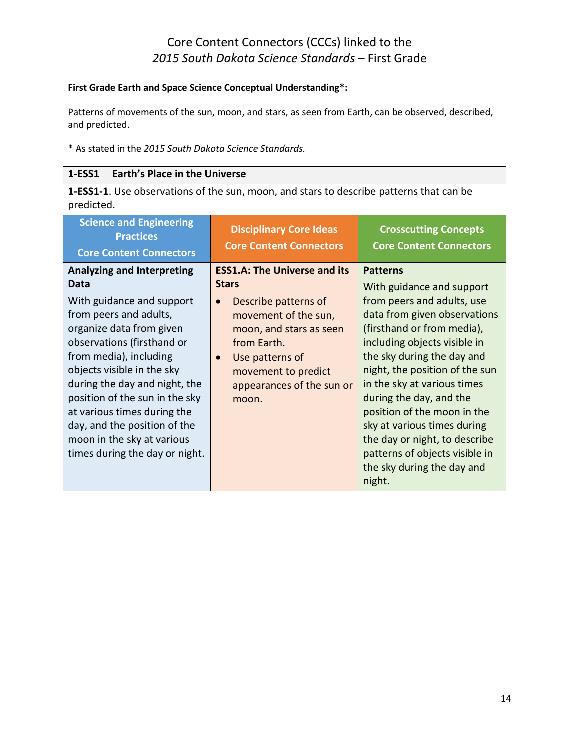#### **First Grade Earth and Space Science Conceptual Understanding\*:**

Patterns of movements of the sun, moon, and stars, as seen from Earth, can be observed, described, and predicted.

\* As stated in the *2015 South Dakota Science Standards.*

#### **1-ESS1 Earth's Place in the Universe**

**1-ESS1-1**. Use observations of the sun, moon, and stars to describe patterns that can be predicted.

| <b>Science and Engineering</b><br><b>Practices</b><br><b>Core Content Connectors</b>                                                                                                                                                                                                                                                                                                                                 | <b>Disciplinary Core Ideas</b><br><b>Core Content Connectors</b>                                                                                                                                                                                        | <b>Crosscutting Concepts</b><br><b>Core Content Connectors</b>                                                                                                                                                                                                                                                                                                                                                                                                              |
|----------------------------------------------------------------------------------------------------------------------------------------------------------------------------------------------------------------------------------------------------------------------------------------------------------------------------------------------------------------------------------------------------------------------|---------------------------------------------------------------------------------------------------------------------------------------------------------------------------------------------------------------------------------------------------------|-----------------------------------------------------------------------------------------------------------------------------------------------------------------------------------------------------------------------------------------------------------------------------------------------------------------------------------------------------------------------------------------------------------------------------------------------------------------------------|
| <b>Analyzing and Interpreting</b><br>Data<br>With guidance and support<br>from peers and adults,<br>organize data from given<br>observations (firsthand or<br>from media), including<br>objects visible in the sky<br>during the day and night, the<br>position of the sun in the sky<br>at various times during the<br>day, and the position of the<br>moon in the sky at various<br>times during the day or night. | <b>ESS1.A: The Universe and its</b><br><b>Stars</b><br>Describe patterns of<br>$\bullet$<br>movement of the sun,<br>moon, and stars as seen<br>from Earth.<br>Use patterns of<br>$\bullet$<br>movement to predict<br>appearances of the sun or<br>moon. | <b>Patterns</b><br>With guidance and support<br>from peers and adults, use<br>data from given observations<br>(firsthand or from media),<br>including objects visible in<br>the sky during the day and<br>night, the position of the sun<br>in the sky at various times<br>during the day, and the<br>position of the moon in the<br>sky at various times during<br>the day or night, to describe<br>patterns of objects visible in<br>the sky during the day and<br>night. |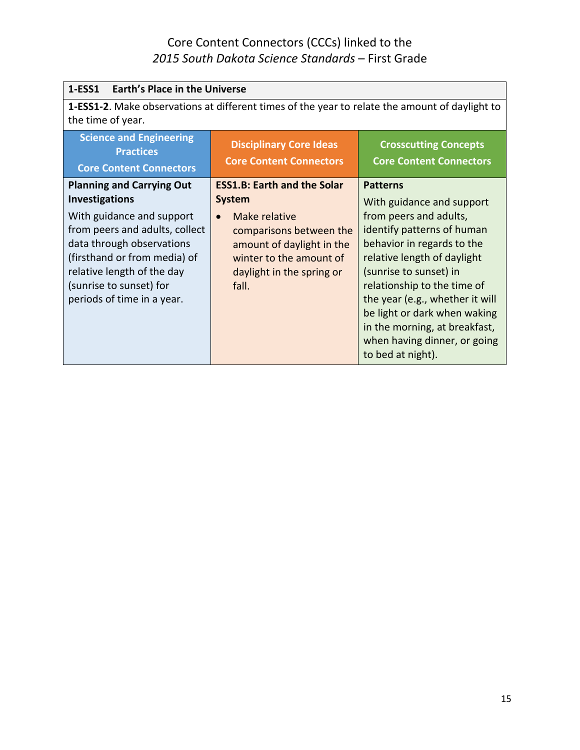| <b>Earth's Place in the Universe</b><br>1-ESS1                                                                                                                                                                                                                               |                                                                                                                                                                                                            |                                                                                                                                                                                                                                                                                                                                                                                     |
|------------------------------------------------------------------------------------------------------------------------------------------------------------------------------------------------------------------------------------------------------------------------------|------------------------------------------------------------------------------------------------------------------------------------------------------------------------------------------------------------|-------------------------------------------------------------------------------------------------------------------------------------------------------------------------------------------------------------------------------------------------------------------------------------------------------------------------------------------------------------------------------------|
| the time of year.                                                                                                                                                                                                                                                            | 1-ESS1-2. Make observations at different times of the year to relate the amount of daylight to                                                                                                             |                                                                                                                                                                                                                                                                                                                                                                                     |
| <b>Science and Engineering</b><br><b>Practices</b><br><b>Core Content Connectors</b>                                                                                                                                                                                         | <b>Disciplinary Core Ideas</b><br><b>Core Content Connectors</b>                                                                                                                                           | <b>Crosscutting Concepts</b><br><b>Core Content Connectors</b>                                                                                                                                                                                                                                                                                                                      |
| <b>Planning and Carrying Out</b><br><b>Investigations</b><br>With guidance and support<br>from peers and adults, collect<br>data through observations<br>(firsthand or from media) of<br>relative length of the day<br>(sunrise to sunset) for<br>periods of time in a year. | <b>ESS1.B: Earth and the Solar</b><br><b>System</b><br>Make relative<br>$\bullet$<br>comparisons between the<br>amount of daylight in the<br>winter to the amount of<br>daylight in the spring or<br>fall. | <b>Patterns</b><br>With guidance and support<br>from peers and adults,<br>identify patterns of human<br>behavior in regards to the<br>relative length of daylight<br>(sunrise to sunset) in<br>relationship to the time of<br>the year (e.g., whether it will<br>be light or dark when waking<br>in the morning, at breakfast,<br>when having dinner, or going<br>to bed at night). |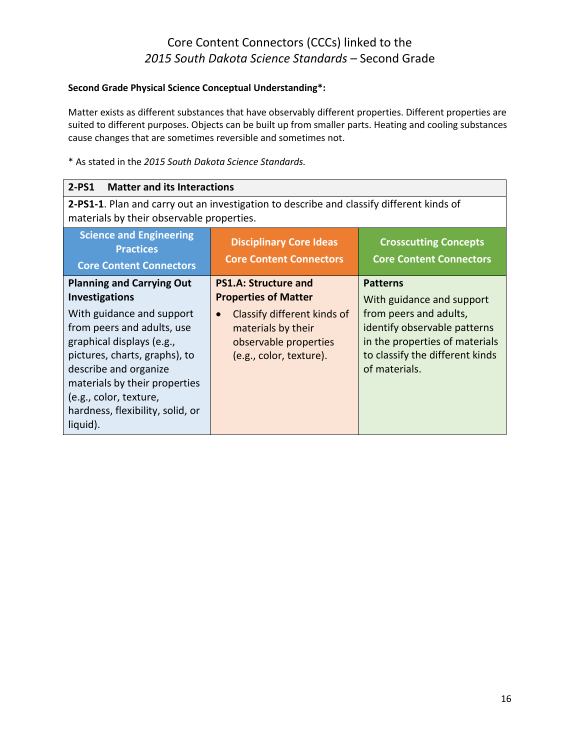#### **Second Grade Physical Science Conceptual Understanding\*:**

Matter exists as different substances that have observably different properties. Different properties are suited to different purposes. Objects can be built up from smaller parts. Heating and cooling substances cause changes that are sometimes reversible and sometimes not.

| $2-PS1$<br><b>Matter and its Interactions</b>                                                                                                                                                                                                                                                                          |                                                                                                                                                                                  |                                                                                                                                                                                              |
|------------------------------------------------------------------------------------------------------------------------------------------------------------------------------------------------------------------------------------------------------------------------------------------------------------------------|----------------------------------------------------------------------------------------------------------------------------------------------------------------------------------|----------------------------------------------------------------------------------------------------------------------------------------------------------------------------------------------|
| 2-PS1-1. Plan and carry out an investigation to describe and classify different kinds of<br>materials by their observable properties.                                                                                                                                                                                  |                                                                                                                                                                                  |                                                                                                                                                                                              |
| <b>Science and Engineering</b><br><b>Practices</b><br><b>Core Content Connectors</b>                                                                                                                                                                                                                                   | <b>Disciplinary Core Ideas</b><br><b>Core Content Connectors</b>                                                                                                                 | <b>Crosscutting Concepts</b><br><b>Core Content Connectors</b>                                                                                                                               |
| <b>Planning and Carrying Out</b><br><b>Investigations</b><br>With guidance and support<br>from peers and adults, use<br>graphical displays (e.g.,<br>pictures, charts, graphs), to<br>describe and organize<br>materials by their properties<br>(e.g., color, texture,<br>hardness, flexibility, solid, or<br>liquid). | <b>PS1.A: Structure and</b><br><b>Properties of Matter</b><br>Classify different kinds of<br>$\bullet$<br>materials by their<br>observable properties<br>(e.g., color, texture). | <b>Patterns</b><br>With guidance and support<br>from peers and adults,<br>identify observable patterns<br>in the properties of materials<br>to classify the different kinds<br>of materials. |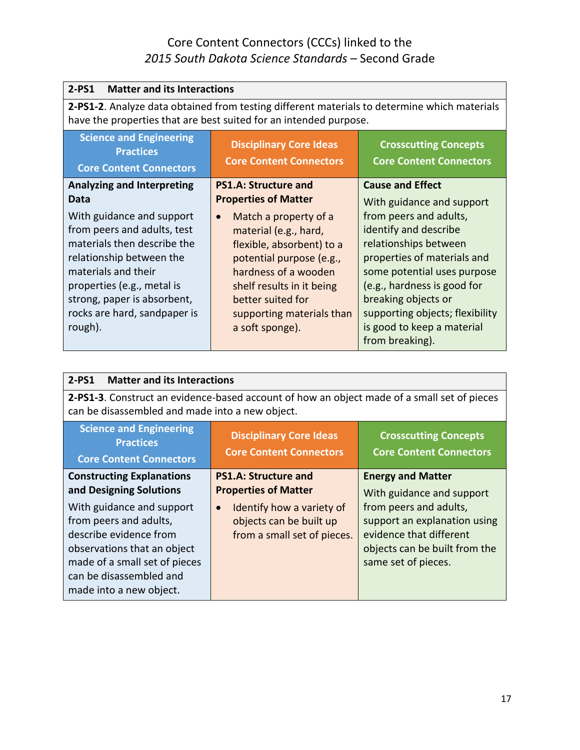| $2-PS1$<br><b>Matter and its Interactions</b>                                                                                                                                                                                                                                                   |                                                                                                                                                                                                                                                                                                              |                                                                                                                                                                                                                                                                                                                                          |
|-------------------------------------------------------------------------------------------------------------------------------------------------------------------------------------------------------------------------------------------------------------------------------------------------|--------------------------------------------------------------------------------------------------------------------------------------------------------------------------------------------------------------------------------------------------------------------------------------------------------------|------------------------------------------------------------------------------------------------------------------------------------------------------------------------------------------------------------------------------------------------------------------------------------------------------------------------------------------|
| 2-PS1-2. Analyze data obtained from testing different materials to determine which materials<br>have the properties that are best suited for an intended purpose.                                                                                                                               |                                                                                                                                                                                                                                                                                                              |                                                                                                                                                                                                                                                                                                                                          |
| <b>Science and Engineering</b><br><b>Practices</b><br><b>Core Content Connectors</b>                                                                                                                                                                                                            | <b>Disciplinary Core Ideas</b><br><b>Core Content Connectors</b>                                                                                                                                                                                                                                             | <b>Crosscutting Concepts</b><br><b>Core Content Connectors</b>                                                                                                                                                                                                                                                                           |
| <b>Analyzing and Interpreting</b><br>Data<br>With guidance and support<br>from peers and adults, test<br>materials then describe the<br>relationship between the<br>materials and their<br>properties (e.g., metal is<br>strong, paper is absorbent,<br>rocks are hard, sandpaper is<br>rough). | <b>PS1.A: Structure and</b><br><b>Properties of Matter</b><br>Match a property of a<br>$\bullet$<br>material (e.g., hard,<br>flexible, absorbent) to a<br>potential purpose (e.g.,<br>hardness of a wooden<br>shelf results in it being<br>better suited for<br>supporting materials than<br>a soft sponge). | <b>Cause and Effect</b><br>With guidance and support<br>from peers and adults,<br>identify and describe<br>relationships between<br>properties of materials and<br>some potential uses purpose<br>(e.g., hardness is good for<br>breaking objects or<br>supporting objects; flexibility<br>is good to keep a material<br>from breaking). |

| <b>Matter and its Interactions</b><br>$2-PS1$                                                                                                                                                                                                                      |                                                                                                                                                                |                                                                                                                                                                                                    |
|--------------------------------------------------------------------------------------------------------------------------------------------------------------------------------------------------------------------------------------------------------------------|----------------------------------------------------------------------------------------------------------------------------------------------------------------|----------------------------------------------------------------------------------------------------------------------------------------------------------------------------------------------------|
| 2-PS1-3. Construct an evidence-based account of how an object made of a small set of pieces<br>can be disassembled and made into a new object.                                                                                                                     |                                                                                                                                                                |                                                                                                                                                                                                    |
| <b>Science and Engineering</b><br><b>Practices</b><br><b>Core Content Connectors</b>                                                                                                                                                                               | <b>Disciplinary Core Ideas</b><br><b>Core Content Connectors</b>                                                                                               | <b>Crosscutting Concepts</b><br><b>Core Content Connectors</b>                                                                                                                                     |
| <b>Constructing Explanations</b><br>and Designing Solutions<br>With guidance and support<br>from peers and adults,<br>describe evidence from<br>observations that an object<br>made of a small set of pieces<br>can be disassembled and<br>made into a new object. | <b>PS1.A: Structure and</b><br><b>Properties of Matter</b><br>Identify how a variety of<br>$\bullet$<br>objects can be built up<br>from a small set of pieces. | <b>Energy and Matter</b><br>With guidance and support<br>from peers and adults,<br>support an explanation using<br>evidence that different<br>objects can be built from the<br>same set of pieces. |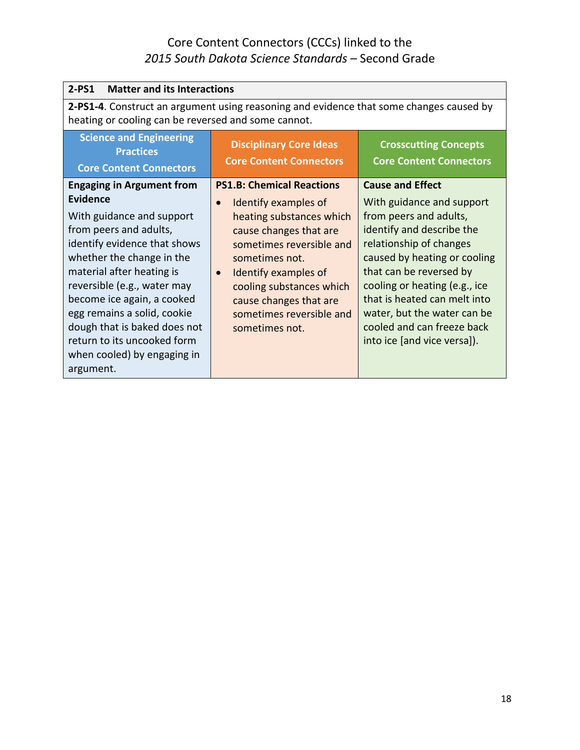| <b>Matter and its Interactions</b><br>$2-PS1$                                                                                                                                                                                                                                                                                                                                                        |                                                                                                                                                                                                                                                                                                                    |                                                                                                                                                                                                                                                                                                                                                                |
|------------------------------------------------------------------------------------------------------------------------------------------------------------------------------------------------------------------------------------------------------------------------------------------------------------------------------------------------------------------------------------------------------|--------------------------------------------------------------------------------------------------------------------------------------------------------------------------------------------------------------------------------------------------------------------------------------------------------------------|----------------------------------------------------------------------------------------------------------------------------------------------------------------------------------------------------------------------------------------------------------------------------------------------------------------------------------------------------------------|
| 2-PS1-4. Construct an argument using reasoning and evidence that some changes caused by<br>heating or cooling can be reversed and some cannot.                                                                                                                                                                                                                                                       |                                                                                                                                                                                                                                                                                                                    |                                                                                                                                                                                                                                                                                                                                                                |
| <b>Science and Engineering</b><br><b>Practices</b><br><b>Core Content Connectors</b>                                                                                                                                                                                                                                                                                                                 | <b>Disciplinary Core Ideas</b><br><b>Core Content Connectors</b>                                                                                                                                                                                                                                                   | <b>Crosscutting Concepts</b><br><b>Core Content Connectors</b>                                                                                                                                                                                                                                                                                                 |
| <b>Engaging in Argument from</b><br>Evidence<br>With guidance and support<br>from peers and adults,<br>identify evidence that shows<br>whether the change in the<br>material after heating is<br>reversible (e.g., water may<br>become ice again, a cooked<br>egg remains a solid, cookie<br>dough that is baked does not<br>return to its uncooked form<br>when cooled) by engaging in<br>argument. | <b>PS1.B: Chemical Reactions</b><br>Identify examples of<br>$\bullet$<br>heating substances which<br>cause changes that are<br>sometimes reversible and<br>sometimes not.<br>Identify examples of<br>$\bullet$<br>cooling substances which<br>cause changes that are<br>sometimes reversible and<br>sometimes not. | <b>Cause and Effect</b><br>With guidance and support<br>from peers and adults,<br>identify and describe the<br>relationship of changes<br>caused by heating or cooling<br>that can be reversed by<br>cooling or heating (e.g., ice<br>that is heated can melt into<br>water, but the water can be<br>cooled and can freeze back<br>into ice [and vice versa]). |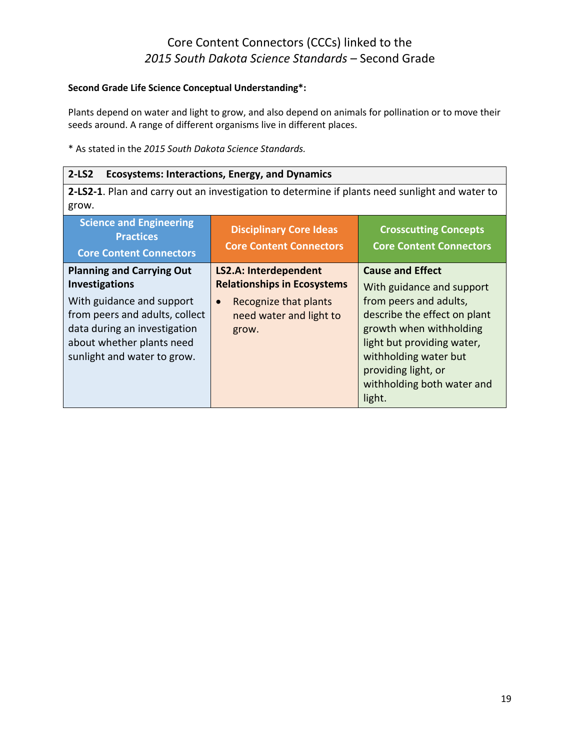#### **Second Grade Life Science Conceptual Understanding\*:**

Plants depend on water and light to grow, and also depend on animals for pollination or to move their seeds around. A range of different organisms live in different places.

\* As stated in the *2015 South Dakota Science Standards.*

#### **2-LS2 Ecosystems: Interactions, Energy, and Dynamics**

**2-LS2-1**. Plan and carry out an investigation to determine if plants need sunlight and water to grow.

| <b>Science and Engineering</b><br><b>Practices</b><br><b>Core Content Connectors</b> | <b>Disciplinary Core Ideas</b><br><b>Core Content Connectors</b> | <b>Crosscutting Concepts</b><br><b>Core Content Connectors</b> |
|--------------------------------------------------------------------------------------|------------------------------------------------------------------|----------------------------------------------------------------|
| <b>Planning and Carrying Out</b>                                                     | <b>LS2.A: Interdependent</b>                                     | <b>Cause and Effect</b>                                        |
| <b>Investigations</b>                                                                | <b>Relationships in Ecosystems</b>                               | With guidance and support                                      |
| With guidance and support                                                            | Recognize that plants<br>$\bullet$                               | from peers and adults,                                         |
| from peers and adults, collect                                                       | need water and light to                                          | describe the effect on plant                                   |
| data during an investigation                                                         | grow.                                                            | growth when withholding                                        |
| about whether plants need                                                            |                                                                  | light but providing water,                                     |
| sunlight and water to grow.                                                          |                                                                  | withholding water but                                          |
|                                                                                      |                                                                  | providing light, or                                            |
|                                                                                      |                                                                  | withholding both water and                                     |
|                                                                                      |                                                                  | light.                                                         |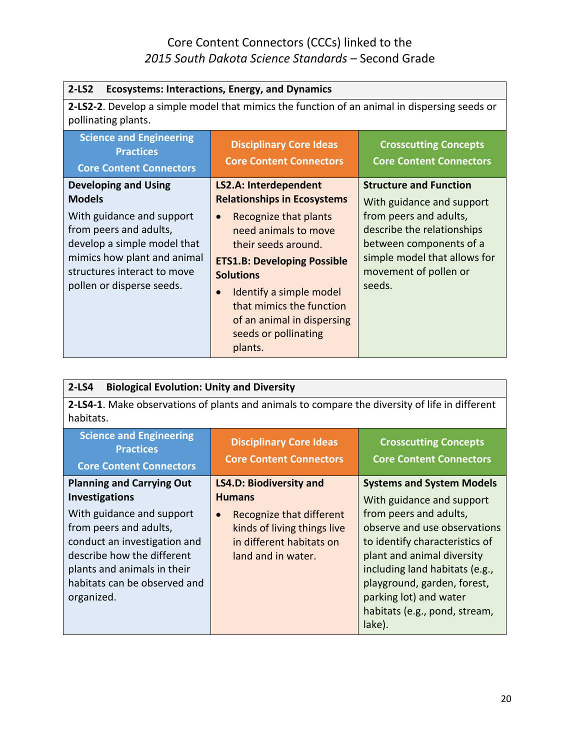| $2-LS2$<br><b>Ecosystems: Interactions, Energy, and Dynamics</b>                                                                                                              |                                                                                                                                                                                                                                                                                  |                                                                                                                                                    |
|-------------------------------------------------------------------------------------------------------------------------------------------------------------------------------|----------------------------------------------------------------------------------------------------------------------------------------------------------------------------------------------------------------------------------------------------------------------------------|----------------------------------------------------------------------------------------------------------------------------------------------------|
| 2-LS2-2. Develop a simple model that mimics the function of an animal in dispersing seeds or<br>pollinating plants.                                                           |                                                                                                                                                                                                                                                                                  |                                                                                                                                                    |
| <b>Science and Engineering</b><br><b>Practices</b><br><b>Core Content Connectors</b>                                                                                          | <b>Disciplinary Core Ideas</b><br><b>Core Content Connectors</b>                                                                                                                                                                                                                 | <b>Crosscutting Concepts</b><br><b>Core Content Connectors</b>                                                                                     |
| <b>Developing and Using</b><br><b>Models</b>                                                                                                                                  | <b>LS2.A: Interdependent</b><br><b>Relationships in Ecosystems</b>                                                                                                                                                                                                               | <b>Structure and Function</b><br>With guidance and support                                                                                         |
| With guidance and support<br>from peers and adults,<br>develop a simple model that<br>mimics how plant and animal<br>structures interact to move<br>pollen or disperse seeds. | Recognize that plants<br>$\bullet$<br>need animals to move<br>their seeds around.<br><b>ETS1.B: Developing Possible</b><br><b>Solutions</b><br>Identify a simple model<br>$\bullet$<br>that mimics the function<br>of an animal in dispersing<br>seeds or pollinating<br>plants. | from peers and adults,<br>describe the relationships<br>between components of a<br>simple model that allows for<br>movement of pollen or<br>seeds. |

| $2-LS4$<br><b>Biological Evolution: Unity and Diversity</b>                                                                                                                                                                                          |                                                                                                                                                                           |                                                                                                                                                                                                                                                                                                                               |
|------------------------------------------------------------------------------------------------------------------------------------------------------------------------------------------------------------------------------------------------------|---------------------------------------------------------------------------------------------------------------------------------------------------------------------------|-------------------------------------------------------------------------------------------------------------------------------------------------------------------------------------------------------------------------------------------------------------------------------------------------------------------------------|
| 2-LS4-1. Make observations of plants and animals to compare the diversity of life in different<br>habitats.                                                                                                                                          |                                                                                                                                                                           |                                                                                                                                                                                                                                                                                                                               |
| <b>Science and Engineering</b><br><b>Practices</b><br><b>Core Content Connectors</b>                                                                                                                                                                 | <b>Disciplinary Core Ideas</b><br><b>Core Content Connectors</b>                                                                                                          | <b>Crosscutting Concepts</b><br><b>Core Content Connectors</b>                                                                                                                                                                                                                                                                |
| <b>Planning and Carrying Out</b><br>Investigations<br>With guidance and support<br>from peers and adults,<br>conduct an investigation and<br>describe how the different<br>plants and animals in their<br>habitats can be observed and<br>organized. | <b>LS4.D: Biodiversity and</b><br><b>Humans</b><br>Recognize that different<br>$\bullet$<br>kinds of living things live<br>in different habitats on<br>land and in water. | <b>Systems and System Models</b><br>With guidance and support<br>from peers and adults,<br>observe and use observations<br>to identify characteristics of<br>plant and animal diversity<br>including land habitats (e.g.,<br>playground, garden, forest,<br>parking lot) and water<br>habitats (e.g., pond, stream,<br>lake). |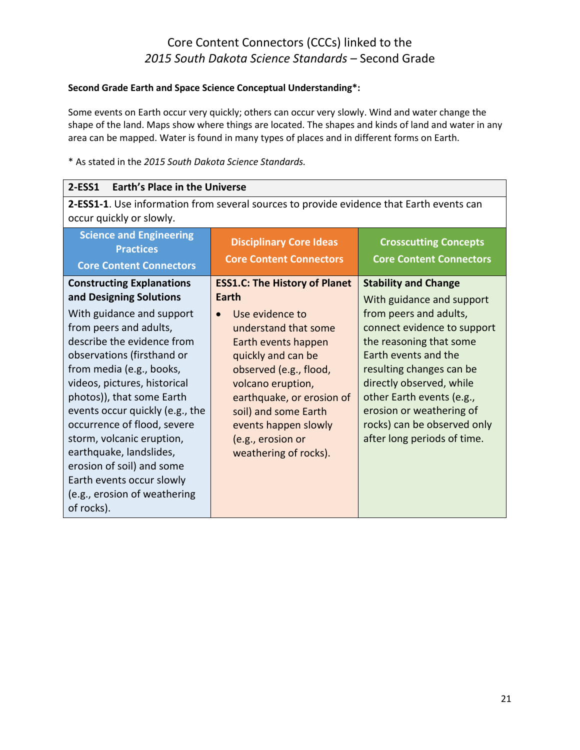#### **Second Grade Earth and Space Science Conceptual Understanding\*:**

Some events on Earth occur very quickly; others can occur very slowly. Wind and water change the shape of the land. Maps show where things are located. The shapes and kinds of land and water in any area can be mapped. Water is found in many types of places and in different forms on Earth.

| <b>Earth's Place in the Universe</b><br>2-ESS1                                                                                                                                                                                                                                                                                                                                                                                                                                                            |                                                                                                                                                                                                                                                                                                                 |                                                                                                                                                                                                                                                                                                                                                     |
|-----------------------------------------------------------------------------------------------------------------------------------------------------------------------------------------------------------------------------------------------------------------------------------------------------------------------------------------------------------------------------------------------------------------------------------------------------------------------------------------------------------|-----------------------------------------------------------------------------------------------------------------------------------------------------------------------------------------------------------------------------------------------------------------------------------------------------------------|-----------------------------------------------------------------------------------------------------------------------------------------------------------------------------------------------------------------------------------------------------------------------------------------------------------------------------------------------------|
| 2-ESS1-1. Use information from several sources to provide evidence that Earth events can<br>occur quickly or slowly.                                                                                                                                                                                                                                                                                                                                                                                      |                                                                                                                                                                                                                                                                                                                 |                                                                                                                                                                                                                                                                                                                                                     |
| <b>Science and Engineering</b><br><b>Practices</b><br><b>Core Content Connectors</b>                                                                                                                                                                                                                                                                                                                                                                                                                      | <b>Disciplinary Core Ideas</b><br><b>Core Content Connectors</b>                                                                                                                                                                                                                                                | <b>Crosscutting Concepts</b><br><b>Core Content Connectors</b>                                                                                                                                                                                                                                                                                      |
| <b>Constructing Explanations</b><br>and Designing Solutions<br>With guidance and support<br>from peers and adults,<br>describe the evidence from<br>observations (firsthand or<br>from media (e.g., books,<br>videos, pictures, historical<br>photos)), that some Earth<br>events occur quickly (e.g., the<br>occurrence of flood, severe<br>storm, volcanic eruption,<br>earthquake, landslides,<br>erosion of soil) and some<br>Earth events occur slowly<br>(e.g., erosion of weathering<br>of rocks). | <b>ESS1.C: The History of Planet</b><br>Earth<br>Use evidence to<br>understand that some<br>Earth events happen<br>quickly and can be<br>observed (e.g., flood,<br>volcano eruption,<br>earthquake, or erosion of<br>soil) and some Earth<br>events happen slowly<br>(e.g., erosion or<br>weathering of rocks). | <b>Stability and Change</b><br>With guidance and support<br>from peers and adults,<br>connect evidence to support<br>the reasoning that some<br>Earth events and the<br>resulting changes can be<br>directly observed, while<br>other Earth events (e.g.,<br>erosion or weathering of<br>rocks) can be observed only<br>after long periods of time. |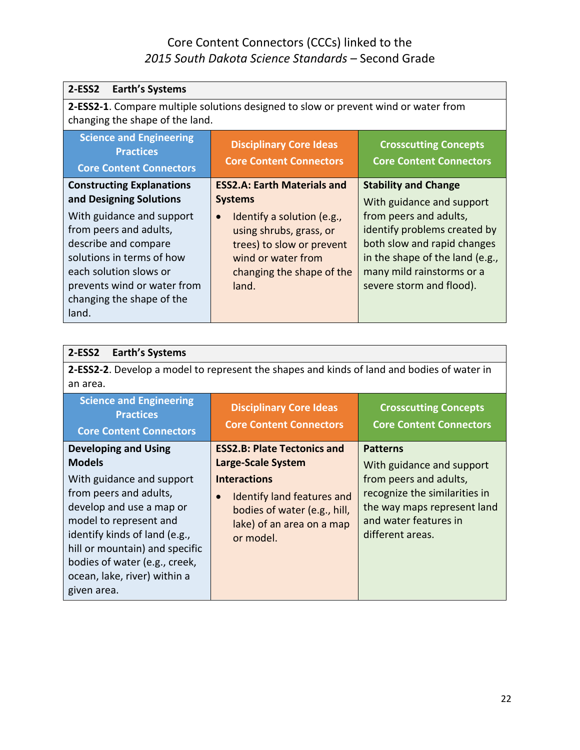| $2-ESS2$<br><b>Earth's Systems</b>                                                                                                               |                                                                                                                            |                                                                                                                         |
|--------------------------------------------------------------------------------------------------------------------------------------------------|----------------------------------------------------------------------------------------------------------------------------|-------------------------------------------------------------------------------------------------------------------------|
| changing the shape of the land.                                                                                                                  | 2-ESS2-1. Compare multiple solutions designed to slow or prevent wind or water from                                        |                                                                                                                         |
| <b>Science and Engineering</b><br><b>Practices</b><br><b>Core Content Connectors</b>                                                             | <b>Disciplinary Core Ideas</b><br><b>Core Content Connectors</b>                                                           | <b>Crosscutting Concepts</b><br><b>Core Content Connectors</b>                                                          |
| <b>Constructing Explanations</b><br>and Designing Solutions<br>With guidance and support<br>from peers and adults,                               | <b>ESS2.A: Earth Materials and</b><br><b>Systems</b><br>Identify a solution (e.g.,<br>$\bullet$<br>using shrubs, grass, or | <b>Stability and Change</b><br>With guidance and support<br>from peers and adults,<br>identify problems created by      |
| describe and compare<br>solutions in terms of how<br>each solution slows or<br>prevents wind or water from<br>changing the shape of the<br>land. | trees) to slow or prevent<br>wind or water from<br>changing the shape of the<br>land.                                      | both slow and rapid changes<br>in the shape of the land (e.g.,<br>many mild rainstorms or a<br>severe storm and flood). |

| <b>Earth's Systems</b><br>2-ESS2                                                                                                                                                                                                                                                                             |                                                                                                                                                                                                             |                                                                                                                                                                                     |
|--------------------------------------------------------------------------------------------------------------------------------------------------------------------------------------------------------------------------------------------------------------------------------------------------------------|-------------------------------------------------------------------------------------------------------------------------------------------------------------------------------------------------------------|-------------------------------------------------------------------------------------------------------------------------------------------------------------------------------------|
| 2-ESS2-2. Develop a model to represent the shapes and kinds of land and bodies of water in<br>an area.                                                                                                                                                                                                       |                                                                                                                                                                                                             |                                                                                                                                                                                     |
| <b>Science and Engineering</b><br><b>Practices</b><br><b>Core Content Connectors</b>                                                                                                                                                                                                                         | <b>Disciplinary Core Ideas</b><br><b>Core Content Connectors</b>                                                                                                                                            | <b>Crosscutting Concepts</b><br><b>Core Content Connectors</b>                                                                                                                      |
| <b>Developing and Using</b><br><b>Models</b><br>With guidance and support<br>from peers and adults,<br>develop and use a map or<br>model to represent and<br>identify kinds of land (e.g.,<br>hill or mountain) and specific<br>bodies of water (e.g., creek,<br>ocean, lake, river) within a<br>given area. | <b>ESS2.B: Plate Tectonics and</b><br>Large-Scale System<br><b>Interactions</b><br><b>Identify land features and</b><br>$\bullet$<br>bodies of water (e.g., hill,<br>lake) of an area on a map<br>or model. | <b>Patterns</b><br>With guidance and support<br>from peers and adults,<br>recognize the similarities in<br>the way maps represent land<br>and water features in<br>different areas. |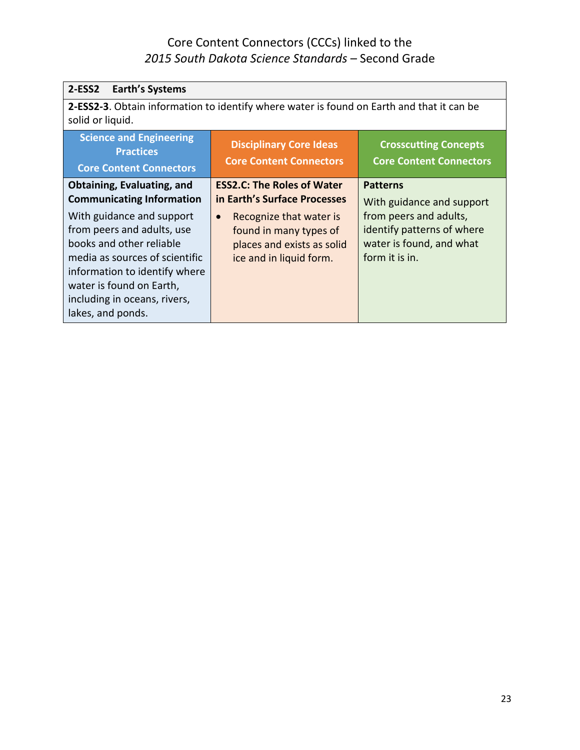| <b>Earth's Systems</b><br>2-ESS2                                                                                                                                                                                                        |                                                                                                                         |                                                                                                    |
|-----------------------------------------------------------------------------------------------------------------------------------------------------------------------------------------------------------------------------------------|-------------------------------------------------------------------------------------------------------------------------|----------------------------------------------------------------------------------------------------|
| 2-ESS2-3. Obtain information to identify where water is found on Earth and that it can be<br>solid or liquid.                                                                                                                           |                                                                                                                         |                                                                                                    |
| <b>Science and Engineering</b><br><b>Practices</b><br><b>Core Content Connectors</b>                                                                                                                                                    | <b>Disciplinary Core Ideas</b><br><b>Core Content Connectors</b>                                                        | <b>Crosscutting Concepts</b><br><b>Core Content Connectors</b>                                     |
| Obtaining, Evaluating, and<br><b>Communicating Information</b>                                                                                                                                                                          | <b>ESS2.C: The Roles of Water</b><br>in Earth's Surface Processes                                                       | <b>Patterns</b><br>With guidance and support                                                       |
| With guidance and support<br>from peers and adults, use<br>books and other reliable<br>media as sources of scientific<br>information to identify where<br>water is found on Earth,<br>including in oceans, rivers,<br>lakes, and ponds. | Recognize that water is<br>$\bullet$<br>found in many types of<br>places and exists as solid<br>ice and in liquid form. | from peers and adults,<br>identify patterns of where<br>water is found, and what<br>form it is in. |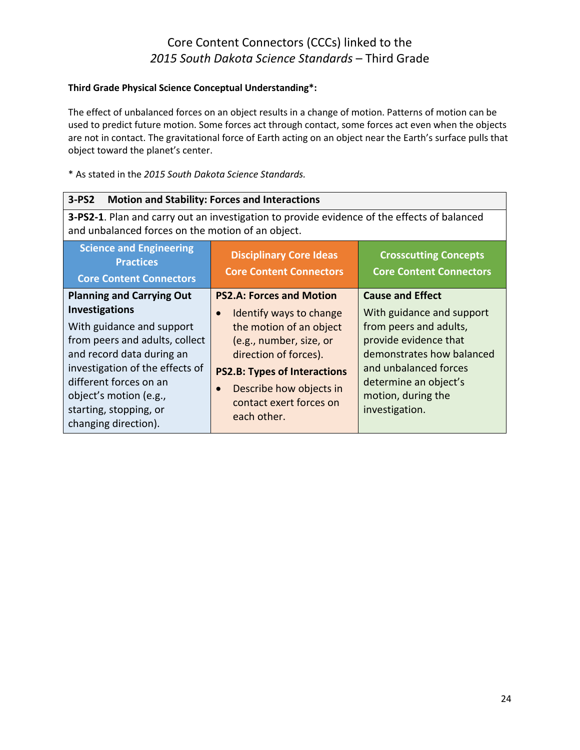#### **Third Grade Physical Science Conceptual Understanding\*:**

The effect of unbalanced forces on an object results in a change of motion. Patterns of motion can be used to predict future motion. Some forces act through contact, some forces act even when the objects are not in contact. The gravitational force of Earth acting on an object near the Earth's surface pulls that object toward the planet's center.

| $3-PS2$<br><b>Motion and Stability: Forces and Interactions</b>                                                                                                                                                                                                                                |                                                                                                                                                                                                                                                       |                                                                                                                                                                                                                                |
|------------------------------------------------------------------------------------------------------------------------------------------------------------------------------------------------------------------------------------------------------------------------------------------------|-------------------------------------------------------------------------------------------------------------------------------------------------------------------------------------------------------------------------------------------------------|--------------------------------------------------------------------------------------------------------------------------------------------------------------------------------------------------------------------------------|
| and unbalanced forces on the motion of an object.                                                                                                                                                                                                                                              | 3-PS2-1. Plan and carry out an investigation to provide evidence of the effects of balanced                                                                                                                                                           |                                                                                                                                                                                                                                |
| <b>Science and Engineering</b><br><b>Practices</b><br><b>Core Content Connectors</b>                                                                                                                                                                                                           | <b>Disciplinary Core Ideas</b><br><b>Core Content Connectors</b>                                                                                                                                                                                      | <b>Crosscutting Concepts</b><br><b>Core Content Connectors</b>                                                                                                                                                                 |
| <b>Planning and Carrying Out</b><br><b>Investigations</b><br>With guidance and support<br>from peers and adults, collect<br>and record data during an<br>investigation of the effects of<br>different forces on an<br>object's motion (e.g.,<br>starting, stopping, or<br>changing direction). | <b>PS2.A: Forces and Motion</b><br>Identify ways to change<br>the motion of an object<br>(e.g., number, size, or<br>direction of forces).<br><b>PS2.B: Types of Interactions</b><br>Describe how objects in<br>contact exert forces on<br>each other. | <b>Cause and Effect</b><br>With guidance and support<br>from peers and adults,<br>provide evidence that<br>demonstrates how balanced<br>and unbalanced forces<br>determine an object's<br>motion, during the<br>investigation. |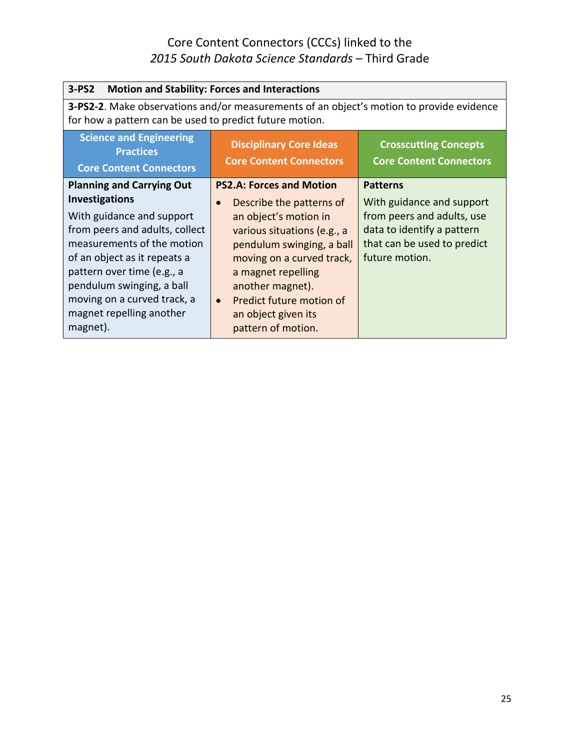| $3-PS2$<br><b>Motion and Stability: Forces and Interactions</b>                                                                                     |                                                                  |                                                                |
|-----------------------------------------------------------------------------------------------------------------------------------------------------|------------------------------------------------------------------|----------------------------------------------------------------|
| 3-PS2-2. Make observations and/or measurements of an object's motion to provide evidence<br>for how a pattern can be used to predict future motion. |                                                                  |                                                                |
| <b>Science and Engineering</b><br><b>Practices</b><br><b>Core Content Connectors</b>                                                                | <b>Disciplinary Core Ideas</b><br><b>Core Content Connectors</b> | <b>Crosscutting Concepts</b><br><b>Core Content Connectors</b> |
| <b>Planning and Carrying Out</b>                                                                                                                    | <b>PS2.A: Forces and Motion</b>                                  | <b>Patterns</b>                                                |
| <b>Investigations</b>                                                                                                                               | Describe the patterns of<br>$\bullet$                            | With guidance and support                                      |
| With guidance and support                                                                                                                           | an object's motion in                                            | from peers and adults, use                                     |
| from peers and adults, collect                                                                                                                      | various situations (e.g., a                                      | data to identify a pattern                                     |
| measurements of the motion                                                                                                                          | pendulum swinging, a ball                                        | that can be used to predict                                    |
| of an object as it repeats a                                                                                                                        | moving on a curved track,                                        | future motion.                                                 |
| pattern over time (e.g., a                                                                                                                          | a magnet repelling                                               |                                                                |
| pendulum swinging, a ball                                                                                                                           | another magnet).                                                 |                                                                |
| moving on a curved track, a                                                                                                                         | Predict future motion of<br>$\bullet$                            |                                                                |
| magnet repelling another                                                                                                                            | an object given its                                              |                                                                |
| magnet).                                                                                                                                            | pattern of motion.                                               |                                                                |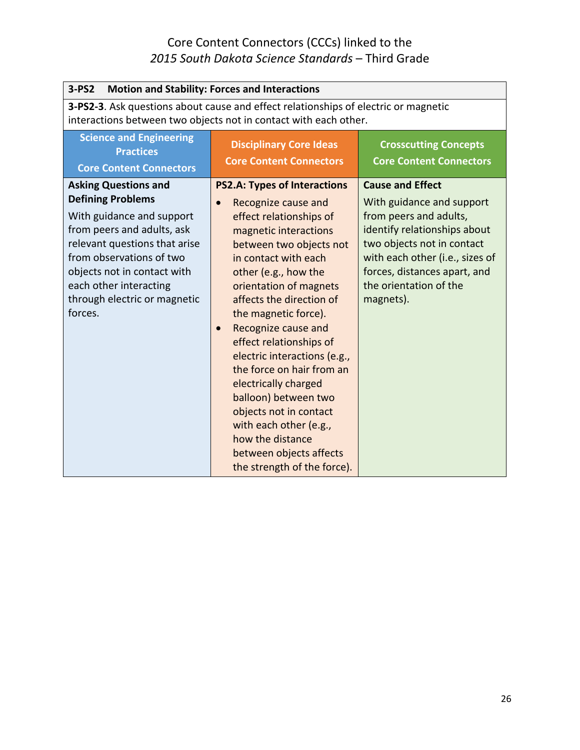| $3-PS2$<br><b>Motion and Stability: Forces and Interactions</b>                                                                                                                                                                                                                     |                                                                                                                                                                                                                                                                                                                                                                                                                                                                                                                                                                          |                                                                                                                                                                                                                                                        |
|-------------------------------------------------------------------------------------------------------------------------------------------------------------------------------------------------------------------------------------------------------------------------------------|--------------------------------------------------------------------------------------------------------------------------------------------------------------------------------------------------------------------------------------------------------------------------------------------------------------------------------------------------------------------------------------------------------------------------------------------------------------------------------------------------------------------------------------------------------------------------|--------------------------------------------------------------------------------------------------------------------------------------------------------------------------------------------------------------------------------------------------------|
| <b>3-PS2-3</b> . Ask questions about cause and effect relationships of electric or magnetic<br>interactions between two objects not in contact with each other.                                                                                                                     |                                                                                                                                                                                                                                                                                                                                                                                                                                                                                                                                                                          |                                                                                                                                                                                                                                                        |
| <b>Science and Engineering</b><br><b>Practices</b><br><b>Core Content Connectors</b>                                                                                                                                                                                                | <b>Disciplinary Core Ideas</b><br><b>Core Content Connectors</b>                                                                                                                                                                                                                                                                                                                                                                                                                                                                                                         | <b>Crosscutting Concepts</b><br><b>Core Content Connectors</b>                                                                                                                                                                                         |
| <b>Asking Questions and</b><br><b>Defining Problems</b><br>With guidance and support<br>from peers and adults, ask<br>relevant questions that arise<br>from observations of two<br>objects not in contact with<br>each other interacting<br>through electric or magnetic<br>forces. | <b>PS2.A: Types of Interactions</b><br>Recognize cause and<br>effect relationships of<br>magnetic interactions<br>between two objects not<br>in contact with each<br>other (e.g., how the<br>orientation of magnets<br>affects the direction of<br>the magnetic force).<br>Recognize cause and<br>effect relationships of<br>electric interactions (e.g.,<br>the force on hair from an<br>electrically charged<br>balloon) between two<br>objects not in contact<br>with each other (e.g.,<br>how the distance<br>between objects affects<br>the strength of the force). | <b>Cause and Effect</b><br>With guidance and support<br>from peers and adults,<br>identify relationships about<br>two objects not in contact<br>with each other (i.e., sizes of<br>forces, distances apart, and<br>the orientation of the<br>magnets). |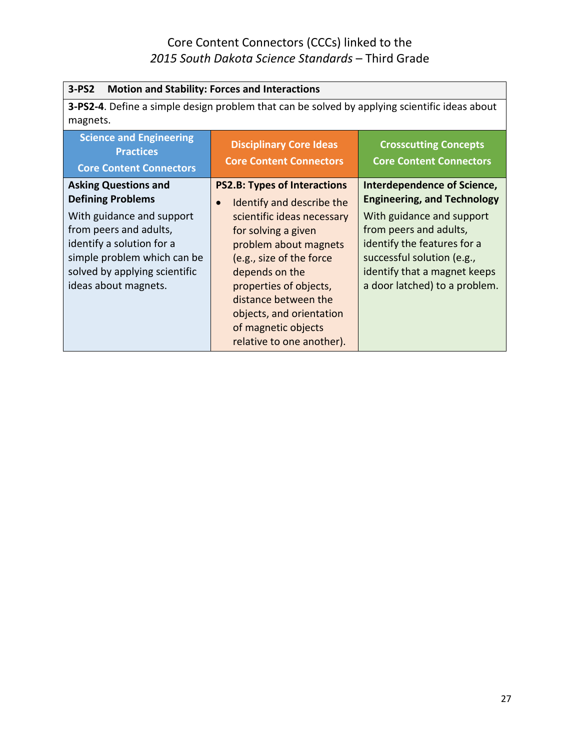| $3-PS2$<br><b>Motion and Stability: Forces and Interactions</b>                                                                                                                                                                     |                                                                                                                                                                                                                                                                                                   |                                                                                                                                                                                                                                                               |
|-------------------------------------------------------------------------------------------------------------------------------------------------------------------------------------------------------------------------------------|---------------------------------------------------------------------------------------------------------------------------------------------------------------------------------------------------------------------------------------------------------------------------------------------------|---------------------------------------------------------------------------------------------------------------------------------------------------------------------------------------------------------------------------------------------------------------|
|                                                                                                                                                                                                                                     | <b>3-PS2-4.</b> Define a simple design problem that can be solved by applying scientific ideas about                                                                                                                                                                                              |                                                                                                                                                                                                                                                               |
| magnets.                                                                                                                                                                                                                            |                                                                                                                                                                                                                                                                                                   |                                                                                                                                                                                                                                                               |
| <b>Science and Engineering</b><br><b>Practices</b>                                                                                                                                                                                  | <b>Disciplinary Core Ideas</b>                                                                                                                                                                                                                                                                    | <b>Crosscutting Concepts</b>                                                                                                                                                                                                                                  |
| <b>Core Content Connectors</b>                                                                                                                                                                                                      | <b>Core Content Connectors</b>                                                                                                                                                                                                                                                                    | <b>Core Content Connectors</b>                                                                                                                                                                                                                                |
| <b>Asking Questions and</b><br><b>Defining Problems</b><br>With guidance and support<br>from peers and adults,<br>identify a solution for a<br>simple problem which can be<br>solved by applying scientific<br>ideas about magnets. | <b>PS2.B: Types of Interactions</b><br>Identify and describe the<br>scientific ideas necessary<br>for solving a given<br>problem about magnets<br>(e.g., size of the force<br>depends on the<br>properties of objects,<br>distance between the<br>objects, and orientation<br>of magnetic objects | <b>Interdependence of Science,</b><br><b>Engineering, and Technology</b><br>With guidance and support<br>from peers and adults,<br>identify the features for a<br>successful solution (e.g.,<br>identify that a magnet keeps<br>a door latched) to a problem. |
|                                                                                                                                                                                                                                     | relative to one another).                                                                                                                                                                                                                                                                         |                                                                                                                                                                                                                                                               |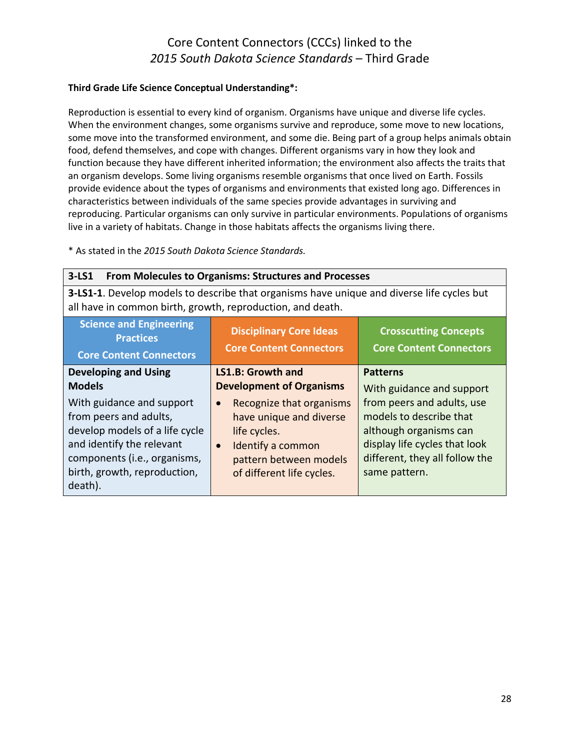#### **Third Grade Life Science Conceptual Understanding\*:**

Reproduction is essential to every kind of organism. Organisms have unique and diverse life cycles. When the environment changes, some organisms survive and reproduce, some move to new locations, some move into the transformed environment, and some die. Being part of a group helps animals obtain food, defend themselves, and cope with changes. Different organisms vary in how they look and function because they have different inherited information; the environment also affects the traits that an organism develops. Some living organisms resemble organisms that once lived on Earth. Fossils provide evidence about the types of organisms and environments that existed long ago. Differences in characteristics between individuals of the same species provide advantages in surviving and reproducing. Particular organisms can only survive in particular environments. Populations of organisms live in a variety of habitats. Change in those habitats affects the organisms living there.

| <b>From Molecules to Organisms: Structures and Processes</b><br>$3-LS1$                                                                                         |                                                                  |                                                                |
|-----------------------------------------------------------------------------------------------------------------------------------------------------------------|------------------------------------------------------------------|----------------------------------------------------------------|
| <b>3-LS1-1.</b> Develop models to describe that organisms have unique and diverse life cycles but<br>all have in common birth, growth, reproduction, and death. |                                                                  |                                                                |
| <b>Science and Engineering</b><br><b>Practices</b><br><b>Core Content Connectors</b>                                                                            | <b>Disciplinary Core Ideas</b><br><b>Core Content Connectors</b> | <b>Crosscutting Concepts</b><br><b>Core Content Connectors</b> |
| <b>Developing and Using</b>                                                                                                                                     | <b>LS1.B: Growth and</b>                                         | <b>Patterns</b>                                                |
| <b>Models</b>                                                                                                                                                   | <b>Development of Organisms</b>                                  | With guidance and support                                      |
| With guidance and support                                                                                                                                       | Recognize that organisms<br>$\bullet$                            | from peers and adults, use                                     |
| from peers and adults,                                                                                                                                          | have unique and diverse                                          | models to describe that                                        |
| develop models of a life cycle                                                                                                                                  | life cycles.                                                     | although organisms can                                         |
| and identify the relevant                                                                                                                                       | Identify a common<br>$\bullet$                                   | display life cycles that look                                  |
| components (i.e., organisms,                                                                                                                                    | pattern between models                                           | different, they all follow the                                 |
| birth, growth, reproduction,<br>death).                                                                                                                         | of different life cycles.                                        | same pattern.                                                  |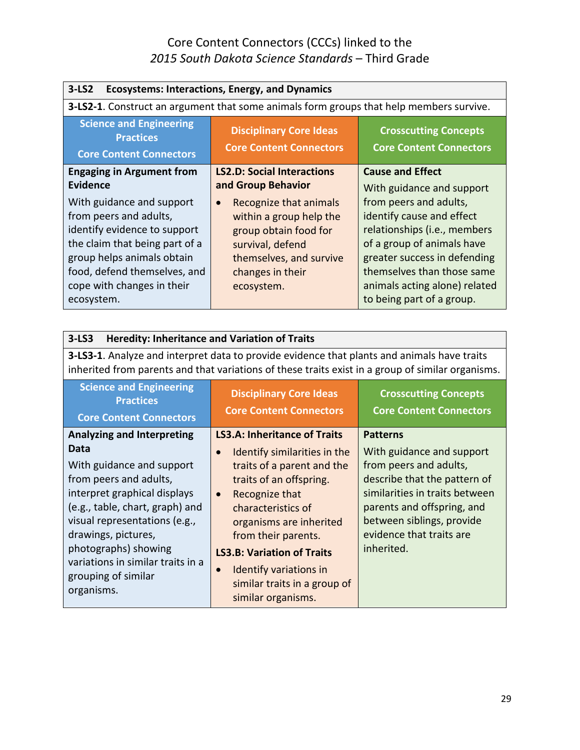| $3-LS2$<br><b>Ecosystems: Interactions, Energy, and Dynamics</b>                                                                                                                                                                |                                                                                                                                                                          |                                                                                                                                                                                                                                                                            |
|---------------------------------------------------------------------------------------------------------------------------------------------------------------------------------------------------------------------------------|--------------------------------------------------------------------------------------------------------------------------------------------------------------------------|----------------------------------------------------------------------------------------------------------------------------------------------------------------------------------------------------------------------------------------------------------------------------|
|                                                                                                                                                                                                                                 | <b>3-LS2-1.</b> Construct an argument that some animals form groups that help members survive.                                                                           |                                                                                                                                                                                                                                                                            |
| <b>Science and Engineering</b><br><b>Practices</b><br><b>Core Content Connectors</b>                                                                                                                                            | <b>Disciplinary Core Ideas</b><br><b>Core Content Connectors</b>                                                                                                         | <b>Crosscutting Concepts</b><br><b>Core Content Connectors</b>                                                                                                                                                                                                             |
| <b>Engaging in Argument from</b><br><b>Evidence</b>                                                                                                                                                                             | <b>LS2.D: Social Interactions</b><br>and Group Behavior                                                                                                                  | <b>Cause and Effect</b>                                                                                                                                                                                                                                                    |
| With guidance and support<br>from peers and adults,<br>identify evidence to support<br>the claim that being part of a<br>group helps animals obtain<br>food, defend themselves, and<br>cope with changes in their<br>ecosystem. | Recognize that animals<br>$\bullet$<br>within a group help the<br>group obtain food for<br>survival, defend<br>themselves, and survive<br>changes in their<br>ecosystem. | With guidance and support<br>from peers and adults,<br>identify cause and effect<br>relationships (i.e., members<br>of a group of animals have<br>greater success in defending<br>themselves than those same<br>animals acting alone) related<br>to being part of a group. |

| Heredity: Inheritance and Variation of Traits<br>$3-LS3$                                                                                                                                                                                            |                                                                                                                                                                                                                                                |                                                                                                                                                                                                                            |
|-----------------------------------------------------------------------------------------------------------------------------------------------------------------------------------------------------------------------------------------------------|------------------------------------------------------------------------------------------------------------------------------------------------------------------------------------------------------------------------------------------------|----------------------------------------------------------------------------------------------------------------------------------------------------------------------------------------------------------------------------|
|                                                                                                                                                                                                                                                     | 3-LS3-1. Analyze and interpret data to provide evidence that plants and animals have traits<br>inherited from parents and that variations of these traits exist in a group of similar organisms.                                               |                                                                                                                                                                                                                            |
| <b>Science and Engineering</b><br><b>Practices</b><br><b>Core Content Connectors</b>                                                                                                                                                                | <b>Disciplinary Core Ideas</b><br><b>Core Content Connectors</b>                                                                                                                                                                               | <b>Crosscutting Concepts</b><br><b>Core Content Connectors</b>                                                                                                                                                             |
| <b>Analyzing and Interpreting</b>                                                                                                                                                                                                                   | <b>LS3.A: Inheritance of Traits</b>                                                                                                                                                                                                            | <b>Patterns</b>                                                                                                                                                                                                            |
| Data<br>With guidance and support<br>from peers and adults,<br>interpret graphical displays<br>(e.g., table, chart, graph) and<br>visual representations (e.g.,<br>drawings, pictures,<br>photographs) showing<br>variations in similar traits in a | Identify similarities in the<br>$\bullet$<br>traits of a parent and the<br>traits of an offspring.<br>Recognize that<br>$\bullet$<br>characteristics of<br>organisms are inherited<br>from their parents.<br><b>LS3.B: Variation of Traits</b> | With guidance and support<br>from peers and adults,<br>describe that the pattern of<br>similarities in traits between<br>parents and offspring, and<br>between siblings, provide<br>evidence that traits are<br>inherited. |
| grouping of similar<br>organisms.                                                                                                                                                                                                                   | <b>Identify variations in</b><br>$\bullet$<br>similar traits in a group of<br>similar organisms.                                                                                                                                               |                                                                                                                                                                                                                            |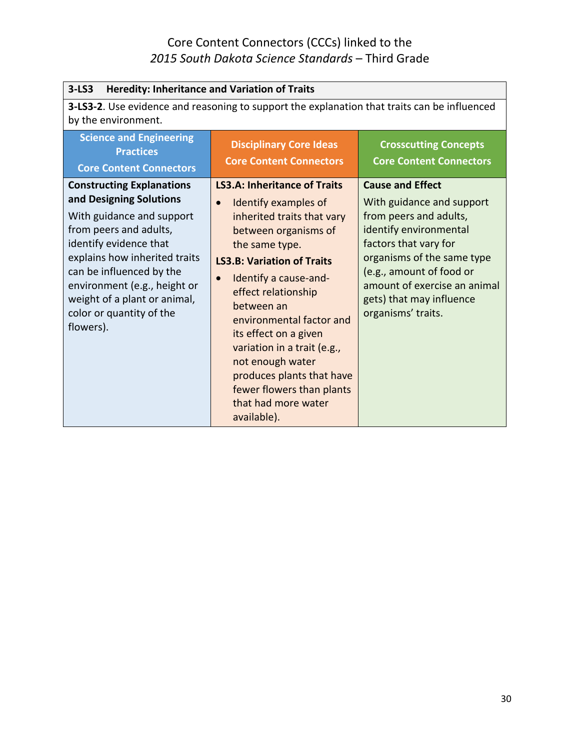| $3-LS3$<br><b>Heredity: Inheritance and Variation of Traits</b>                                                                                                                                                                                                                                                    |                                                                                                                                                                                                                                                                                                                                                                                                                                                                          |                                                                                                                                                                                                                                                                               |
|--------------------------------------------------------------------------------------------------------------------------------------------------------------------------------------------------------------------------------------------------------------------------------------------------------------------|--------------------------------------------------------------------------------------------------------------------------------------------------------------------------------------------------------------------------------------------------------------------------------------------------------------------------------------------------------------------------------------------------------------------------------------------------------------------------|-------------------------------------------------------------------------------------------------------------------------------------------------------------------------------------------------------------------------------------------------------------------------------|
| by the environment.                                                                                                                                                                                                                                                                                                | 3-LS3-2. Use evidence and reasoning to support the explanation that traits can be influenced                                                                                                                                                                                                                                                                                                                                                                             |                                                                                                                                                                                                                                                                               |
| <b>Science and Engineering</b><br><b>Practices</b><br><b>Core Content Connectors</b>                                                                                                                                                                                                                               | <b>Disciplinary Core Ideas</b><br><b>Core Content Connectors</b>                                                                                                                                                                                                                                                                                                                                                                                                         | <b>Crosscutting Concepts</b><br><b>Core Content Connectors</b>                                                                                                                                                                                                                |
| <b>Constructing Explanations</b><br>and Designing Solutions<br>With guidance and support<br>from peers and adults,<br>identify evidence that<br>explains how inherited traits<br>can be influenced by the<br>environment (e.g., height or<br>weight of a plant or animal,<br>color or quantity of the<br>flowers). | <b>LS3.A: Inheritance of Traits</b><br>Identify examples of<br>$\bullet$<br>inherited traits that vary<br>between organisms of<br>the same type.<br><b>LS3.B: Variation of Traits</b><br>Identify a cause-and-<br>$\bullet$<br>effect relationship<br>between an<br>environmental factor and<br>its effect on a given<br>variation in a trait (e.g.,<br>not enough water<br>produces plants that have<br>fewer flowers than plants<br>that had more water<br>available). | <b>Cause and Effect</b><br>With guidance and support<br>from peers and adults,<br>identify environmental<br>factors that vary for<br>organisms of the same type<br>(e.g., amount of food or<br>amount of exercise an animal<br>gets) that may influence<br>organisms' traits. |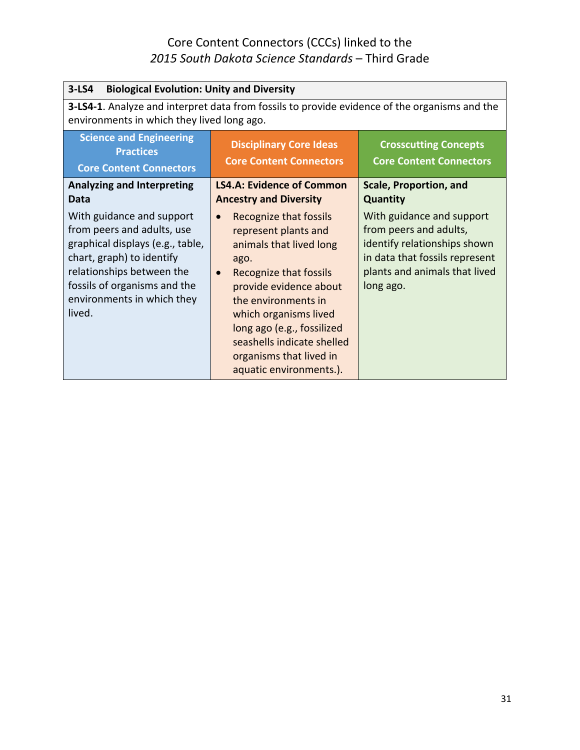| $3-LS4$<br><b>Biological Evolution: Unity and Diversity</b>                                                                                                                                                                   |                                                                                                                                                                                                                                                                                                                      |                                                                                                                                                                     |
|-------------------------------------------------------------------------------------------------------------------------------------------------------------------------------------------------------------------------------|----------------------------------------------------------------------------------------------------------------------------------------------------------------------------------------------------------------------------------------------------------------------------------------------------------------------|---------------------------------------------------------------------------------------------------------------------------------------------------------------------|
| environments in which they lived long ago.                                                                                                                                                                                    | <b>3-LS4-1</b> . Analyze and interpret data from fossils to provide evidence of the organisms and the                                                                                                                                                                                                                |                                                                                                                                                                     |
| <b>Science and Engineering</b><br><b>Practices</b><br><b>Core Content Connectors</b>                                                                                                                                          | <b>Disciplinary Core Ideas</b><br><b>Core Content Connectors</b>                                                                                                                                                                                                                                                     | <b>Crosscutting Concepts</b><br><b>Core Content Connectors</b>                                                                                                      |
| <b>Analyzing and Interpreting</b><br>Data                                                                                                                                                                                     | <b>LS4.A: Evidence of Common</b><br><b>Ancestry and Diversity</b>                                                                                                                                                                                                                                                    | <b>Scale, Proportion, and</b><br><b>Quantity</b>                                                                                                                    |
| With guidance and support<br>from peers and adults, use<br>graphical displays (e.g., table,<br>chart, graph) to identify<br>relationships between the<br>fossils of organisms and the<br>environments in which they<br>lived. | Recognize that fossils<br>represent plants and<br>animals that lived long<br>ago.<br>Recognize that fossils<br>$\bullet$<br>provide evidence about<br>the environments in<br>which organisms lived<br>long ago (e.g., fossilized<br>seashells indicate shelled<br>organisms that lived in<br>aquatic environments.). | With guidance and support<br>from peers and adults,<br>identify relationships shown<br>in data that fossils represent<br>plants and animals that lived<br>long ago. |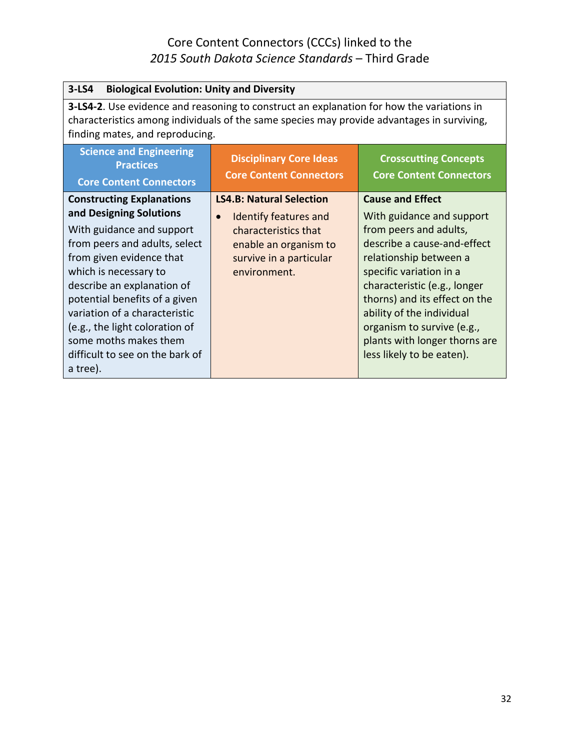| $3-LS4$<br><b>Biological Evolution: Unity and Diversity</b>                                                                                                                                                                                                                                                                                                                              |                                                                                                                                                                          |                                                                                                                                                                                                                                                                                                                                                              |
|------------------------------------------------------------------------------------------------------------------------------------------------------------------------------------------------------------------------------------------------------------------------------------------------------------------------------------------------------------------------------------------|--------------------------------------------------------------------------------------------------------------------------------------------------------------------------|--------------------------------------------------------------------------------------------------------------------------------------------------------------------------------------------------------------------------------------------------------------------------------------------------------------------------------------------------------------|
| <b>3-LS4-2.</b> Use evidence and reasoning to construct an explanation for how the variations in<br>characteristics among individuals of the same species may provide advantages in surviving,<br>finding mates, and reproducing.                                                                                                                                                        |                                                                                                                                                                          |                                                                                                                                                                                                                                                                                                                                                              |
| <b>Science and Engineering</b><br><b>Practices</b><br><b>Core Content Connectors</b>                                                                                                                                                                                                                                                                                                     | <b>Disciplinary Core Ideas</b><br><b>Core Content Connectors</b>                                                                                                         | <b>Crosscutting Concepts</b><br><b>Core Content Connectors</b>                                                                                                                                                                                                                                                                                               |
| <b>Constructing Explanations</b><br>and Designing Solutions<br>With guidance and support<br>from peers and adults, select<br>from given evidence that<br>which is necessary to<br>describe an explanation of<br>potential benefits of a given<br>variation of a characteristic<br>(e.g., the light coloration of<br>some moths makes them<br>difficult to see on the bark of<br>a tree). | <b>LS4.B: Natural Selection</b><br><b>Identify features and</b><br>$\bullet$<br>characteristics that<br>enable an organism to<br>survive in a particular<br>environment. | <b>Cause and Effect</b><br>With guidance and support<br>from peers and adults,<br>describe a cause-and-effect<br>relationship between a<br>specific variation in a<br>characteristic (e.g., longer<br>thorns) and its effect on the<br>ability of the individual<br>organism to survive (e.g.,<br>plants with longer thorns are<br>less likely to be eaten). |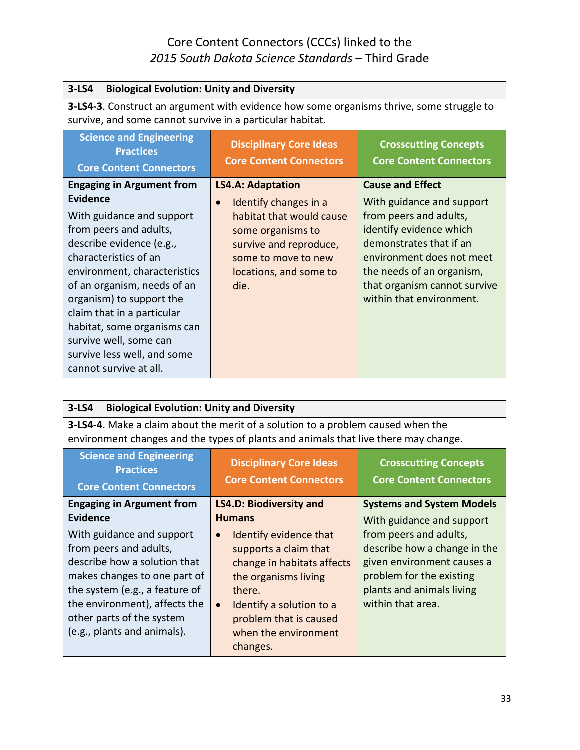| $3-LS4$<br><b>Biological Evolution: Unity and Diversity</b>                                                                                                                                                                                                                                                                                                                                         |                                                                                                                                                                                                    |                                                                                                                                                                                                                                                            |
|-----------------------------------------------------------------------------------------------------------------------------------------------------------------------------------------------------------------------------------------------------------------------------------------------------------------------------------------------------------------------------------------------------|----------------------------------------------------------------------------------------------------------------------------------------------------------------------------------------------------|------------------------------------------------------------------------------------------------------------------------------------------------------------------------------------------------------------------------------------------------------------|
| 3-LS4-3. Construct an argument with evidence how some organisms thrive, some struggle to<br>survive, and some cannot survive in a particular habitat.                                                                                                                                                                                                                                               |                                                                                                                                                                                                    |                                                                                                                                                                                                                                                            |
| <b>Science and Engineering</b><br><b>Practices</b><br><b>Core Content Connectors</b>                                                                                                                                                                                                                                                                                                                | <b>Disciplinary Core Ideas</b><br><b>Core Content Connectors</b>                                                                                                                                   | <b>Crosscutting Concepts</b><br><b>Core Content Connectors</b>                                                                                                                                                                                             |
| <b>Engaging in Argument from</b><br>Evidence<br>With guidance and support<br>from peers and adults,<br>describe evidence (e.g.,<br>characteristics of an<br>environment, characteristics<br>of an organism, needs of an<br>organism) to support the<br>claim that in a particular<br>habitat, some organisms can<br>survive well, some can<br>survive less well, and some<br>cannot survive at all. | <b>LS4.A: Adaptation</b><br>Identify changes in a<br>$\bullet$<br>habitat that would cause<br>some organisms to<br>survive and reproduce,<br>some to move to new<br>locations, and some to<br>die. | <b>Cause and Effect</b><br>With guidance and support<br>from peers and adults,<br>identify evidence which<br>demonstrates that if an<br>environment does not meet<br>the needs of an organism,<br>that organism cannot survive<br>within that environment. |

| $3-LS4$<br><b>Biological Evolution: Unity and Diversity</b>                                                                                                                                                                                        |                                                                                                                                                                                                                        |                                                                                                                                                                    |  |
|----------------------------------------------------------------------------------------------------------------------------------------------------------------------------------------------------------------------------------------------------|------------------------------------------------------------------------------------------------------------------------------------------------------------------------------------------------------------------------|--------------------------------------------------------------------------------------------------------------------------------------------------------------------|--|
| <b>3-LS4-4.</b> Make a claim about the merit of a solution to a problem caused when the<br>environment changes and the types of plants and animals that live there may change.                                                                     |                                                                                                                                                                                                                        |                                                                                                                                                                    |  |
| <b>Science and Engineering</b><br><b>Practices</b><br><b>Core Content Connectors</b>                                                                                                                                                               | <b>Disciplinary Core Ideas</b><br><b>Crosscutting Concepts</b><br><b>Core Content Connectors</b><br><b>Core Content Connectors</b>                                                                                     |                                                                                                                                                                    |  |
| <b>Engaging in Argument from</b><br><b>Evidence</b>                                                                                                                                                                                                | <b>LS4.D: Biodiversity and</b><br><b>Humans</b>                                                                                                                                                                        | <b>Systems and System Models</b><br>With guidance and support                                                                                                      |  |
| With guidance and support<br>from peers and adults,<br>describe how a solution that<br>makes changes to one part of<br>the system (e.g., a feature of<br>the environment), affects the<br>other parts of the system<br>(e.g., plants and animals). | Identify evidence that<br>supports a claim that<br>change in habitats affects<br>the organisms living<br>there.<br>Identify a solution to a<br>$\bullet$<br>problem that is caused<br>when the environment<br>changes. | from peers and adults,<br>describe how a change in the<br>given environment causes a<br>problem for the existing<br>plants and animals living<br>within that area. |  |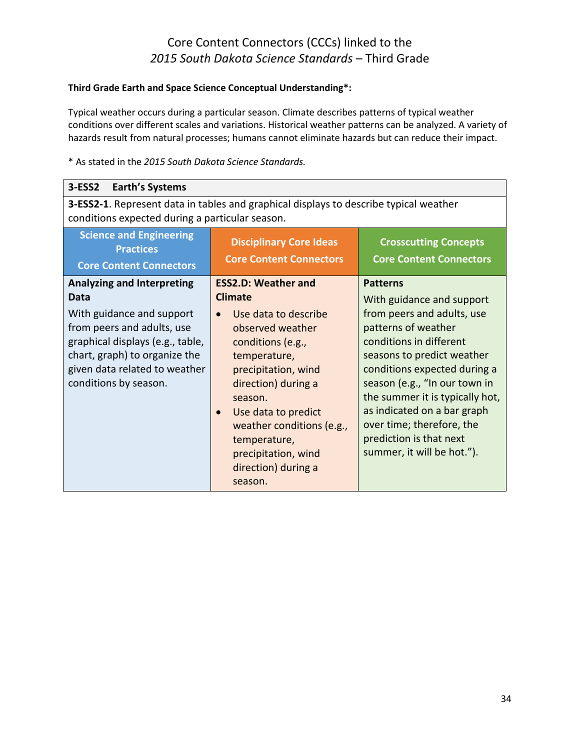#### **Third Grade Earth and Space Science Conceptual Understanding\*:**

Typical weather occurs during a particular season. Climate describes patterns of typical weather conditions over different scales and variations. Historical weather patterns can be analyzed. A variety of hazards result from natural processes; humans cannot eliminate hazards but can reduce their impact.

| $3-ESS2$<br><b>Earth's Systems</b>                                                                                                                                                                                                  |                                                                                                                                                                                                                                                                                                                     |                                                                                                                                                                                                                                                                                                                                                                                     |
|-------------------------------------------------------------------------------------------------------------------------------------------------------------------------------------------------------------------------------------|---------------------------------------------------------------------------------------------------------------------------------------------------------------------------------------------------------------------------------------------------------------------------------------------------------------------|-------------------------------------------------------------------------------------------------------------------------------------------------------------------------------------------------------------------------------------------------------------------------------------------------------------------------------------------------------------------------------------|
| 3-ESS2-1. Represent data in tables and graphical displays to describe typical weather<br>conditions expected during a particular season.                                                                                            |                                                                                                                                                                                                                                                                                                                     |                                                                                                                                                                                                                                                                                                                                                                                     |
| <b>Science and Engineering</b><br><b>Practices</b><br><b>Core Content Connectors</b>                                                                                                                                                | <b>Disciplinary Core Ideas</b><br><b>Core Content Connectors</b>                                                                                                                                                                                                                                                    | <b>Crosscutting Concepts</b><br><b>Core Content Connectors</b>                                                                                                                                                                                                                                                                                                                      |
| <b>Analyzing and Interpreting</b><br>Data<br>With guidance and support<br>from peers and adults, use<br>graphical displays (e.g., table,<br>chart, graph) to organize the<br>given data related to weather<br>conditions by season. | <b>ESS2.D: Weather and</b><br><b>Climate</b><br>Use data to describe<br>observed weather<br>conditions (e.g.,<br>temperature,<br>precipitation, wind<br>direction) during a<br>season.<br>Use data to predict<br>weather conditions (e.g.,<br>temperature,<br>precipitation, wind<br>direction) during a<br>season. | <b>Patterns</b><br>With guidance and support<br>from peers and adults, use<br>patterns of weather<br>conditions in different<br>seasons to predict weather<br>conditions expected during a<br>season (e.g., "In our town in<br>the summer it is typically hot,<br>as indicated on a bar graph<br>over time; therefore, the<br>prediction is that next<br>summer, it will be hot."). |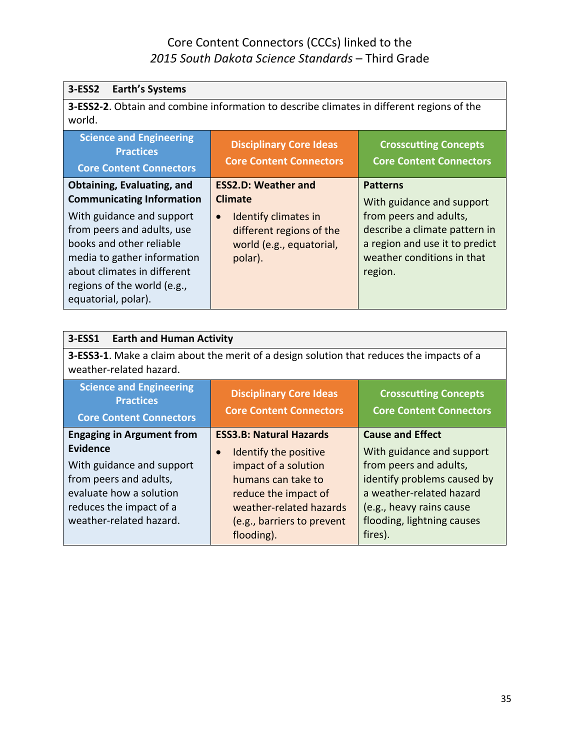| 3-ESS2<br><b>Earth's Systems</b>                                                                                                                                                                                                                                          |                                                                                                                                                      |                                                                                                                                                                                    |
|---------------------------------------------------------------------------------------------------------------------------------------------------------------------------------------------------------------------------------------------------------------------------|------------------------------------------------------------------------------------------------------------------------------------------------------|------------------------------------------------------------------------------------------------------------------------------------------------------------------------------------|
| world.                                                                                                                                                                                                                                                                    | 3-ESS2-2. Obtain and combine information to describe climates in different regions of the                                                            |                                                                                                                                                                                    |
| <b>Science and Engineering</b><br><b>Practices</b><br><b>Core Content Connectors</b>                                                                                                                                                                                      | <b>Disciplinary Core Ideas</b><br><b>Core Content Connectors</b>                                                                                     | <b>Crosscutting Concepts</b><br><b>Core Content Connectors</b>                                                                                                                     |
| Obtaining, Evaluating, and<br><b>Communicating Information</b><br>With guidance and support<br>from peers and adults, use<br>books and other reliable<br>media to gather information<br>about climates in different<br>regions of the world (e.g.,<br>equatorial, polar). | <b>ESS2.D: Weather and</b><br><b>Climate</b><br>Identify climates in<br>$\bullet$<br>different regions of the<br>world (e.g., equatorial,<br>polar). | <b>Patterns</b><br>With guidance and support<br>from peers and adults,<br>describe a climate pattern in<br>a region and use it to predict<br>weather conditions in that<br>region. |

| <b>Earth and Human Activity</b><br>3-ESS1                                                                                                                                                                                  |                                                                                                                                                                                                                   |                                                                                                                                                                                                                |
|----------------------------------------------------------------------------------------------------------------------------------------------------------------------------------------------------------------------------|-------------------------------------------------------------------------------------------------------------------------------------------------------------------------------------------------------------------|----------------------------------------------------------------------------------------------------------------------------------------------------------------------------------------------------------------|
| 3-ESS3-1. Make a claim about the merit of a design solution that reduces the impacts of a<br>weather-related hazard.                                                                                                       |                                                                                                                                                                                                                   |                                                                                                                                                                                                                |
| <b>Science and Engineering</b><br><b>Disciplinary Core Ideas</b><br><b>Crosscutting Concepts</b><br><b>Practices</b><br><b>Core Content Connectors</b><br><b>Core Content Connectors</b><br><b>Core Content Connectors</b> |                                                                                                                                                                                                                   |                                                                                                                                                                                                                |
| <b>Engaging in Argument from</b><br><b>Evidence</b><br>With guidance and support<br>from peers and adults,<br>evaluate how a solution<br>reduces the impact of a<br>weather-related hazard.                                | <b>ESS3.B: Natural Hazards</b><br>Identify the positive<br>$\bullet$<br>impact of a solution<br>humans can take to<br>reduce the impact of<br>weather-related hazards<br>(e.g., barriers to prevent<br>flooding). | <b>Cause and Effect</b><br>With guidance and support<br>from peers and adults,<br>identify problems caused by<br>a weather-related hazard<br>(e.g., heavy rains cause<br>flooding, lightning causes<br>fires). |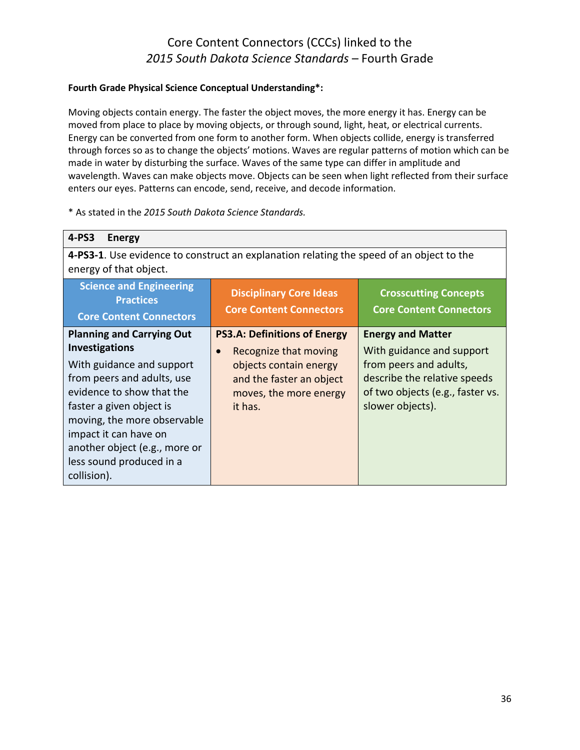#### **Fourth Grade Physical Science Conceptual Understanding\*:**

Moving objects contain energy. The faster the object moves, the more energy it has. Energy can be moved from place to place by moving objects, or through sound, light, heat, or electrical currents. Energy can be converted from one form to another form. When objects collide, energy is transferred through forces so as to change the objects' motions. Waves are regular patterns of motion which can be made in water by disturbing the surface. Waves of the same type can differ in amplitude and wavelength. Waves can make objects move. Objects can be seen when light reflected from their surface enters our eyes. Patterns can encode, send, receive, and decode information.

| 4-PS3<br><b>Energy</b>                                                                                                                                                                                                                                                                                            |                                                                                                                                                                      |                                                                                                                                                                         |
|-------------------------------------------------------------------------------------------------------------------------------------------------------------------------------------------------------------------------------------------------------------------------------------------------------------------|----------------------------------------------------------------------------------------------------------------------------------------------------------------------|-------------------------------------------------------------------------------------------------------------------------------------------------------------------------|
| 4-PS3-1. Use evidence to construct an explanation relating the speed of an object to the<br>energy of that object.                                                                                                                                                                                                |                                                                                                                                                                      |                                                                                                                                                                         |
| <b>Science and Engineering</b><br><b>Practices</b><br><b>Core Content Connectors</b>                                                                                                                                                                                                                              | <b>Disciplinary Core Ideas</b><br><b>Core Content Connectors</b>                                                                                                     | <b>Crosscutting Concepts</b><br><b>Core Content Connectors</b>                                                                                                          |
| <b>Planning and Carrying Out</b><br><b>Investigations</b><br>With guidance and support<br>from peers and adults, use<br>evidence to show that the<br>faster a given object is<br>moving, the more observable<br>impact it can have on<br>another object (e.g., more or<br>less sound produced in a<br>collision). | <b>PS3.A: Definitions of Energy</b><br>Recognize that moving<br>$\bullet$<br>objects contain energy<br>and the faster an object<br>moves, the more energy<br>it has. | <b>Energy and Matter</b><br>With guidance and support<br>from peers and adults,<br>describe the relative speeds<br>of two objects (e.g., faster vs.<br>slower objects). |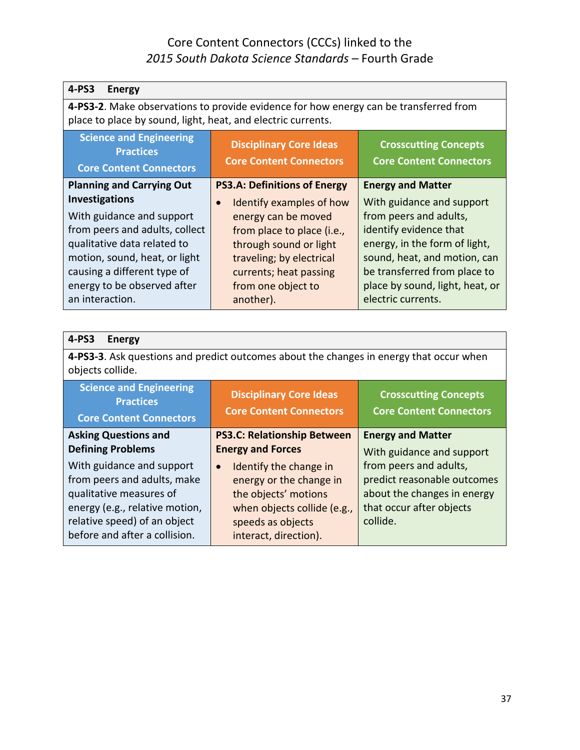| 4-PS3<br><b>Energy</b>                                                                                                                                |                                                                  |                                                                |
|-------------------------------------------------------------------------------------------------------------------------------------------------------|------------------------------------------------------------------|----------------------------------------------------------------|
| 4-PS3-2. Make observations to provide evidence for how energy can be transferred from<br>place to place by sound, light, heat, and electric currents. |                                                                  |                                                                |
| <b>Science and Engineering</b><br><b>Practices</b><br><b>Core Content Connectors</b>                                                                  | <b>Disciplinary Core Ideas</b><br><b>Core Content Connectors</b> | <b>Crosscutting Concepts</b><br><b>Core Content Connectors</b> |
| <b>Planning and Carrying Out</b>                                                                                                                      | <b>PS3.A: Definitions of Energy</b>                              | <b>Energy and Matter</b>                                       |
| <b>Investigations</b>                                                                                                                                 | Identify examples of how                                         | With guidance and support                                      |
| With guidance and support                                                                                                                             | energy can be moved                                              | from peers and adults,                                         |
| from peers and adults, collect                                                                                                                        | from place to place (i.e.,                                       | identify evidence that                                         |
| qualitative data related to                                                                                                                           | through sound or light                                           | energy, in the form of light,                                  |
| motion, sound, heat, or light                                                                                                                         | traveling; by electrical                                         | sound, heat, and motion, can                                   |
| causing a different type of                                                                                                                           | currents; heat passing                                           | be transferred from place to                                   |
| energy to be observed after                                                                                                                           | from one object to                                               | place by sound, light, heat, or                                |
| an interaction.                                                                                                                                       | another).                                                        | electric currents.                                             |

| 4-PS3<br><b>Energy</b>                                                                                                                                                                                             |                                                                                                                                                                                                 |                                                                                                                                                           |
|--------------------------------------------------------------------------------------------------------------------------------------------------------------------------------------------------------------------|-------------------------------------------------------------------------------------------------------------------------------------------------------------------------------------------------|-----------------------------------------------------------------------------------------------------------------------------------------------------------|
| 4-PS3-3. Ask questions and predict outcomes about the changes in energy that occur when<br>objects collide.                                                                                                        |                                                                                                                                                                                                 |                                                                                                                                                           |
| <b>Science and Engineering</b><br><b>Practices</b><br><b>Core Content Connectors</b>                                                                                                                               | <b>Disciplinary Core Ideas</b><br><b>Core Content Connectors</b>                                                                                                                                | <b>Crosscutting Concepts</b><br><b>Core Content Connectors</b>                                                                                            |
| <b>Asking Questions and</b>                                                                                                                                                                                        | <b>PS3.C: Relationship Between</b>                                                                                                                                                              | <b>Energy and Matter</b>                                                                                                                                  |
| <b>Defining Problems</b><br>With guidance and support<br>from peers and adults, make<br>qualitative measures of<br>energy (e.g., relative motion,<br>relative speed) of an object<br>before and after a collision. | <b>Energy and Forces</b><br>Identify the change in<br>$\bullet$<br>energy or the change in<br>the objects' motions<br>when objects collide (e.g.,<br>speeds as objects<br>interact, direction). | With guidance and support<br>from peers and adults,<br>predict reasonable outcomes<br>about the changes in energy<br>that occur after objects<br>collide. |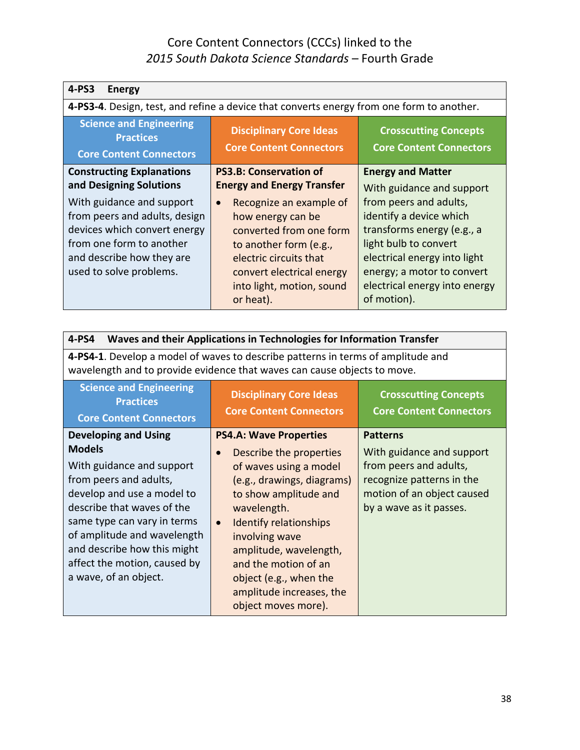| 4-PS3<br><b>Energy</b>                                                                                                                                                                                                                        |                                                                                                                                                                                                                                                                                       |                                                                                                                                                                                                                                                                                 |
|-----------------------------------------------------------------------------------------------------------------------------------------------------------------------------------------------------------------------------------------------|---------------------------------------------------------------------------------------------------------------------------------------------------------------------------------------------------------------------------------------------------------------------------------------|---------------------------------------------------------------------------------------------------------------------------------------------------------------------------------------------------------------------------------------------------------------------------------|
|                                                                                                                                                                                                                                               | 4-PS3-4. Design, test, and refine a device that converts energy from one form to another.                                                                                                                                                                                             |                                                                                                                                                                                                                                                                                 |
| <b>Science and Engineering</b><br><b>Practices</b><br><b>Core Content Connectors</b>                                                                                                                                                          | <b>Disciplinary Core Ideas</b><br><b>Core Content Connectors</b>                                                                                                                                                                                                                      | <b>Crosscutting Concepts</b><br><b>Core Content Connectors</b>                                                                                                                                                                                                                  |
| <b>Constructing Explanations</b><br>and Designing Solutions<br>With guidance and support<br>from peers and adults, design<br>devices which convert energy<br>from one form to another<br>and describe how they are<br>used to solve problems. | <b>PS3.B: Conservation of</b><br><b>Energy and Energy Transfer</b><br>Recognize an example of<br>$\bullet$<br>how energy can be<br>converted from one form<br>to another form (e.g.,<br>electric circuits that<br>convert electrical energy<br>into light, motion, sound<br>or heat). | <b>Energy and Matter</b><br>With guidance and support<br>from peers and adults,<br>identify a device which<br>transforms energy (e.g., a<br>light bulb to convert<br>electrical energy into light<br>energy; a motor to convert<br>electrical energy into energy<br>of motion). |

| Waves and their Applications in Technologies for Information Transfer<br>4-PS4                                                                                                                                                                                                                                        |                                                                                                                                                                                                                                                                                                                                                                      |                                                                                                                                                              |
|-----------------------------------------------------------------------------------------------------------------------------------------------------------------------------------------------------------------------------------------------------------------------------------------------------------------------|----------------------------------------------------------------------------------------------------------------------------------------------------------------------------------------------------------------------------------------------------------------------------------------------------------------------------------------------------------------------|--------------------------------------------------------------------------------------------------------------------------------------------------------------|
| 4-PS4-1. Develop a model of waves to describe patterns in terms of amplitude and<br>wavelength and to provide evidence that waves can cause objects to move.                                                                                                                                                          |                                                                                                                                                                                                                                                                                                                                                                      |                                                                                                                                                              |
| <b>Science and Engineering</b><br><b>Practices</b><br><b>Core Content Connectors</b>                                                                                                                                                                                                                                  | <b>Disciplinary Core Ideas</b><br><b>Core Content Connectors</b>                                                                                                                                                                                                                                                                                                     | <b>Crosscutting Concepts</b><br><b>Core Content Connectors</b>                                                                                               |
| <b>Developing and Using</b><br><b>Models</b><br>With guidance and support<br>from peers and adults,<br>develop and use a model to<br>describe that waves of the<br>same type can vary in terms<br>of amplitude and wavelength<br>and describe how this might<br>affect the motion, caused by<br>a wave, of an object. | <b>PS4.A: Wave Properties</b><br>Describe the properties<br>$\bullet$<br>of waves using a model<br>(e.g., drawings, diagrams)<br>to show amplitude and<br>wavelength.<br><b>Identify relationships</b><br>$\bullet$<br>involving wave<br>amplitude, wavelength,<br>and the motion of an<br>object (e.g., when the<br>amplitude increases, the<br>object moves more). | <b>Patterns</b><br>With guidance and support<br>from peers and adults,<br>recognize patterns in the<br>motion of an object caused<br>by a wave as it passes. |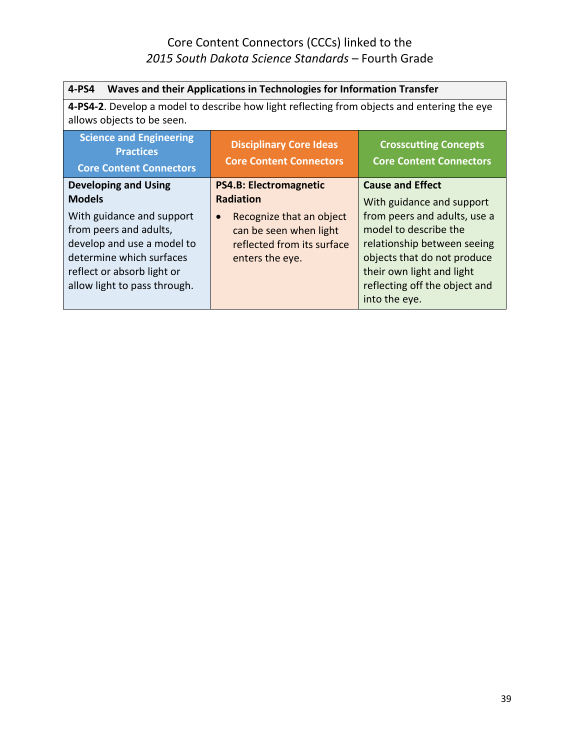| 4-PS4<br>Waves and their Applications in Technologies for Information Transfer                                                                                |                                                                                                                                                                       |                                                                                                                                                                             |
|---------------------------------------------------------------------------------------------------------------------------------------------------------------|-----------------------------------------------------------------------------------------------------------------------------------------------------------------------|-----------------------------------------------------------------------------------------------------------------------------------------------------------------------------|
| 4-PS4-2. Develop a model to describe how light reflecting from objects and entering the eye<br>allows objects to be seen.                                     |                                                                                                                                                                       |                                                                                                                                                                             |
| <b>Science and Engineering</b><br><b>Practices</b><br><b>Core Content Connectors</b>                                                                          | <b>Disciplinary Core Ideas</b><br><b>Core Content Connectors</b>                                                                                                      | <b>Crosscutting Concepts</b><br><b>Core Content Connectors</b>                                                                                                              |
| <b>Developing and Using</b><br><b>Models</b><br>With guidance and support<br>from peers and adults,<br>develop and use a model to<br>determine which surfaces | <b>PS4.B: Electromagnetic</b><br><b>Radiation</b><br>Recognize that an object<br>$\bullet$<br>can be seen when light<br>reflected from its surface<br>enters the eye. | <b>Cause and Effect</b><br>With guidance and support<br>from peers and adults, use a<br>model to describe the<br>relationship between seeing<br>objects that do not produce |
| reflect or absorb light or<br>allow light to pass through.                                                                                                    |                                                                                                                                                                       | their own light and light<br>reflecting off the object and<br>into the eye.                                                                                                 |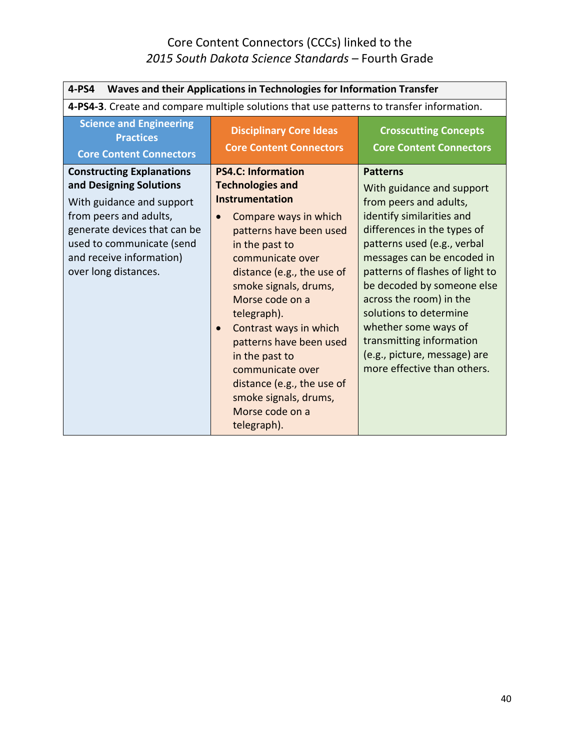| 4-PS4<br>Waves and their Applications in Technologies for Information Transfer                                                                                                                                                      |                                                                                                                                                                                                                                                                                                                                                                                                                                                                          |                                                                                                                                                                                                                                                                                                                                                                                                                                          |
|-------------------------------------------------------------------------------------------------------------------------------------------------------------------------------------------------------------------------------------|--------------------------------------------------------------------------------------------------------------------------------------------------------------------------------------------------------------------------------------------------------------------------------------------------------------------------------------------------------------------------------------------------------------------------------------------------------------------------|------------------------------------------------------------------------------------------------------------------------------------------------------------------------------------------------------------------------------------------------------------------------------------------------------------------------------------------------------------------------------------------------------------------------------------------|
|                                                                                                                                                                                                                                     | 4-PS4-3. Create and compare multiple solutions that use patterns to transfer information.                                                                                                                                                                                                                                                                                                                                                                                |                                                                                                                                                                                                                                                                                                                                                                                                                                          |
| <b>Science and Engineering</b><br><b>Practices</b><br><b>Core Content Connectors</b>                                                                                                                                                | <b>Disciplinary Core Ideas</b><br><b>Core Content Connectors</b>                                                                                                                                                                                                                                                                                                                                                                                                         | <b>Crosscutting Concepts</b><br><b>Core Content Connectors</b>                                                                                                                                                                                                                                                                                                                                                                           |
| <b>Constructing Explanations</b><br>and Designing Solutions<br>With guidance and support<br>from peers and adults,<br>generate devices that can be<br>used to communicate (send<br>and receive information)<br>over long distances. | <b>PS4.C: Information</b><br><b>Technologies and</b><br>Instrumentation<br>Compare ways in which<br>$\bullet$<br>patterns have been used<br>in the past to<br>communicate over<br>distance (e.g., the use of<br>smoke signals, drums,<br>Morse code on a<br>telegraph).<br>Contrast ways in which<br>$\bullet$<br>patterns have been used<br>in the past to<br>communicate over<br>distance (e.g., the use of<br>smoke signals, drums,<br>Morse code on a<br>telegraph). | <b>Patterns</b><br>With guidance and support<br>from peers and adults,<br>identify similarities and<br>differences in the types of<br>patterns used (e.g., verbal<br>messages can be encoded in<br>patterns of flashes of light to<br>be decoded by someone else<br>across the room) in the<br>solutions to determine<br>whether some ways of<br>transmitting information<br>(e.g., picture, message) are<br>more effective than others. |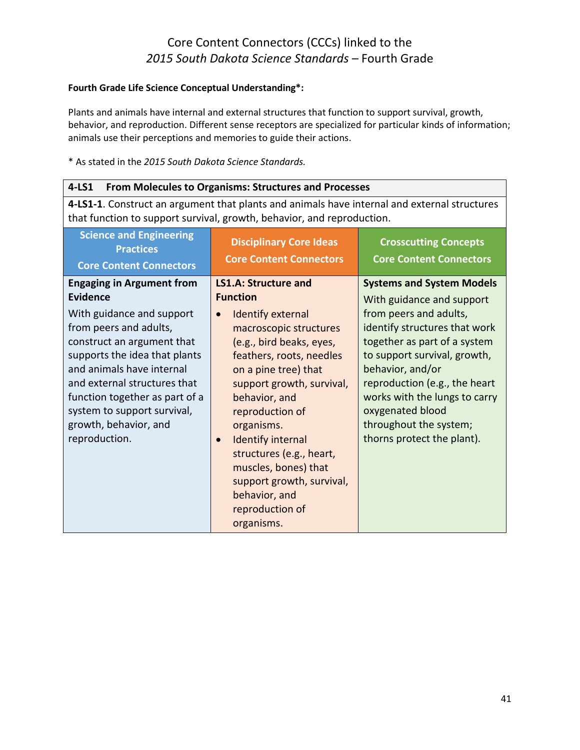#### **Fourth Grade Life Science Conceptual Understanding\*:**

Plants and animals have internal and external structures that function to support survival, growth, behavior, and reproduction. Different sense receptors are specialized for particular kinds of information; animals use their perceptions and memories to guide their actions.

| $4-LS1$<br><b>From Molecules to Organisms: Structures and Processes</b>                                                                                                                                                                                                                                                                    |                                                                                                                                                                                                                                                                                                                                                                                                                                                              |                                                                                                                                                                                                                                                                                                                                                            |
|--------------------------------------------------------------------------------------------------------------------------------------------------------------------------------------------------------------------------------------------------------------------------------------------------------------------------------------------|--------------------------------------------------------------------------------------------------------------------------------------------------------------------------------------------------------------------------------------------------------------------------------------------------------------------------------------------------------------------------------------------------------------------------------------------------------------|------------------------------------------------------------------------------------------------------------------------------------------------------------------------------------------------------------------------------------------------------------------------------------------------------------------------------------------------------------|
| 4-LS1-1. Construct an argument that plants and animals have internal and external structures<br>that function to support survival, growth, behavior, and reproduction.                                                                                                                                                                     |                                                                                                                                                                                                                                                                                                                                                                                                                                                              |                                                                                                                                                                                                                                                                                                                                                            |
| <b>Science and Engineering</b><br><b>Practices</b><br><b>Core Content Connectors</b>                                                                                                                                                                                                                                                       | <b>Disciplinary Core Ideas</b><br><b>Core Content Connectors</b>                                                                                                                                                                                                                                                                                                                                                                                             | <b>Crosscutting Concepts</b><br><b>Core Content Connectors</b>                                                                                                                                                                                                                                                                                             |
| <b>Engaging in Argument from</b><br>Evidence<br>With guidance and support<br>from peers and adults,<br>construct an argument that<br>supports the idea that plants<br>and animals have internal<br>and external structures that<br>function together as part of a<br>system to support survival,<br>growth, behavior, and<br>reproduction. | <b>LS1.A: Structure and</b><br><b>Function</b><br><b>Identify external</b><br>$\bullet$<br>macroscopic structures<br>(e.g., bird beaks, eyes,<br>feathers, roots, needles<br>on a pine tree) that<br>support growth, survival,<br>behavior, and<br>reproduction of<br>organisms.<br><b>Identify internal</b><br>$\bullet$<br>structures (e.g., heart,<br>muscles, bones) that<br>support growth, survival,<br>behavior, and<br>reproduction of<br>organisms. | <b>Systems and System Models</b><br>With guidance and support<br>from peers and adults,<br>identify structures that work<br>together as part of a system<br>to support survival, growth,<br>behavior, and/or<br>reproduction (e.g., the heart<br>works with the lungs to carry<br>oxygenated blood<br>throughout the system;<br>thorns protect the plant). |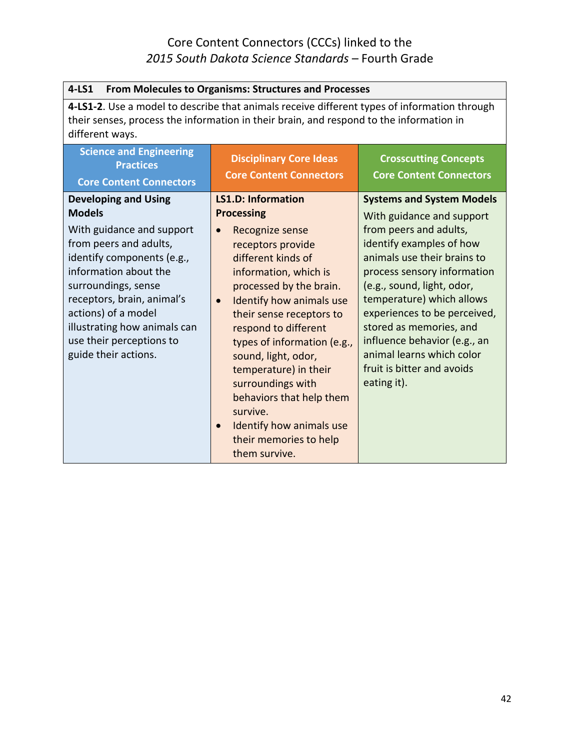| $4-LS1$<br>From Molecules to Organisms: Structures and Processes                                                                                                                                           |                                                                  |                                                                |
|------------------------------------------------------------------------------------------------------------------------------------------------------------------------------------------------------------|------------------------------------------------------------------|----------------------------------------------------------------|
| 4-LS1-2. Use a model to describe that animals receive different types of information through<br>their senses, process the information in their brain, and respond to the information in<br>different ways. |                                                                  |                                                                |
| <b>Science and Engineering</b><br><b>Practices</b><br><b>Core Content Connectors</b>                                                                                                                       | <b>Disciplinary Core Ideas</b><br><b>Core Content Connectors</b> | <b>Crosscutting Concepts</b><br><b>Core Content Connectors</b> |
| <b>Developing and Using</b>                                                                                                                                                                                | <b>LS1.D: Information</b>                                        | <b>Systems and System Models</b>                               |
| <b>Models</b>                                                                                                                                                                                              | <b>Processing</b>                                                | With guidance and support                                      |
| With guidance and support                                                                                                                                                                                  | Recognize sense<br>$\bullet$                                     | from peers and adults,                                         |
| from peers and adults,                                                                                                                                                                                     | receptors provide                                                | identify examples of how                                       |
| identify components (e.g.,                                                                                                                                                                                 | different kinds of                                               | animals use their brains to                                    |
| information about the                                                                                                                                                                                      | information, which is                                            | process sensory information                                    |
| surroundings, sense                                                                                                                                                                                        | processed by the brain.                                          | (e.g., sound, light, odor,                                     |
| receptors, brain, animal's                                                                                                                                                                                 | Identify how animals use<br>$\bullet$                            | temperature) which allows                                      |
| actions) of a model<br>illustrating how animals can                                                                                                                                                        | their sense receptors to                                         | experiences to be perceived,<br>stored as memories, and        |
| use their perceptions to                                                                                                                                                                                   | respond to different                                             | influence behavior (e.g., an                                   |
| guide their actions.                                                                                                                                                                                       | types of information (e.g.,<br>sound, light, odor,               | animal learns which color                                      |
|                                                                                                                                                                                                            | temperature) in their                                            | fruit is bitter and avoids                                     |
|                                                                                                                                                                                                            | surroundings with                                                | eating it).                                                    |
|                                                                                                                                                                                                            | behaviors that help them                                         |                                                                |
|                                                                                                                                                                                                            | survive.                                                         |                                                                |
|                                                                                                                                                                                                            | Identify how animals use<br>$\bullet$                            |                                                                |
|                                                                                                                                                                                                            | their memories to help                                           |                                                                |
|                                                                                                                                                                                                            | them survive.                                                    |                                                                |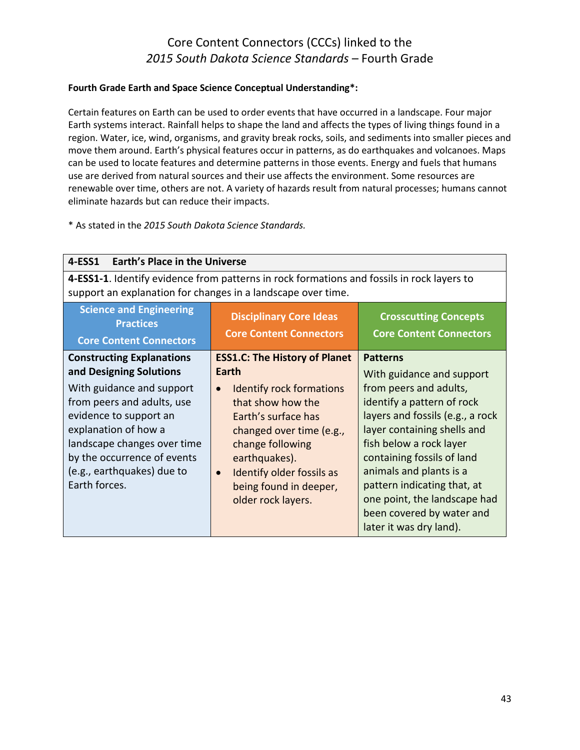#### **Fourth Grade Earth and Space Science Conceptual Understanding\*:**

Certain features on Earth can be used to order events that have occurred in a landscape. Four major Earth systems interact. Rainfall helps to shape the land and affects the types of living things found in a region. Water, ice, wind, organisms, and gravity break rocks, soils, and sediments into smaller pieces and move them around. Earth's physical features occur in patterns, as do earthquakes and volcanoes. Maps can be used to locate features and determine patterns in those events. Energy and fuels that humans use are derived from natural sources and their use affects the environment. Some resources are renewable over time, others are not. A variety of hazards result from natural processes; humans cannot eliminate hazards but can reduce their impacts.

| <b>Earth's Place in the Universe</b><br>4-ESS1                                                                                                                                                                         |                                                                                                                                                                                                                                                            |                                                                                                                                                                                                                                                                                                                                    |
|------------------------------------------------------------------------------------------------------------------------------------------------------------------------------------------------------------------------|------------------------------------------------------------------------------------------------------------------------------------------------------------------------------------------------------------------------------------------------------------|------------------------------------------------------------------------------------------------------------------------------------------------------------------------------------------------------------------------------------------------------------------------------------------------------------------------------------|
| 4-ESS1-1. Identify evidence from patterns in rock formations and fossils in rock layers to<br>support an explanation for changes in a landscape over time.                                                             |                                                                                                                                                                                                                                                            |                                                                                                                                                                                                                                                                                                                                    |
| <b>Science and Engineering</b><br><b>Practices</b><br><b>Core Content Connectors</b>                                                                                                                                   | <b>Disciplinary Core Ideas</b><br><b>Core Content Connectors</b>                                                                                                                                                                                           | <b>Crosscutting Concepts</b><br><b>Core Content Connectors</b>                                                                                                                                                                                                                                                                     |
| <b>Constructing Explanations</b><br>and Designing Solutions                                                                                                                                                            | <b>ESS1.C: The History of Planet</b><br>Earth                                                                                                                                                                                                              | <b>Patterns</b><br>With guidance and support                                                                                                                                                                                                                                                                                       |
| With guidance and support<br>from peers and adults, use<br>evidence to support an<br>explanation of how a<br>landscape changes over time<br>by the occurrence of events<br>(e.g., earthquakes) due to<br>Earth forces. | <b>Identify rock formations</b><br>$\bullet$<br>that show how the<br>Earth's surface has<br>changed over time (e.g.,<br>change following<br>earthquakes).<br><b>Identify older fossils as</b><br>$\bullet$<br>being found in deeper,<br>older rock layers. | from peers and adults,<br>identify a pattern of rock<br>layers and fossils (e.g., a rock<br>layer containing shells and<br>fish below a rock layer<br>containing fossils of land<br>animals and plants is a<br>pattern indicating that, at<br>one point, the landscape had<br>been covered by water and<br>later it was dry land). |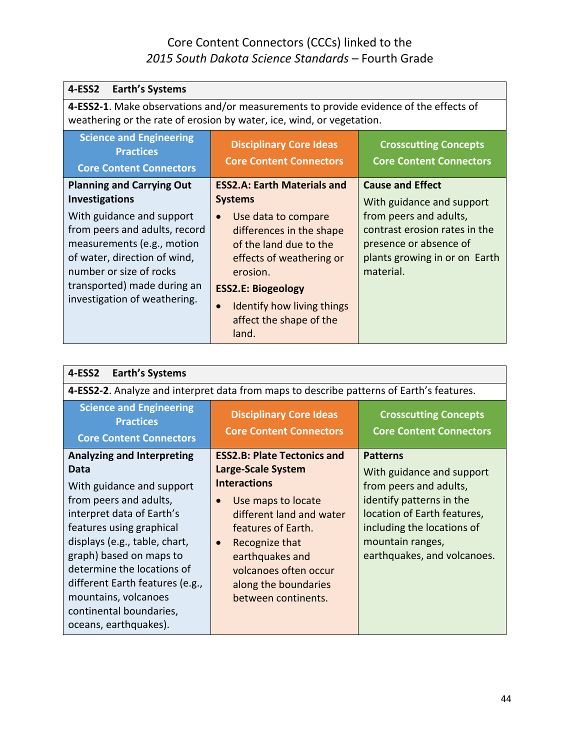| 4-ESS2                                                                                                                                                                                                             |                                                                                                                                                                                                                               |                                                                                                                                 |
|--------------------------------------------------------------------------------------------------------------------------------------------------------------------------------------------------------------------|-------------------------------------------------------------------------------------------------------------------------------------------------------------------------------------------------------------------------------|---------------------------------------------------------------------------------------------------------------------------------|
| <b>Earth's Systems</b><br>4-ESS2-1. Make observations and/or measurements to provide evidence of the effects of                                                                                                    |                                                                                                                                                                                                                               |                                                                                                                                 |
|                                                                                                                                                                                                                    | weathering or the rate of erosion by water, ice, wind, or vegetation.                                                                                                                                                         |                                                                                                                                 |
| <b>Science and Engineering</b><br><b>Practices</b><br><b>Core Content Connectors</b>                                                                                                                               | <b>Disciplinary Core Ideas</b><br><b>Core Content Connectors</b>                                                                                                                                                              | <b>Crosscutting Concepts</b><br><b>Core Content Connectors</b>                                                                  |
| <b>Planning and Carrying Out</b><br><b>Investigations</b>                                                                                                                                                          | <b>ESS2.A: Earth Materials and</b><br><b>Systems</b>                                                                                                                                                                          | <b>Cause and Effect</b><br>With guidance and support                                                                            |
| With guidance and support<br>from peers and adults, record<br>measurements (e.g., motion<br>of water, direction of wind,<br>number or size of rocks<br>transported) made during an<br>investigation of weathering. | Use data to compare<br>$\bullet$<br>differences in the shape<br>of the land due to the<br>effects of weathering or<br>erosion.<br><b>ESS2.E: Biogeology</b><br>Identify how living things<br>affect the shape of the<br>land. | from peers and adults,<br>contrast erosion rates in the<br>presence or absence of<br>plants growing in or on Earth<br>material. |

| 4-ESS2<br><b>Earth's Systems</b>                                                                                                                                                                                                                                                                                                                                   |                                                                                                                                                                                                                                                                                                |                                                                                                                                                                                                                    |
|--------------------------------------------------------------------------------------------------------------------------------------------------------------------------------------------------------------------------------------------------------------------------------------------------------------------------------------------------------------------|------------------------------------------------------------------------------------------------------------------------------------------------------------------------------------------------------------------------------------------------------------------------------------------------|--------------------------------------------------------------------------------------------------------------------------------------------------------------------------------------------------------------------|
|                                                                                                                                                                                                                                                                                                                                                                    | 4-ESS2-2. Analyze and interpret data from maps to describe patterns of Earth's features.                                                                                                                                                                                                       |                                                                                                                                                                                                                    |
| <b>Science and Engineering</b><br><b>Practices</b><br><b>Core Content Connectors</b>                                                                                                                                                                                                                                                                               | <b>Disciplinary Core Ideas</b><br><b>Core Content Connectors</b>                                                                                                                                                                                                                               | <b>Crosscutting Concepts</b><br><b>Core Content Connectors</b>                                                                                                                                                     |
| <b>Analyzing and Interpreting</b><br>Data<br>With guidance and support<br>from peers and adults,<br>interpret data of Earth's<br>features using graphical<br>displays (e.g., table, chart,<br>graph) based on maps to<br>determine the locations of<br>different Earth features (e.g.,<br>mountains, volcanoes<br>continental boundaries,<br>oceans, earthquakes). | <b>ESS2.B: Plate Tectonics and</b><br>Large-Scale System<br><b>Interactions</b><br>Use maps to locate<br>$\bullet$<br>different land and water<br>features of Earth.<br>Recognize that<br>$\bullet$<br>earthquakes and<br>volcanoes often occur<br>along the boundaries<br>between continents. | <b>Patterns</b><br>With guidance and support<br>from peers and adults,<br>identify patterns in the<br>location of Earth features,<br>including the locations of<br>mountain ranges,<br>earthquakes, and volcanoes. |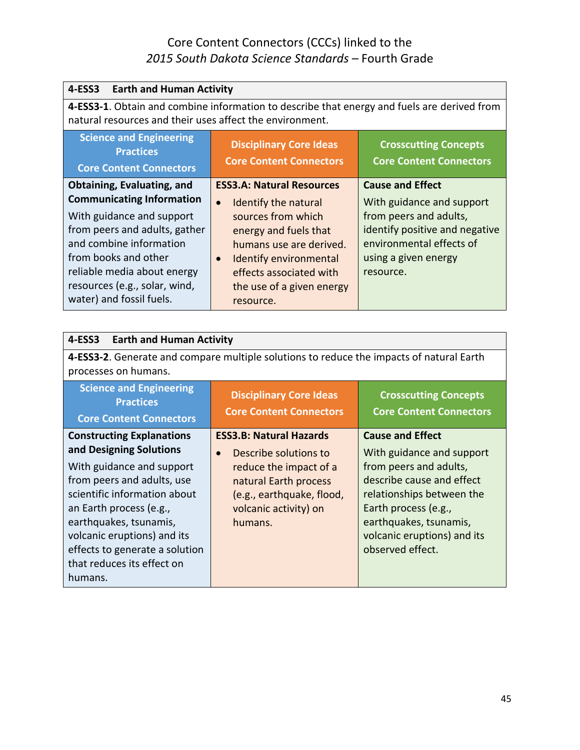| 4-ESS3<br><b>Earth and Human Activity</b>                                                                                                                                                                                                     |                                                                                                                                                                                                                                |                                                                                                                                                        |
|-----------------------------------------------------------------------------------------------------------------------------------------------------------------------------------------------------------------------------------------------|--------------------------------------------------------------------------------------------------------------------------------------------------------------------------------------------------------------------------------|--------------------------------------------------------------------------------------------------------------------------------------------------------|
| 4-ESS3-1. Obtain and combine information to describe that energy and fuels are derived from<br>natural resources and their uses affect the environment.                                                                                       |                                                                                                                                                                                                                                |                                                                                                                                                        |
| <b>Science and Engineering</b><br><b>Practices</b><br><b>Core Content Connectors</b>                                                                                                                                                          | <b>Disciplinary Core Ideas</b><br><b>Core Content Connectors</b>                                                                                                                                                               | <b>Crosscutting Concepts</b><br><b>Core Content Connectors</b>                                                                                         |
| <b>Obtaining, Evaluating, and</b>                                                                                                                                                                                                             | <b>ESS3.A: Natural Resources</b>                                                                                                                                                                                               | <b>Cause and Effect</b>                                                                                                                                |
| <b>Communicating Information</b><br>With guidance and support<br>from peers and adults, gather<br>and combine information<br>from books and other<br>reliable media about energy<br>resources (e.g., solar, wind,<br>water) and fossil fuels. | Identify the natural<br>$\bullet$<br>sources from which<br>energy and fuels that<br>humans use are derived.<br><b>Identify environmental</b><br>$\bullet$<br>effects associated with<br>the use of a given energy<br>resource. | With guidance and support<br>from peers and adults,<br>identify positive and negative<br>environmental effects of<br>using a given energy<br>resource. |

| <b>Earth and Human Activity</b><br>4-ESS3                                                                                                                                                                                                                                                                             |                                                                                                                                                                             |                                                                                                                                                                                                                                               |
|-----------------------------------------------------------------------------------------------------------------------------------------------------------------------------------------------------------------------------------------------------------------------------------------------------------------------|-----------------------------------------------------------------------------------------------------------------------------------------------------------------------------|-----------------------------------------------------------------------------------------------------------------------------------------------------------------------------------------------------------------------------------------------|
| processes on humans.                                                                                                                                                                                                                                                                                                  | 4-ESS3-2. Generate and compare multiple solutions to reduce the impacts of natural Earth                                                                                    |                                                                                                                                                                                                                                               |
| <b>Science and Engineering</b><br><b>Practices</b><br><b>Core Content Connectors</b>                                                                                                                                                                                                                                  | <b>Disciplinary Core Ideas</b><br><b>Core Content Connectors</b>                                                                                                            | <b>Crosscutting Concepts</b><br><b>Core Content Connectors</b>                                                                                                                                                                                |
| <b>Constructing Explanations</b><br>and Designing Solutions<br>With guidance and support<br>from peers and adults, use<br>scientific information about<br>an Earth process (e.g.,<br>earthquakes, tsunamis,<br>volcanic eruptions) and its<br>effects to generate a solution<br>that reduces its effect on<br>humans. | <b>ESS3.B: Natural Hazards</b><br>Describe solutions to<br>reduce the impact of a<br>natural Earth process<br>(e.g., earthquake, flood,<br>volcanic activity) on<br>humans. | <b>Cause and Effect</b><br>With guidance and support<br>from peers and adults,<br>describe cause and effect<br>relationships between the<br>Earth process (e.g.,<br>earthquakes, tsunamis,<br>volcanic eruptions) and its<br>observed effect. |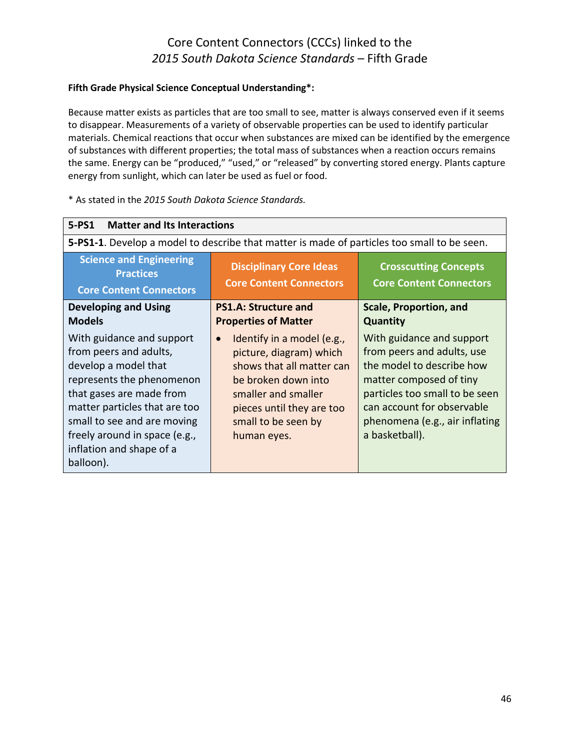#### **Fifth Grade Physical Science Conceptual Understanding\*:**

Because matter exists as particles that are too small to see, matter is always conserved even if it seems to disappear. Measurements of a variety of observable properties can be used to identify particular materials. Chemical reactions that occur when substances are mixed can be identified by the emergence of substances with different properties; the total mass of substances when a reaction occurs remains the same. Energy can be "produced," "used," or "released" by converting stored energy. Plants capture energy from sunlight, which can later be used as fuel or food.

| 5-PS1<br><b>Matter and Its Interactions</b>                                                                                                                                                                                                                                    |                                                                                                                                                                                                                  |                                                                                                                                                                                                                                     |
|--------------------------------------------------------------------------------------------------------------------------------------------------------------------------------------------------------------------------------------------------------------------------------|------------------------------------------------------------------------------------------------------------------------------------------------------------------------------------------------------------------|-------------------------------------------------------------------------------------------------------------------------------------------------------------------------------------------------------------------------------------|
|                                                                                                                                                                                                                                                                                | 5-PS1-1. Develop a model to describe that matter is made of particles too small to be seen.                                                                                                                      |                                                                                                                                                                                                                                     |
| <b>Science and Engineering</b><br><b>Practices</b><br><b>Core Content Connectors</b>                                                                                                                                                                                           | <b>Disciplinary Core Ideas</b><br><b>Core Content Connectors</b>                                                                                                                                                 | <b>Crosscutting Concepts</b><br><b>Core Content Connectors</b>                                                                                                                                                                      |
| <b>Developing and Using</b><br><b>Models</b>                                                                                                                                                                                                                                   | <b>PS1.A: Structure and</b><br><b>Properties of Matter</b>                                                                                                                                                       | Scale, Proportion, and<br><b>Quantity</b>                                                                                                                                                                                           |
| With guidance and support<br>from peers and adults,<br>develop a model that<br>represents the phenomenon<br>that gases are made from<br>matter particles that are too<br>small to see and are moving<br>freely around in space (e.g.,<br>inflation and shape of a<br>balloon). | Identify in a model (e.g.,<br>$\bullet$<br>picture, diagram) which<br>shows that all matter can<br>be broken down into<br>smaller and smaller<br>pieces until they are too<br>small to be seen by<br>human eyes. | With guidance and support<br>from peers and adults, use<br>the model to describe how<br>matter composed of tiny<br>particles too small to be seen<br>can account for observable<br>phenomena (e.g., air inflating<br>a basketball). |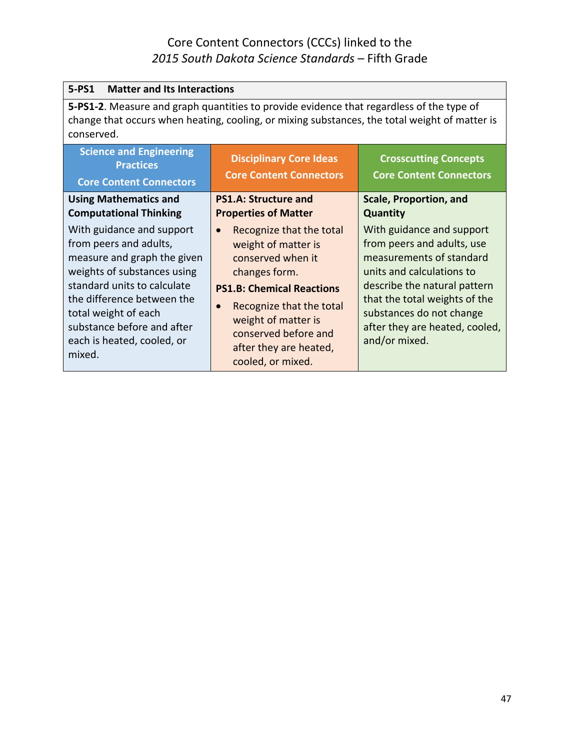| 5-PS1<br><b>Matter and Its Interactions</b>                                                                                                                                                                                                                                  |                                                                                                                                                                                                                                                     |                                                                                                                                                                                                                                                                  |
|------------------------------------------------------------------------------------------------------------------------------------------------------------------------------------------------------------------------------------------------------------------------------|-----------------------------------------------------------------------------------------------------------------------------------------------------------------------------------------------------------------------------------------------------|------------------------------------------------------------------------------------------------------------------------------------------------------------------------------------------------------------------------------------------------------------------|
| 5-PS1-2. Measure and graph quantities to provide evidence that regardless of the type of<br>change that occurs when heating, cooling, or mixing substances, the total weight of matter is<br>conserved.                                                                      |                                                                                                                                                                                                                                                     |                                                                                                                                                                                                                                                                  |
| <b>Science and Engineering</b><br><b>Practices</b><br><b>Core Content Connectors</b>                                                                                                                                                                                         | <b>Disciplinary Core Ideas</b><br><b>Core Content Connectors</b>                                                                                                                                                                                    | <b>Crosscutting Concepts</b><br><b>Core Content Connectors</b>                                                                                                                                                                                                   |
| <b>Using Mathematics and</b><br><b>Computational Thinking</b>                                                                                                                                                                                                                | <b>PS1.A: Structure and</b><br><b>Properties of Matter</b>                                                                                                                                                                                          | <b>Scale, Proportion, and</b><br><b>Quantity</b>                                                                                                                                                                                                                 |
| With guidance and support<br>from peers and adults,<br>measure and graph the given<br>weights of substances using<br>standard units to calculate<br>the difference between the<br>total weight of each<br>substance before and after<br>each is heated, cooled, or<br>mixed. | Recognize that the total<br>weight of matter is<br>conserved when it<br>changes form.<br><b>PS1.B: Chemical Reactions</b><br>Recognize that the total<br>weight of matter is<br>conserved before and<br>after they are heated,<br>cooled, or mixed. | With guidance and support<br>from peers and adults, use<br>measurements of standard<br>units and calculations to<br>describe the natural pattern<br>that the total weights of the<br>substances do not change<br>after they are heated, cooled,<br>and/or mixed. |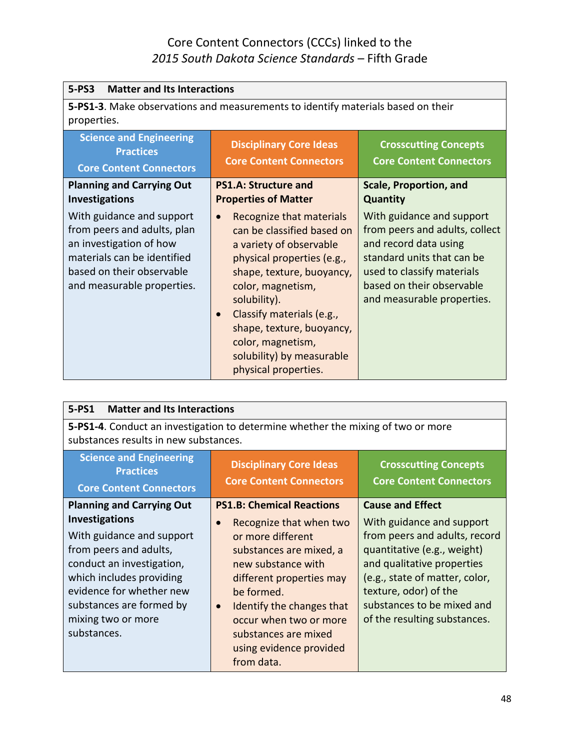| <b>Matter and Its Interactions</b><br>$5-PS3$                                                                                                                                 |                                                                                                                                                                                                                                                                                                                                    |                                                                                                                                                                                                             |
|-------------------------------------------------------------------------------------------------------------------------------------------------------------------------------|------------------------------------------------------------------------------------------------------------------------------------------------------------------------------------------------------------------------------------------------------------------------------------------------------------------------------------|-------------------------------------------------------------------------------------------------------------------------------------------------------------------------------------------------------------|
| properties.                                                                                                                                                                   | 5-PS1-3. Make observations and measurements to identify materials based on their                                                                                                                                                                                                                                                   |                                                                                                                                                                                                             |
| <b>Science and Engineering</b><br><b>Practices</b><br><b>Core Content Connectors</b>                                                                                          | <b>Disciplinary Core Ideas</b><br><b>Core Content Connectors</b>                                                                                                                                                                                                                                                                   | <b>Crosscutting Concepts</b><br><b>Core Content Connectors</b>                                                                                                                                              |
| <b>Planning and Carrying Out</b><br><b>Investigations</b>                                                                                                                     | <b>PS1.A: Structure and</b><br><b>Properties of Matter</b>                                                                                                                                                                                                                                                                         | <b>Scale, Proportion, and</b><br><b>Quantity</b>                                                                                                                                                            |
| With guidance and support<br>from peers and adults, plan<br>an investigation of how<br>materials can be identified<br>based on their observable<br>and measurable properties. | Recognize that materials<br>$\bullet$<br>can be classified based on<br>a variety of observable<br>physical properties (e.g.,<br>shape, texture, buoyancy,<br>color, magnetism,<br>solubility).<br>Classify materials (e.g.,<br>shape, texture, buoyancy,<br>color, magnetism,<br>solubility) by measurable<br>physical properties. | With guidance and support<br>from peers and adults, collect<br>and record data using<br>standard units that can be<br>used to classify materials<br>based on their observable<br>and measurable properties. |

| $5-PS1$<br><b>Matter and Its Interactions</b>                                                                                                                                                                                      |                                                                                                                                                                                                                                                                                           |                                                                                                                                                                                                                                                  |
|------------------------------------------------------------------------------------------------------------------------------------------------------------------------------------------------------------------------------------|-------------------------------------------------------------------------------------------------------------------------------------------------------------------------------------------------------------------------------------------------------------------------------------------|--------------------------------------------------------------------------------------------------------------------------------------------------------------------------------------------------------------------------------------------------|
| 5-PS1-4. Conduct an investigation to determine whether the mixing of two or more<br>substances results in new substances.                                                                                                          |                                                                                                                                                                                                                                                                                           |                                                                                                                                                                                                                                                  |
| <b>Science and Engineering</b><br><b>Practices</b>                                                                                                                                                                                 | <b>Disciplinary Core Ideas</b><br><b>Core Content Connectors</b>                                                                                                                                                                                                                          | <b>Crosscutting Concepts</b><br><b>Core Content Connectors</b>                                                                                                                                                                                   |
| <b>Core Content Connectors</b><br><b>Planning and Carrying Out</b>                                                                                                                                                                 | <b>PS1.B: Chemical Reactions</b>                                                                                                                                                                                                                                                          | <b>Cause and Effect</b>                                                                                                                                                                                                                          |
| <b>Investigations</b><br>With guidance and support<br>from peers and adults,<br>conduct an investigation,<br>which includes providing<br>evidence for whether new<br>substances are formed by<br>mixing two or more<br>substances. | Recognize that when two<br>$\bullet$<br>or more different<br>substances are mixed, a<br>new substance with<br>different properties may<br>be formed.<br>Identify the changes that<br>$\bullet$<br>occur when two or more<br>substances are mixed<br>using evidence provided<br>from data. | With guidance and support<br>from peers and adults, record<br>quantitative (e.g., weight)<br>and qualitative properties<br>(e.g., state of matter, color,<br>texture, odor) of the<br>substances to be mixed and<br>of the resulting substances. |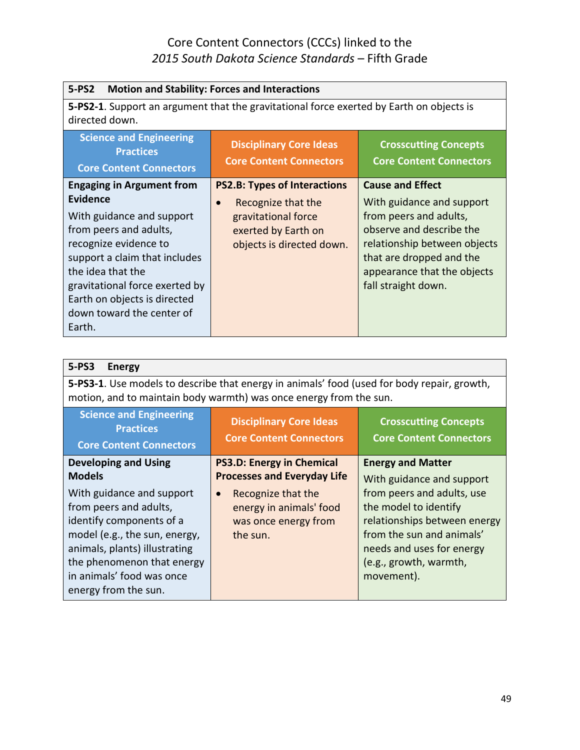| $5-PS2$<br><b>Motion and Stability: Forces and Interactions</b>                                                                                                                                                                                                                             |                                                                                                                                      |                                                                                                                                                                                                                              |
|---------------------------------------------------------------------------------------------------------------------------------------------------------------------------------------------------------------------------------------------------------------------------------------------|--------------------------------------------------------------------------------------------------------------------------------------|------------------------------------------------------------------------------------------------------------------------------------------------------------------------------------------------------------------------------|
| <b>5-PS2-1</b> . Support an argument that the gravitational force exerted by Earth on objects is<br>directed down.                                                                                                                                                                          |                                                                                                                                      |                                                                                                                                                                                                                              |
| <b>Science and Engineering</b><br><b>Practices</b><br><b>Core Content Connectors</b>                                                                                                                                                                                                        | <b>Disciplinary Core Ideas</b><br><b>Core Content Connectors</b>                                                                     | <b>Crosscutting Concepts</b><br><b>Core Content Connectors</b>                                                                                                                                                               |
| <b>Engaging in Argument from</b><br>Evidence<br>With guidance and support<br>from peers and adults,<br>recognize evidence to<br>support a claim that includes<br>the idea that the<br>gravitational force exerted by<br>Earth on objects is directed<br>down toward the center of<br>Earth. | <b>PS2.B: Types of Interactions</b><br>Recognize that the<br>gravitational force<br>exerted by Earth on<br>objects is directed down. | <b>Cause and Effect</b><br>With guidance and support<br>from peers and adults,<br>observe and describe the<br>relationship between objects<br>that are dropped and the<br>appearance that the objects<br>fall straight down. |

| $5-PS3$<br><b>Energy</b>                                                                                                                                                                                                        |                                                                                                                                                                          |                                                                                                                                                                                                                                  |
|---------------------------------------------------------------------------------------------------------------------------------------------------------------------------------------------------------------------------------|--------------------------------------------------------------------------------------------------------------------------------------------------------------------------|----------------------------------------------------------------------------------------------------------------------------------------------------------------------------------------------------------------------------------|
| 5-PS3-1. Use models to describe that energy in animals' food (used for body repair, growth,<br>motion, and to maintain body warmth) was once energy from the sun.                                                               |                                                                                                                                                                          |                                                                                                                                                                                                                                  |
| <b>Science and Engineering</b><br><b>Practices</b><br><b>Core Content Connectors</b>                                                                                                                                            | <b>Disciplinary Core Ideas</b><br><b>Core Content Connectors</b>                                                                                                         | <b>Crosscutting Concepts</b><br><b>Core Content Connectors</b>                                                                                                                                                                   |
| <b>Developing and Using</b><br><b>Models</b><br>With guidance and support<br>from peers and adults,<br>identify components of a<br>model (e.g., the sun, energy,<br>animals, plants) illustrating<br>the phenomenon that energy | <b>PS3.D: Energy in Chemical</b><br><b>Processes and Everyday Life</b><br>Recognize that the<br>$\bullet$<br>energy in animals' food<br>was once energy from<br>the sun. | <b>Energy and Matter</b><br>With guidance and support<br>from peers and adults, use<br>the model to identify<br>relationships between energy<br>from the sun and animals'<br>needs and uses for energy<br>(e.g., growth, warmth, |
| in animals' food was once<br>energy from the sun.                                                                                                                                                                               |                                                                                                                                                                          | movement).                                                                                                                                                                                                                       |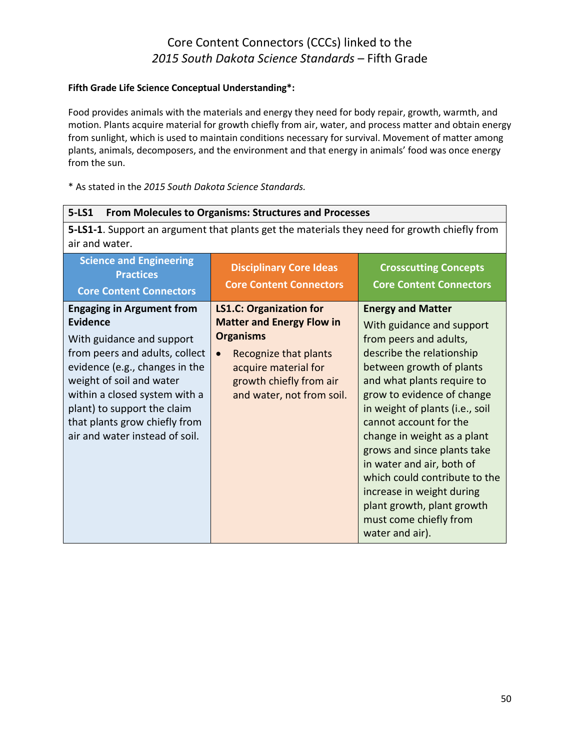#### **Fifth Grade Life Science Conceptual Understanding\*:**

Food provides animals with the materials and energy they need for body repair, growth, warmth, and motion. Plants acquire material for growth chiefly from air, water, and process matter and obtain energy from sunlight, which is used to maintain conditions necessary for survival. Movement of matter among plants, animals, decomposers, and the environment and that energy in animals' food was once energy from the sun.

| $5 - LS1$<br>From Molecules to Organisms: Structures and Processes                                                                                                                                                                                                                                                  |                                                                                                                                                                                                              |                                                                                                                                                                                                                                                                                                                                                                                                                                                                                                       |
|---------------------------------------------------------------------------------------------------------------------------------------------------------------------------------------------------------------------------------------------------------------------------------------------------------------------|--------------------------------------------------------------------------------------------------------------------------------------------------------------------------------------------------------------|-------------------------------------------------------------------------------------------------------------------------------------------------------------------------------------------------------------------------------------------------------------------------------------------------------------------------------------------------------------------------------------------------------------------------------------------------------------------------------------------------------|
| 5-LS1-1. Support an argument that plants get the materials they need for growth chiefly from<br>air and water.                                                                                                                                                                                                      |                                                                                                                                                                                                              |                                                                                                                                                                                                                                                                                                                                                                                                                                                                                                       |
| <b>Science and Engineering</b><br><b>Practices</b><br><b>Core Content Connectors</b>                                                                                                                                                                                                                                | <b>Disciplinary Core Ideas</b><br><b>Core Content Connectors</b>                                                                                                                                             | <b>Crosscutting Concepts</b><br><b>Core Content Connectors</b>                                                                                                                                                                                                                                                                                                                                                                                                                                        |
| <b>Engaging in Argument from</b><br><b>Evidence</b><br>With guidance and support<br>from peers and adults, collect<br>evidence (e.g., changes in the<br>weight of soil and water<br>within a closed system with a<br>plant) to support the claim<br>that plants grow chiefly from<br>air and water instead of soil. | <b>LS1.C: Organization for</b><br><b>Matter and Energy Flow in</b><br><b>Organisms</b><br>Recognize that plants<br>$\bullet$<br>acquire material for<br>growth chiefly from air<br>and water, not from soil. | <b>Energy and Matter</b><br>With guidance and support<br>from peers and adults,<br>describe the relationship<br>between growth of plants<br>and what plants require to<br>grow to evidence of change<br>in weight of plants (i.e., soil<br>cannot account for the<br>change in weight as a plant<br>grows and since plants take<br>in water and air, both of<br>which could contribute to the<br>increase in weight during<br>plant growth, plant growth<br>must come chiefly from<br>water and air). |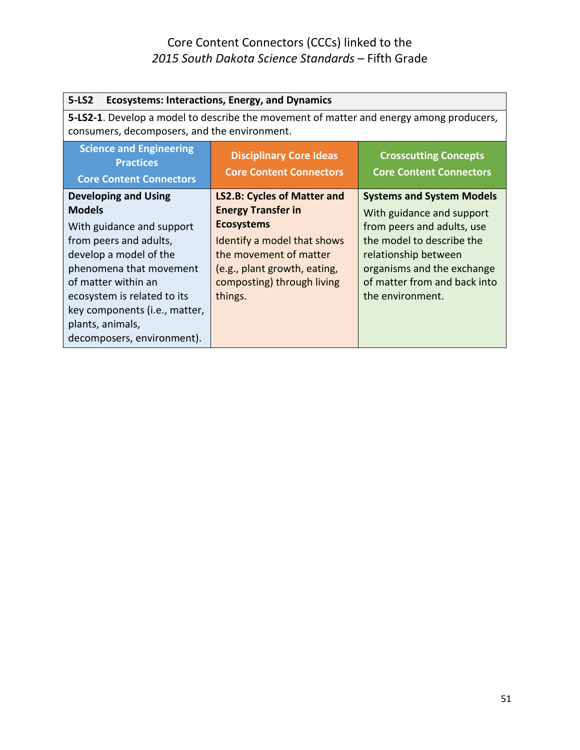| <b>Ecosystems: Interactions, Energy, and Dynamics</b><br>$5-LS2$                                                                                                                                                                                                                                  |                                                                                                                                                                                                                        |                                                                                                                                                                                                                                    |
|---------------------------------------------------------------------------------------------------------------------------------------------------------------------------------------------------------------------------------------------------------------------------------------------------|------------------------------------------------------------------------------------------------------------------------------------------------------------------------------------------------------------------------|------------------------------------------------------------------------------------------------------------------------------------------------------------------------------------------------------------------------------------|
| <b>5-LS2-1.</b> Develop a model to describe the movement of matter and energy among producers,<br>consumers, decomposers, and the environment.                                                                                                                                                    |                                                                                                                                                                                                                        |                                                                                                                                                                                                                                    |
| <b>Science and Engineering</b><br><b>Practices</b><br><b>Core Content Connectors</b>                                                                                                                                                                                                              | <b>Disciplinary Core Ideas</b><br><b>Core Content Connectors</b>                                                                                                                                                       | <b>Crosscutting Concepts</b><br><b>Core Content Connectors</b>                                                                                                                                                                     |
| <b>Developing and Using</b><br><b>Models</b><br>With guidance and support<br>from peers and adults,<br>develop a model of the<br>phenomena that movement<br>of matter within an<br>ecosystem is related to its<br>key components (i.e., matter,<br>plants, animals,<br>decomposers, environment). | <b>LS2.B: Cycles of Matter and</b><br><b>Energy Transfer in</b><br><b>Ecosystems</b><br>Identify a model that shows<br>the movement of matter<br>(e.g., plant growth, eating,<br>composting) through living<br>things. | <b>Systems and System Models</b><br>With guidance and support<br>from peers and adults, use<br>the model to describe the<br>relationship between<br>organisms and the exchange<br>of matter from and back into<br>the environment. |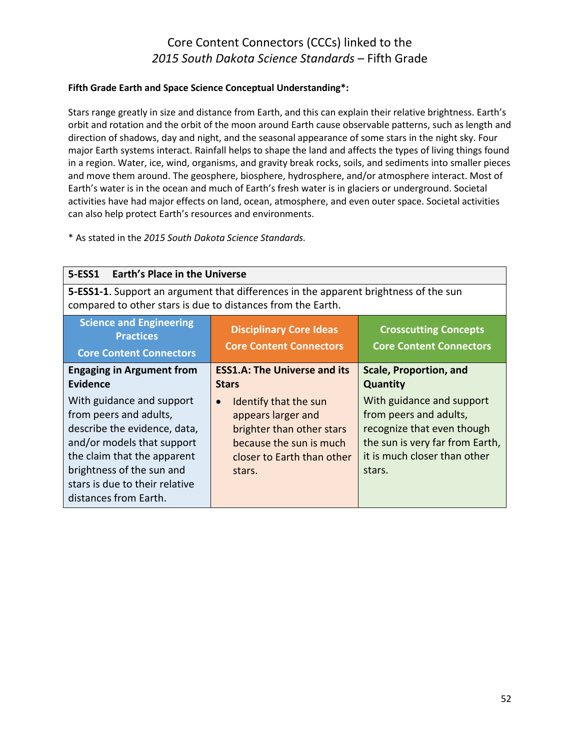#### **Fifth Grade Earth and Space Science Conceptual Understanding\*:**

Stars range greatly in size and distance from Earth, and this can explain their relative brightness. Earth's orbit and rotation and the orbit of the moon around Earth cause observable patterns, such as length and direction of shadows, day and night, and the seasonal appearance of some stars in the night sky. Four major Earth systems interact. Rainfall helps to shape the land and affects the types of living things found in a region. Water, ice, wind, organisms, and gravity break rocks, soils, and sediments into smaller pieces and move them around. The geosphere, biosphere, hydrosphere, and/or atmosphere interact. Most of Earth's water is in the ocean and much of Earth's fresh water is in glaciers or underground. Societal activities have had major effects on land, ocean, atmosphere, and even outer space. Societal activities can also help protect Earth's resources and environments.

| <b>Earth's Place in the Universe</b><br>5-ESS1                                                                                                                                                                                           |                                                                                                                                                          |                                                                                                                                                                |
|------------------------------------------------------------------------------------------------------------------------------------------------------------------------------------------------------------------------------------------|----------------------------------------------------------------------------------------------------------------------------------------------------------|----------------------------------------------------------------------------------------------------------------------------------------------------------------|
| 5-ESS1-1. Support an argument that differences in the apparent brightness of the sun<br>compared to other stars is due to distances from the Earth.                                                                                      |                                                                                                                                                          |                                                                                                                                                                |
| <b>Science and Engineering</b><br><b>Practices</b><br><b>Core Content Connectors</b>                                                                                                                                                     | <b>Disciplinary Core Ideas</b><br><b>Core Content Connectors</b>                                                                                         | <b>Crosscutting Concepts</b><br><b>Core Content Connectors</b>                                                                                                 |
| <b>Engaging in Argument from</b><br>Evidence                                                                                                                                                                                             | <b>ESS1.A: The Universe and its</b><br><b>Stars</b>                                                                                                      | Scale, Proportion, and<br><b>Quantity</b>                                                                                                                      |
| With guidance and support<br>from peers and adults,<br>describe the evidence, data,<br>and/or models that support<br>the claim that the apparent<br>brightness of the sun and<br>stars is due to their relative<br>distances from Earth. | Identify that the sun<br>$\bullet$<br>appears larger and<br>brighter than other stars<br>because the sun is much<br>closer to Earth than other<br>stars. | With guidance and support<br>from peers and adults,<br>recognize that even though<br>the sun is very far from Earth,<br>it is much closer than other<br>stars. |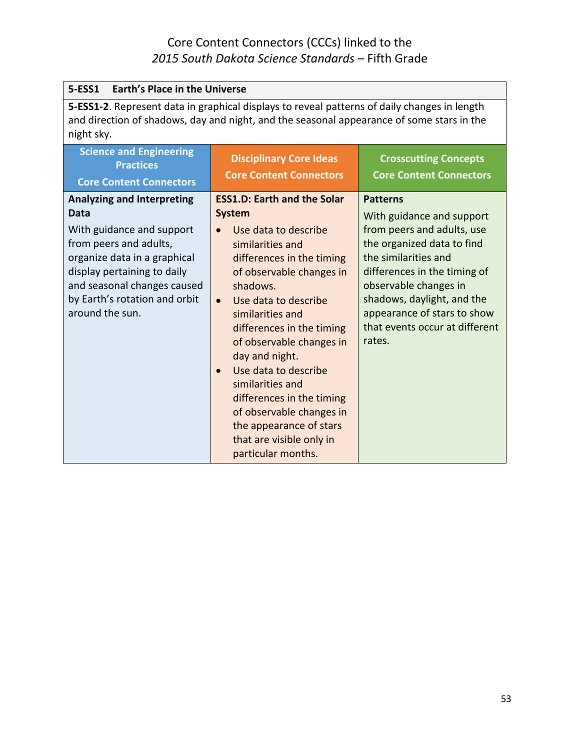| <b>5-ESS1</b><br><b>Earth's Place in the Universe</b>                                                                                                                                                                                              |                                                                                                                                                                                                                                                                                                                                                                                                                                                                                            |                                                                                                                                                                                                                                                                                                    |
|----------------------------------------------------------------------------------------------------------------------------------------------------------------------------------------------------------------------------------------------------|--------------------------------------------------------------------------------------------------------------------------------------------------------------------------------------------------------------------------------------------------------------------------------------------------------------------------------------------------------------------------------------------------------------------------------------------------------------------------------------------|----------------------------------------------------------------------------------------------------------------------------------------------------------------------------------------------------------------------------------------------------------------------------------------------------|
| 5-ESS1-2. Represent data in graphical displays to reveal patterns of daily changes in length<br>and direction of shadows, day and night, and the seasonal appearance of some stars in the<br>night sky.                                            |                                                                                                                                                                                                                                                                                                                                                                                                                                                                                            |                                                                                                                                                                                                                                                                                                    |
| <b>Science and Engineering</b><br><b>Practices</b><br><b>Core Content Connectors</b>                                                                                                                                                               | <b>Disciplinary Core Ideas</b><br><b>Core Content Connectors</b>                                                                                                                                                                                                                                                                                                                                                                                                                           | <b>Crosscutting Concepts</b><br><b>Core Content Connectors</b>                                                                                                                                                                                                                                     |
| <b>Analyzing and Interpreting</b><br>Data<br>With guidance and support<br>from peers and adults,<br>organize data in a graphical<br>display pertaining to daily<br>and seasonal changes caused<br>by Earth's rotation and orbit<br>around the sun. | <b>ESS1.D: Earth and the Solar</b><br><b>System</b><br>Use data to describe<br>similarities and<br>differences in the timing<br>of observable changes in<br>shadows.<br>Use data to describe<br>$\bullet$<br>similarities and<br>differences in the timing<br>of observable changes in<br>day and night.<br>Use data to describe<br>similarities and<br>differences in the timing<br>of observable changes in<br>the appearance of stars<br>that are visible only in<br>particular months. | <b>Patterns</b><br>With guidance and support<br>from peers and adults, use<br>the organized data to find<br>the similarities and<br>differences in the timing of<br>observable changes in<br>shadows, daylight, and the<br>appearance of stars to show<br>that events occur at different<br>rates. |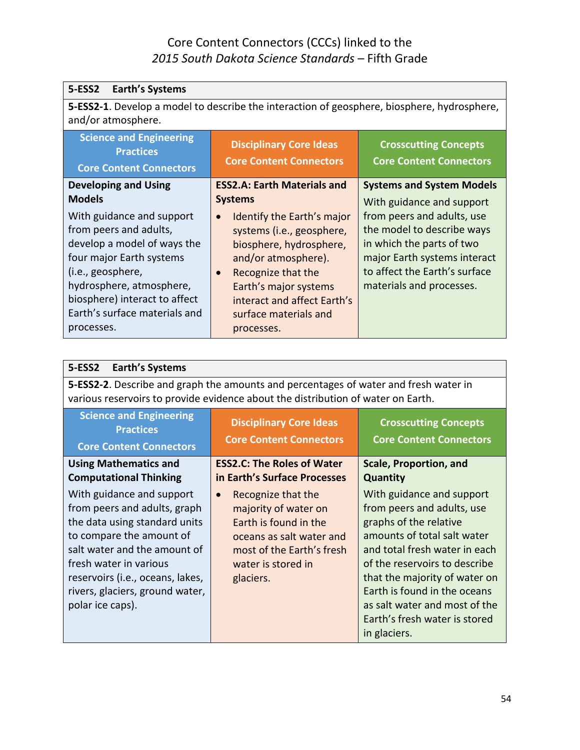| <b>Earth's Systems</b><br>5-ESS2                                                                                                                                                                                                                |                                                                                                                                                                                                                                                          |                                                                                                                                                                                    |
|-------------------------------------------------------------------------------------------------------------------------------------------------------------------------------------------------------------------------------------------------|----------------------------------------------------------------------------------------------------------------------------------------------------------------------------------------------------------------------------------------------------------|------------------------------------------------------------------------------------------------------------------------------------------------------------------------------------|
| 5-ESS2-1. Develop a model to describe the interaction of geosphere, biosphere, hydrosphere,<br>and/or atmosphere.                                                                                                                               |                                                                                                                                                                                                                                                          |                                                                                                                                                                                    |
| <b>Science and Engineering</b><br><b>Practices</b><br><b>Core Content Connectors</b>                                                                                                                                                            | <b>Disciplinary Core Ideas</b><br><b>Core Content Connectors</b>                                                                                                                                                                                         | <b>Crosscutting Concepts</b><br><b>Core Content Connectors</b>                                                                                                                     |
| <b>Developing and Using</b><br><b>Models</b>                                                                                                                                                                                                    | <b>ESS2.A: Earth Materials and</b><br><b>Systems</b>                                                                                                                                                                                                     | <b>Systems and System Models</b><br>With guidance and support                                                                                                                      |
| With guidance and support<br>from peers and adults,<br>develop a model of ways the<br>four major Earth systems<br>(i.e., geosphere,<br>hydrosphere, atmosphere,<br>biosphere) interact to affect<br>Earth's surface materials and<br>processes. | Identify the Earth's major<br>$\bullet$<br>systems (i.e., geosphere,<br>biosphere, hydrosphere,<br>and/or atmosphere).<br>Recognize that the<br>$\bullet$<br>Earth's major systems<br>interact and affect Earth's<br>surface materials and<br>processes. | from peers and adults, use<br>the model to describe ways<br>in which the parts of two<br>major Earth systems interact<br>to affect the Earth's surface<br>materials and processes. |

| <b>5-ESS2</b><br><b>Earth's Systems</b>                                                                                                                                                                                                                                     |                                                                                                                                                                              |                                                                                                                                                                                                                                                                                                                                       |
|-----------------------------------------------------------------------------------------------------------------------------------------------------------------------------------------------------------------------------------------------------------------------------|------------------------------------------------------------------------------------------------------------------------------------------------------------------------------|---------------------------------------------------------------------------------------------------------------------------------------------------------------------------------------------------------------------------------------------------------------------------------------------------------------------------------------|
| 5-ESS2-2. Describe and graph the amounts and percentages of water and fresh water in<br>various reservoirs to provide evidence about the distribution of water on Earth.                                                                                                    |                                                                                                                                                                              |                                                                                                                                                                                                                                                                                                                                       |
| <b>Science and Engineering</b><br><b>Practices</b><br><b>Core Content Connectors</b>                                                                                                                                                                                        | <b>Disciplinary Core Ideas</b><br><b>Core Content Connectors</b>                                                                                                             | <b>Crosscutting Concepts</b><br><b>Core Content Connectors</b>                                                                                                                                                                                                                                                                        |
| <b>Using Mathematics and</b><br><b>Computational Thinking</b>                                                                                                                                                                                                               | <b>ESS2.C: The Roles of Water</b><br>in Earth's Surface Processes                                                                                                            | <b>Scale, Proportion, and</b><br><b>Quantity</b>                                                                                                                                                                                                                                                                                      |
| With guidance and support<br>from peers and adults, graph<br>the data using standard units<br>to compare the amount of<br>salt water and the amount of<br>fresh water in various<br>reservoirs (i.e., oceans, lakes,<br>rivers, glaciers, ground water,<br>polar ice caps). | Recognize that the<br>$\bullet$<br>majority of water on<br>Earth is found in the<br>oceans as salt water and<br>most of the Earth's fresh<br>water is stored in<br>glaciers. | With guidance and support<br>from peers and adults, use<br>graphs of the relative<br>amounts of total salt water<br>and total fresh water in each<br>of the reservoirs to describe<br>that the majority of water on<br>Earth is found in the oceans<br>as salt water and most of the<br>Earth's fresh water is stored<br>in glaciers. |